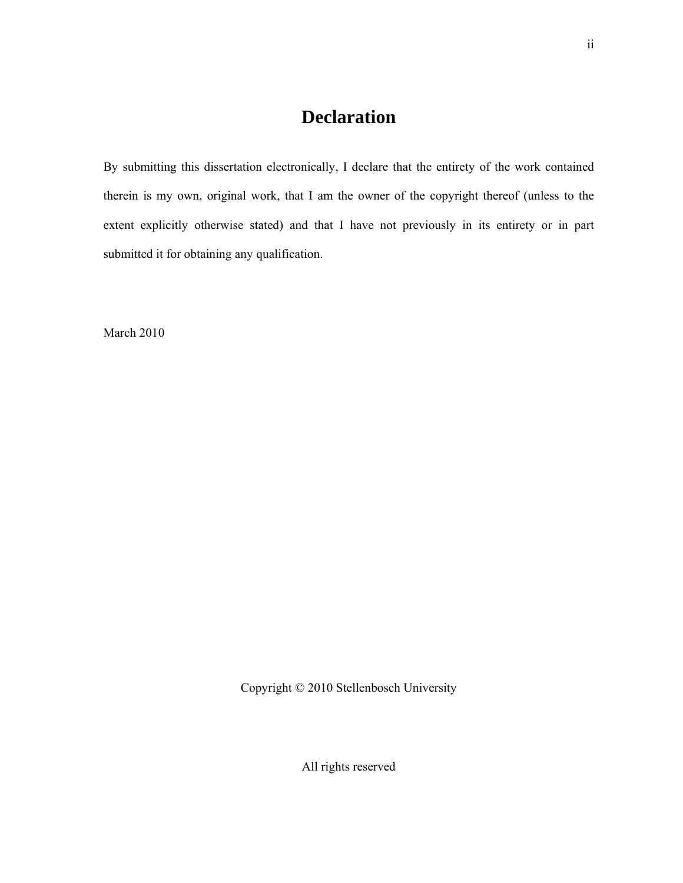# **Declaration**

By submitting this dissertation electronically, I declare that the entirety of the work contained therein is my own, original work, that I am the owner of the copyright thereof (unless to the extent explicitly otherwise stated) and that I have not previously in its entirety or in part submitted it for obtaining any qualification.

March 2010

Copyright © 2010 Stellenbosch University

All rights reserved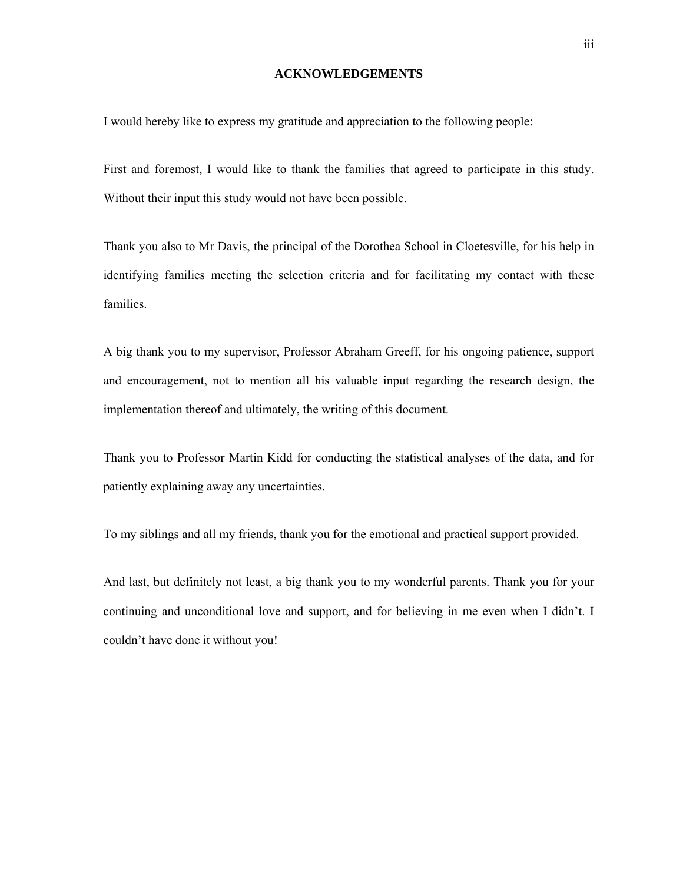# **ACKNOWLEDGEMENTS**

I would hereby like to express my gratitude and appreciation to the following people:

First and foremost, I would like to thank the families that agreed to participate in this study. Without their input this study would not have been possible.

Thank you also to Mr Davis, the principal of the Dorothea School in Cloetesville, for his help in identifying families meeting the selection criteria and for facilitating my contact with these families.

A big thank you to my supervisor, Professor Abraham Greeff, for his ongoing patience, support and encouragement, not to mention all his valuable input regarding the research design, the implementation thereof and ultimately, the writing of this document.

Thank you to Professor Martin Kidd for conducting the statistical analyses of the data, and for patiently explaining away any uncertainties.

To my siblings and all my friends, thank you for the emotional and practical support provided.

And last, but definitely not least, a big thank you to my wonderful parents. Thank you for your continuing and unconditional love and support, and for believing in me even when I didn't. I couldn't have done it without you!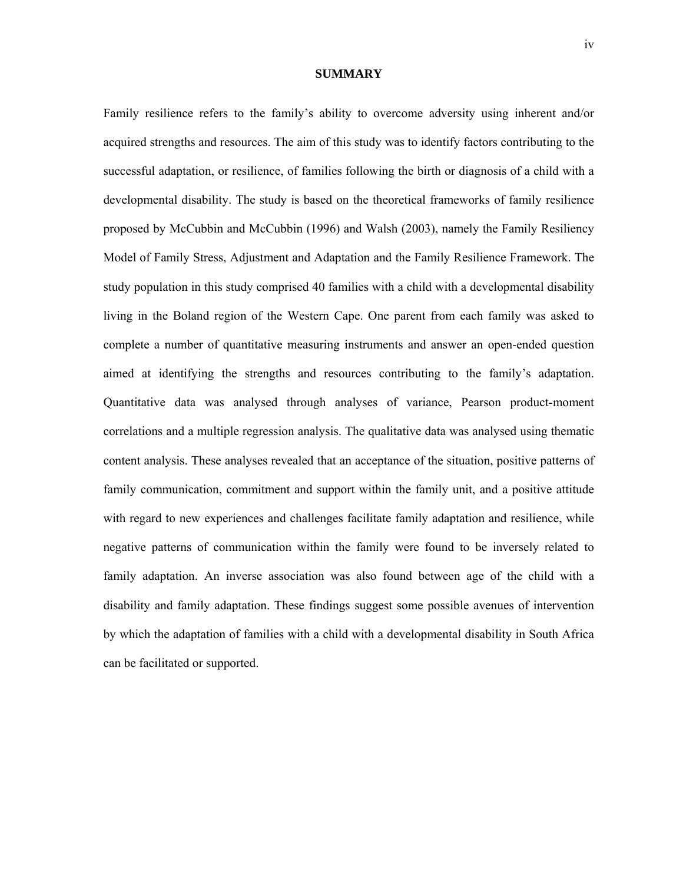#### **SUMMARY**

Family resilience refers to the family's ability to overcome adversity using inherent and/or acquired strengths and resources. The aim of this study was to identify factors contributing to the successful adaptation, or resilience, of families following the birth or diagnosis of a child with a developmental disability. The study is based on the theoretical frameworks of family resilience proposed by McCubbin and McCubbin (1996) and Walsh (2003), namely the Family Resiliency Model of Family Stress, Adjustment and Adaptation and the Family Resilience Framework. The study population in this study comprised 40 families with a child with a developmental disability living in the Boland region of the Western Cape. One parent from each family was asked to complete a number of quantitative measuring instruments and answer an open-ended question aimed at identifying the strengths and resources contributing to the family's adaptation. Quantitative data was analysed through analyses of variance, Pearson product-moment correlations and a multiple regression analysis. The qualitative data was analysed using thematic content analysis. These analyses revealed that an acceptance of the situation, positive patterns of family communication, commitment and support within the family unit, and a positive attitude with regard to new experiences and challenges facilitate family adaptation and resilience, while negative patterns of communication within the family were found to be inversely related to family adaptation. An inverse association was also found between age of the child with a disability and family adaptation. These findings suggest some possible avenues of intervention by which the adaptation of families with a child with a developmental disability in South Africa can be facilitated or supported.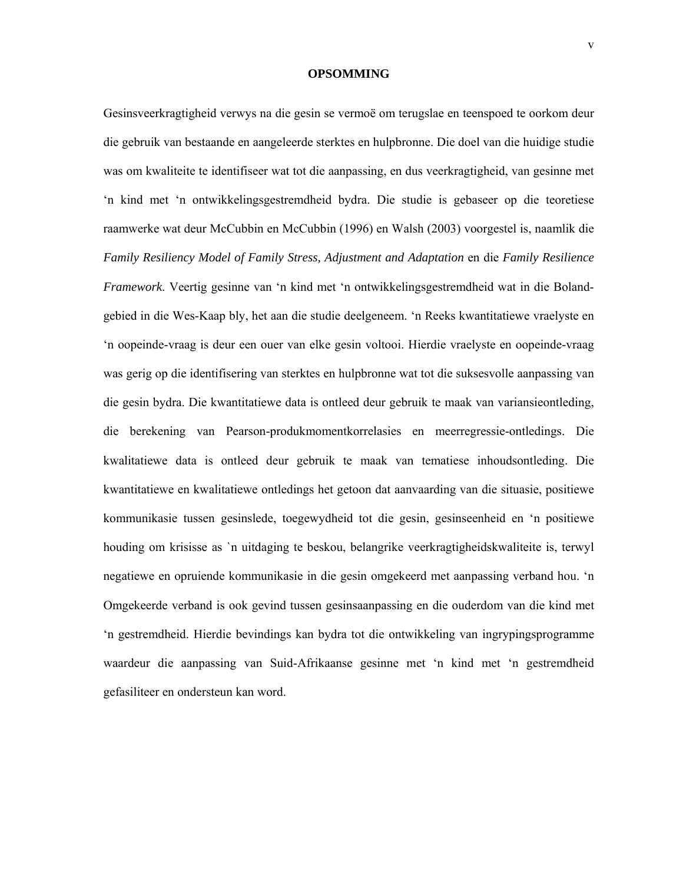# **OPSOMMING**

Gesinsveerkragtigheid verwys na die gesin se vermoë om terugslae en teenspoed te oorkom deur die gebruik van bestaande en aangeleerde sterktes en hulpbronne. Die doel van die huidige studie was om kwaliteite te identifiseer wat tot die aanpassing, en dus veerkragtigheid, van gesinne met 'n kind met 'n ontwikkelingsgestremdheid bydra. Die studie is gebaseer op die teoretiese raamwerke wat deur McCubbin en McCubbin (1996) en Walsh (2003) voorgestel is, naamlik die *Family Resiliency Model of Family Stress, Adjustment and Adaptation* en die *Family Resilience Framework*. Veertig gesinne van 'n kind met 'n ontwikkelingsgestremdheid wat in die Bolandgebied in die Wes-Kaap bly, het aan die studie deelgeneem. 'n Reeks kwantitatiewe vraelyste en 'n oopeinde-vraag is deur een ouer van elke gesin voltooi. Hierdie vraelyste en oopeinde-vraag was gerig op die identifisering van sterktes en hulpbronne wat tot die suksesvolle aanpassing van die gesin bydra. Die kwantitatiewe data is ontleed deur gebruik te maak van variansieontleding, die berekening van Pearson-produkmomentkorrelasies en meerregressie-ontledings. Die kwalitatiewe data is ontleed deur gebruik te maak van tematiese inhoudsontleding. Die kwantitatiewe en kwalitatiewe ontledings het getoon dat aanvaarding van die situasie, positiewe kommunikasie tussen gesinslede, toegewydheid tot die gesin, gesinseenheid en 'n positiewe houding om krisisse as `n uitdaging te beskou, belangrike veerkragtigheidskwaliteite is, terwyl negatiewe en opruiende kommunikasie in die gesin omgekeerd met aanpassing verband hou. 'n Omgekeerde verband is ook gevind tussen gesinsaanpassing en die ouderdom van die kind met 'n gestremdheid. Hierdie bevindings kan bydra tot die ontwikkeling van ingrypingsprogramme waardeur die aanpassing van Suid-Afrikaanse gesinne met 'n kind met 'n gestremdheid gefasiliteer en ondersteun kan word.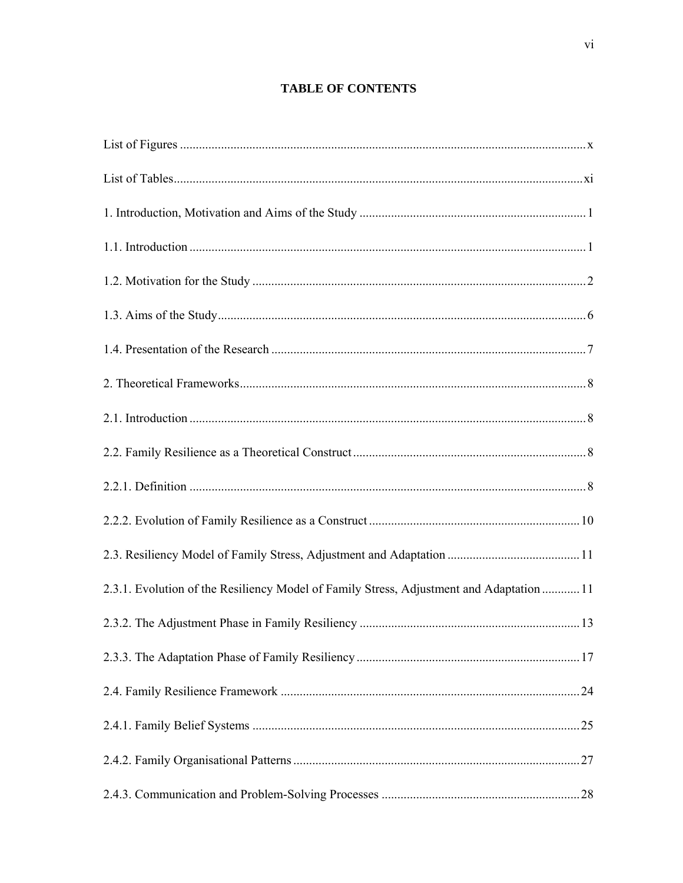# **TABLE OF CONTENTS**

| 2.3.1. Evolution of the Resiliency Model of Family Stress, Adjustment and Adaptation  11 |  |
|------------------------------------------------------------------------------------------|--|
|                                                                                          |  |
|                                                                                          |  |
|                                                                                          |  |
|                                                                                          |  |
|                                                                                          |  |
|                                                                                          |  |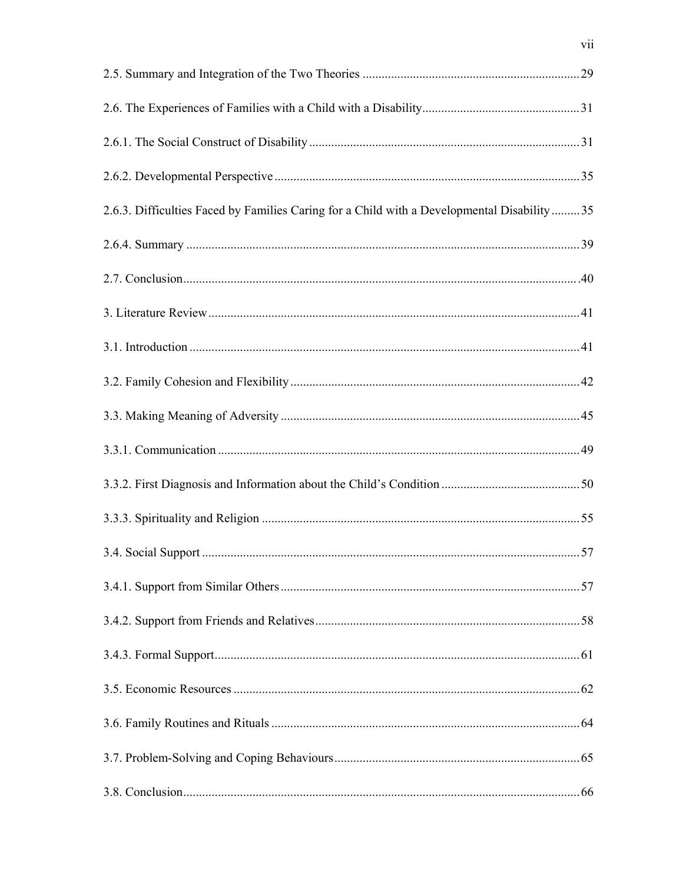| 2.6.3. Difficulties Faced by Families Caring for a Child with a Developmental Disability35 |  |
|--------------------------------------------------------------------------------------------|--|
|                                                                                            |  |
|                                                                                            |  |
|                                                                                            |  |
|                                                                                            |  |
|                                                                                            |  |
|                                                                                            |  |
|                                                                                            |  |
|                                                                                            |  |
|                                                                                            |  |
|                                                                                            |  |
|                                                                                            |  |
|                                                                                            |  |
|                                                                                            |  |
|                                                                                            |  |
|                                                                                            |  |
|                                                                                            |  |
|                                                                                            |  |

 $vii$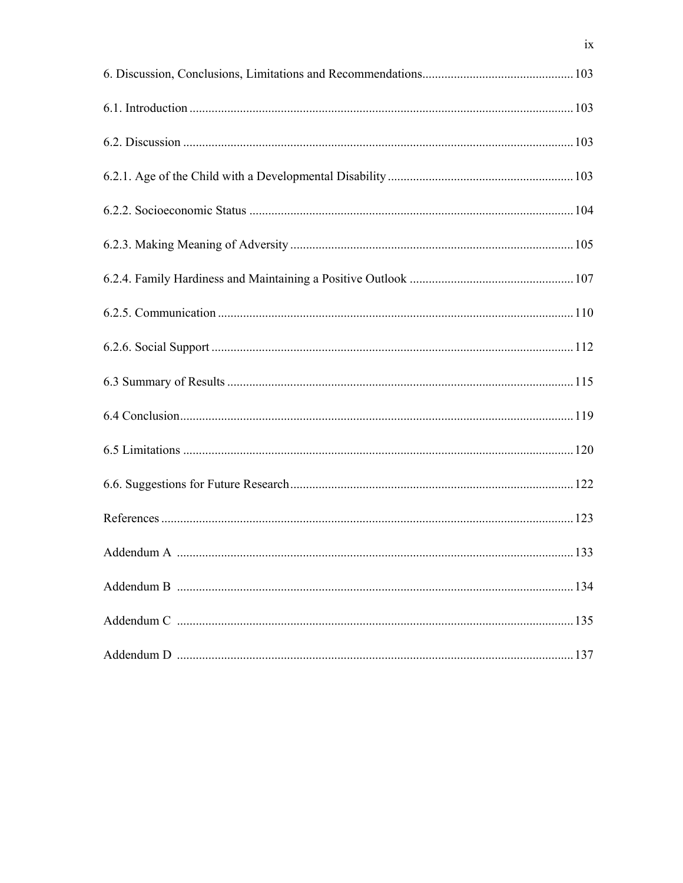| 134 |
|-----|
|     |
| 137 |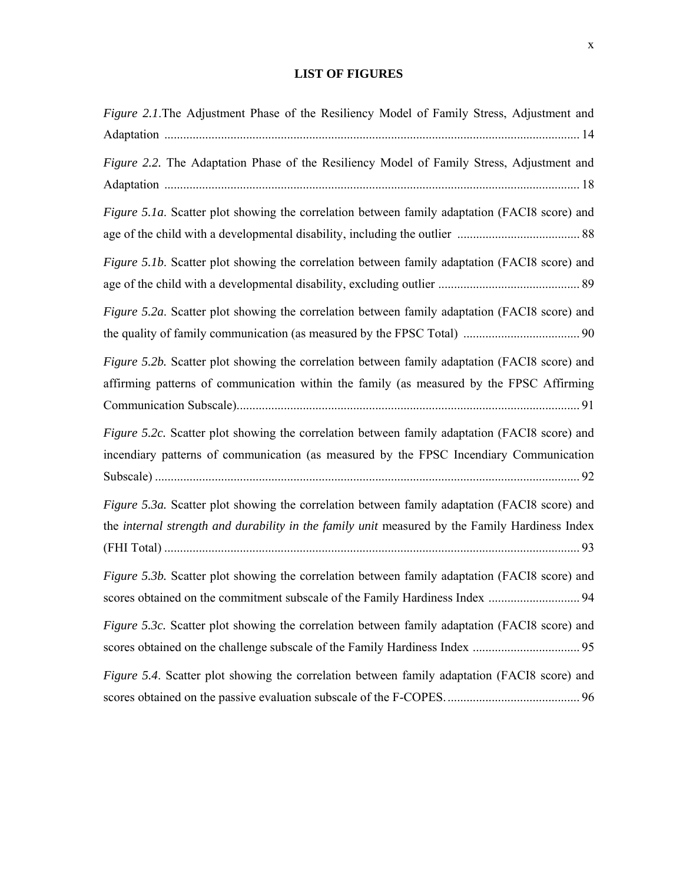# **LIST OF FIGURES**

| Figure 2.1. The Adjustment Phase of the Resiliency Model of Family Stress, Adjustment and                                                                                                       |
|-------------------------------------------------------------------------------------------------------------------------------------------------------------------------------------------------|
| Figure 2.2. The Adaptation Phase of the Resiliency Model of Family Stress, Adjustment and                                                                                                       |
| Figure 5.1a. Scatter plot showing the correlation between family adaptation (FACI8 score) and                                                                                                   |
| Figure 5.1b. Scatter plot showing the correlation between family adaptation (FACI8 score) and                                                                                                   |
| Figure 5.2a. Scatter plot showing the correlation between family adaptation (FACI8 score) and                                                                                                   |
| Figure 5.2b. Scatter plot showing the correlation between family adaptation (FACI8 score) and<br>affirming patterns of communication within the family (as measured by the FPSC Affirming       |
| Figure 5.2c. Scatter plot showing the correlation between family adaptation (FACI8 score) and<br>incendiary patterns of communication (as measured by the FPSC Incendiary Communication         |
| Figure 5.3a. Scatter plot showing the correlation between family adaptation (FACI8 score) and<br>the internal strength and durability in the family unit measured by the Family Hardiness Index |
| Figure 5.3b. Scatter plot showing the correlation between family adaptation (FACI8 score) and                                                                                                   |
| Figure 5.3c. Scatter plot showing the correlation between family adaptation (FACI8 score) and                                                                                                   |
| Figure 5.4. Scatter plot showing the correlation between family adaptation (FACI8 score) and                                                                                                    |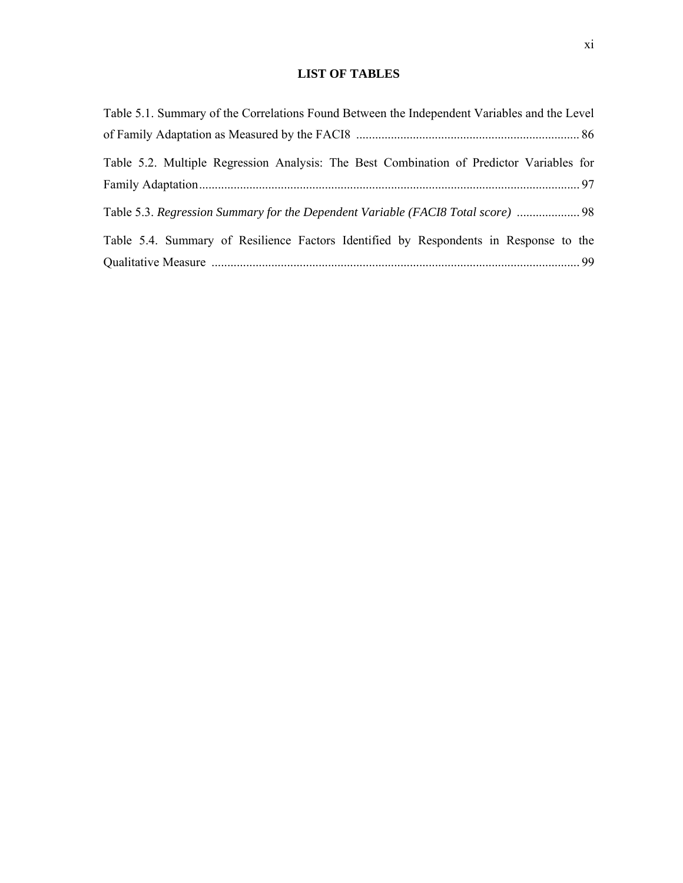# **LIST OF TABLES**

| Table 5.1. Summary of the Correlations Found Between the Independent Variables and the Level |  |
|----------------------------------------------------------------------------------------------|--|
|                                                                                              |  |
| Table 5.2. Multiple Regression Analysis: The Best Combination of Predictor Variables for     |  |
|                                                                                              |  |
| Table 5.3. Regression Summary for the Dependent Variable (FACI8 Total score)  98             |  |
| Table 5.4. Summary of Resilience Factors Identified by Respondents in Response to the        |  |
|                                                                                              |  |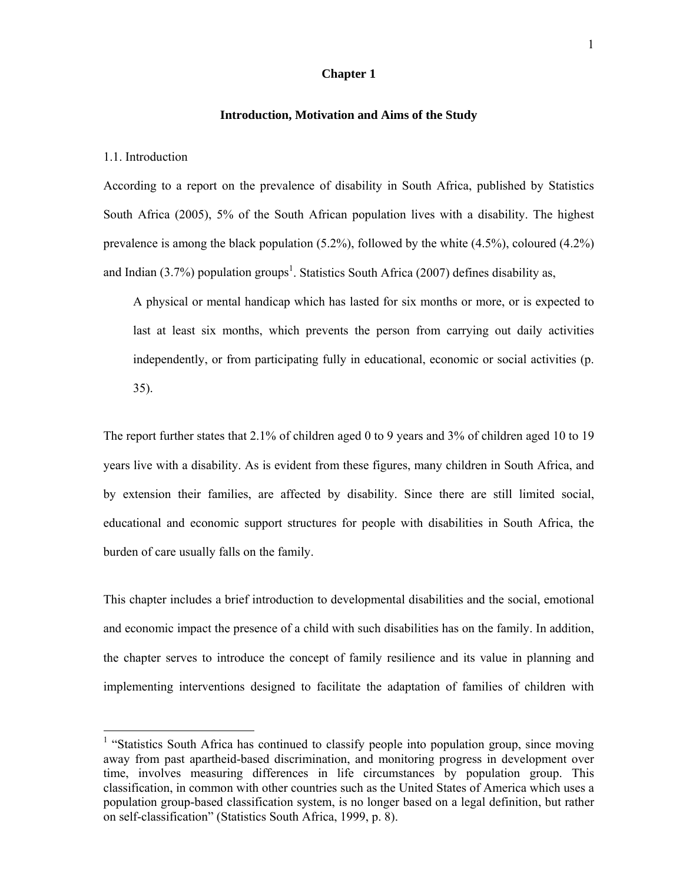# **Chapter 1**

### **Introduction, Motivation and Aims of the Study**

#### 1.1. Introduction

l

According to a report on the prevalence of disability in South Africa, published by Statistics South Africa (2005), 5% of the South African population lives with a disability. The highest prevalence is among the black population (5.2%), followed by the white (4.5%), coloured (4.2%) and Indian  $(3.7%)$  population groups<sup>1</sup>. Statistics South Africa  $(2007)$  defines disability as,

A physical or mental handicap which has lasted for six months or more, or is expected to last at least six months, which prevents the person from carrying out daily activities independently, or from participating fully in educational, economic or social activities (p. 35).

The report further states that 2.1% of children aged 0 to 9 years and 3% of children aged 10 to 19 years live with a disability. As is evident from these figures, many children in South Africa, and by extension their families, are affected by disability. Since there are still limited social, educational and economic support structures for people with disabilities in South Africa, the burden of care usually falls on the family.

This chapter includes a brief introduction to developmental disabilities and the social, emotional and economic impact the presence of a child with such disabilities has on the family. In addition, the chapter serves to introduce the concept of family resilience and its value in planning and implementing interventions designed to facilitate the adaptation of families of children with

<sup>&</sup>lt;sup>1</sup> "Statistics South Africa has continued to classify people into population group, since moving away from past apartheid-based discrimination, and monitoring progress in development over time, involves measuring differences in life circumstances by population group. This classification, in common with other countries such as the United States of America which uses a population group-based classification system, is no longer based on a legal definition, but rather on self-classification" (Statistics South Africa, 1999, p. 8).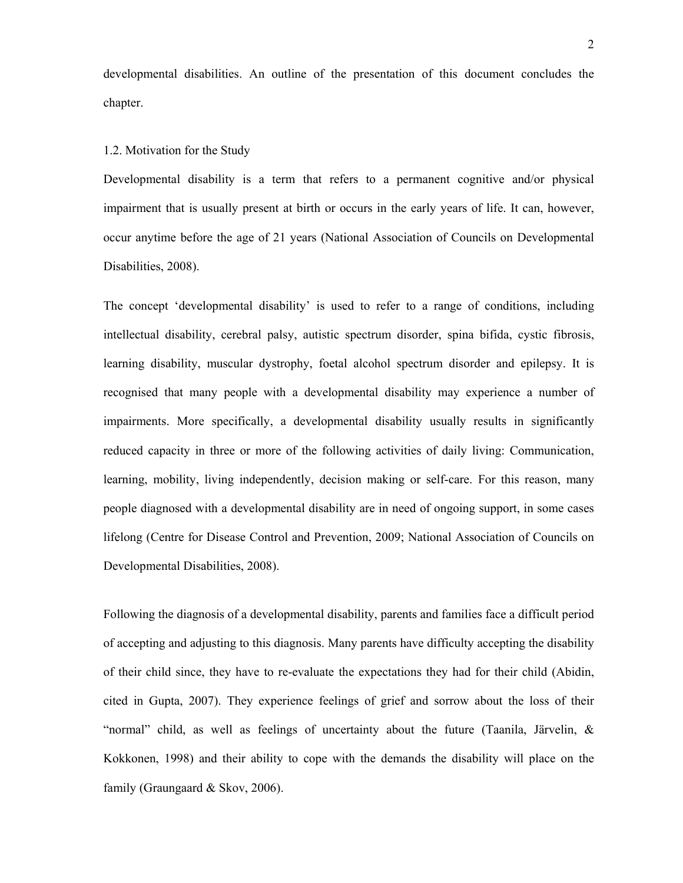developmental disabilities. An outline of the presentation of this document concludes the chapter.

#### 1.2. Motivation for the Study

Developmental disability is a term that refers to a permanent cognitive and/or physical impairment that is usually present at birth or occurs in the early years of life. It can, however, occur anytime before the age of 21 years (National Association of Councils on Developmental Disabilities, 2008).

The concept 'developmental disability' is used to refer to a range of conditions, including intellectual disability, cerebral palsy, autistic spectrum disorder, spina bifida, cystic fibrosis, learning disability, muscular dystrophy, foetal alcohol spectrum disorder and epilepsy. It is recognised that many people with a developmental disability may experience a number of impairments. More specifically, a developmental disability usually results in significantly reduced capacity in three or more of the following activities of daily living: Communication, learning, mobility, living independently, decision making or self-care. For this reason, many people diagnosed with a developmental disability are in need of ongoing support, in some cases lifelong (Centre for Disease Control and Prevention, 2009; National Association of Councils on Developmental Disabilities, 2008).

Following the diagnosis of a developmental disability, parents and families face a difficult period of accepting and adjusting to this diagnosis. Many parents have difficulty accepting the disability of their child since, they have to re-evaluate the expectations they had for their child (Abidin, cited in Gupta, 2007). They experience feelings of grief and sorrow about the loss of their "normal" child, as well as feelings of uncertainty about the future (Taanila, Järvelin, & Kokkonen, 1998) and their ability to cope with the demands the disability will place on the family (Graungaard & Skov, 2006).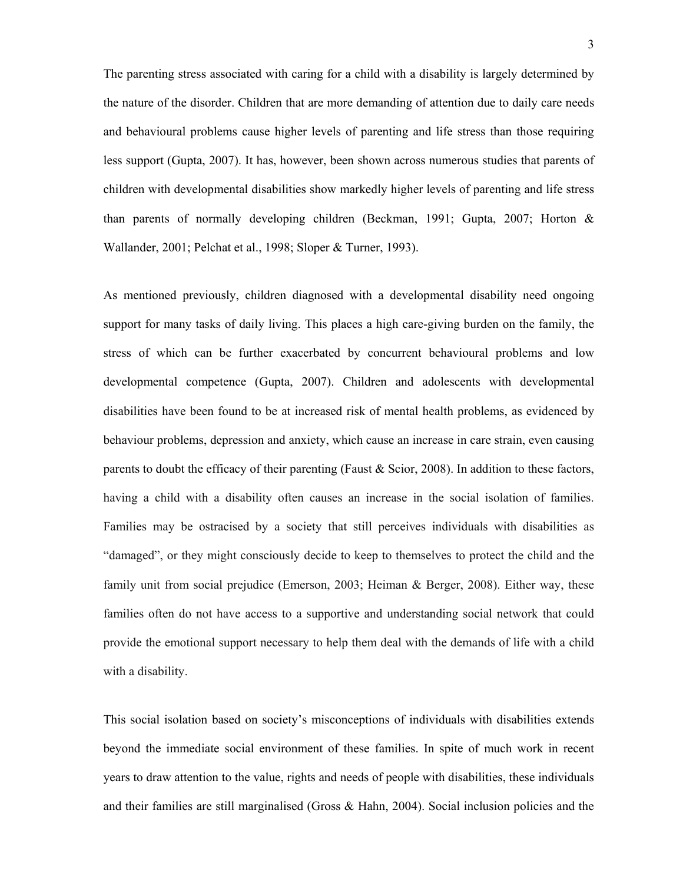The parenting stress associated with caring for a child with a disability is largely determined by the nature of the disorder. Children that are more demanding of attention due to daily care needs and behavioural problems cause higher levels of parenting and life stress than those requiring less support (Gupta, 2007). It has, however, been shown across numerous studies that parents of children with developmental disabilities show markedly higher levels of parenting and life stress than parents of normally developing children (Beckman, 1991; Gupta, 2007; Horton & Wallander, 2001; Pelchat et al., 1998; Sloper & Turner, 1993).

As mentioned previously, children diagnosed with a developmental disability need ongoing support for many tasks of daily living. This places a high care-giving burden on the family, the stress of which can be further exacerbated by concurrent behavioural problems and low developmental competence (Gupta, 2007). Children and adolescents with developmental disabilities have been found to be at increased risk of mental health problems, as evidenced by behaviour problems, depression and anxiety, which cause an increase in care strain, even causing parents to doubt the efficacy of their parenting (Faust  $\&$  Scior, 2008). In addition to these factors, having a child with a disability often causes an increase in the social isolation of families. Families may be ostracised by a society that still perceives individuals with disabilities as "damaged", or they might consciously decide to keep to themselves to protect the child and the family unit from social prejudice (Emerson, 2003; Heiman & Berger, 2008). Either way, these families often do not have access to a supportive and understanding social network that could provide the emotional support necessary to help them deal with the demands of life with a child with a disability.

This social isolation based on society's misconceptions of individuals with disabilities extends beyond the immediate social environment of these families. In spite of much work in recent years to draw attention to the value, rights and needs of people with disabilities, these individuals and their families are still marginalised (Gross & Hahn, 2004). Social inclusion policies and the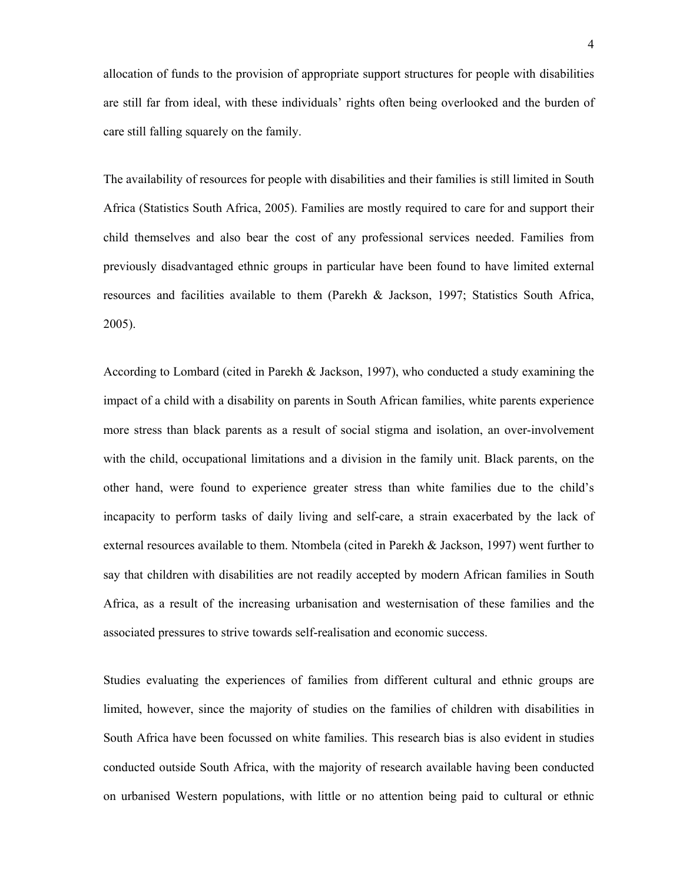allocation of funds to the provision of appropriate support structures for people with disabilities are still far from ideal, with these individuals' rights often being overlooked and the burden of care still falling squarely on the family.

The availability of resources for people with disabilities and their families is still limited in South Africa (Statistics South Africa, 2005). Families are mostly required to care for and support their child themselves and also bear the cost of any professional services needed. Families from previously disadvantaged ethnic groups in particular have been found to have limited external resources and facilities available to them (Parekh & Jackson, 1997; Statistics South Africa, 2005).

According to Lombard (cited in Parekh & Jackson, 1997), who conducted a study examining the impact of a child with a disability on parents in South African families, white parents experience more stress than black parents as a result of social stigma and isolation, an over-involvement with the child, occupational limitations and a division in the family unit. Black parents, on the other hand, were found to experience greater stress than white families due to the child's incapacity to perform tasks of daily living and self-care, a strain exacerbated by the lack of external resources available to them. Ntombela (cited in Parekh & Jackson, 1997) went further to say that children with disabilities are not readily accepted by modern African families in South Africa, as a result of the increasing urbanisation and westernisation of these families and the associated pressures to strive towards self-realisation and economic success.

Studies evaluating the experiences of families from different cultural and ethnic groups are limited, however, since the majority of studies on the families of children with disabilities in South Africa have been focussed on white families. This research bias is also evident in studies conducted outside South Africa, with the majority of research available having been conducted on urbanised Western populations, with little or no attention being paid to cultural or ethnic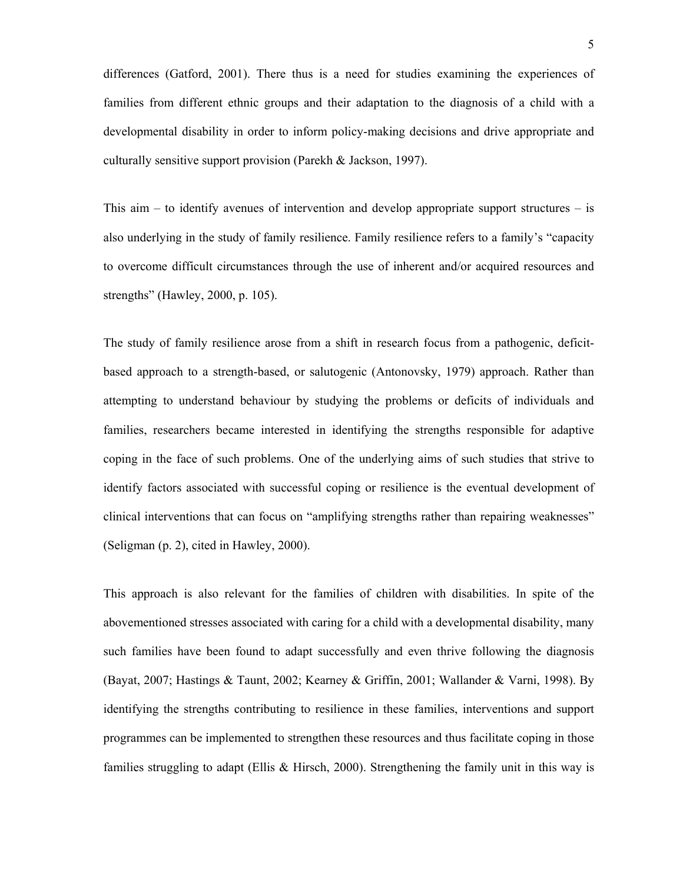differences (Gatford, 2001). There thus is a need for studies examining the experiences of families from different ethnic groups and their adaptation to the diagnosis of a child with a developmental disability in order to inform policy-making decisions and drive appropriate and culturally sensitive support provision (Parekh & Jackson, 1997).

This aim  $-$  to identify avenues of intervention and develop appropriate support structures  $-$  is also underlying in the study of family resilience. Family resilience refers to a family's "capacity to overcome difficult circumstances through the use of inherent and/or acquired resources and strengths" (Hawley, 2000, p. 105).

The study of family resilience arose from a shift in research focus from a pathogenic, deficitbased approach to a strength-based, or salutogenic (Antonovsky, 1979) approach. Rather than attempting to understand behaviour by studying the problems or deficits of individuals and families, researchers became interested in identifying the strengths responsible for adaptive coping in the face of such problems. One of the underlying aims of such studies that strive to identify factors associated with successful coping or resilience is the eventual development of clinical interventions that can focus on "amplifying strengths rather than repairing weaknesses" (Seligman (p. 2), cited in Hawley, 2000).

This approach is also relevant for the families of children with disabilities. In spite of the abovementioned stresses associated with caring for a child with a developmental disability, many such families have been found to adapt successfully and even thrive following the diagnosis (Bayat, 2007; Hastings & Taunt, 2002; Kearney & Griffin, 2001; Wallander & Varni, 1998). By identifying the strengths contributing to resilience in these families, interventions and support programmes can be implemented to strengthen these resources and thus facilitate coping in those families struggling to adapt (Ellis & Hirsch, 2000). Strengthening the family unit in this way is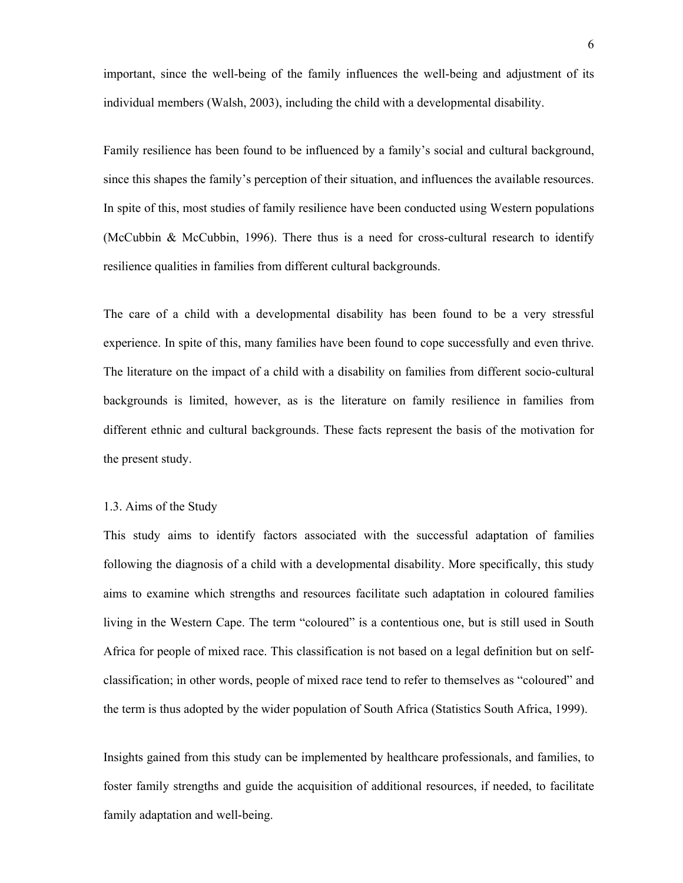important, since the well-being of the family influences the well-being and adjustment of its individual members (Walsh, 2003), including the child with a developmental disability.

Family resilience has been found to be influenced by a family's social and cultural background, since this shapes the family's perception of their situation, and influences the available resources. In spite of this, most studies of family resilience have been conducted using Western populations (McCubbin & McCubbin, 1996). There thus is a need for cross-cultural research to identify resilience qualities in families from different cultural backgrounds.

The care of a child with a developmental disability has been found to be a very stressful experience. In spite of this, many families have been found to cope successfully and even thrive. The literature on the impact of a child with a disability on families from different socio-cultural backgrounds is limited, however, as is the literature on family resilience in families from different ethnic and cultural backgrounds. These facts represent the basis of the motivation for the present study.

#### 1.3. Aims of the Study

This study aims to identify factors associated with the successful adaptation of families following the diagnosis of a child with a developmental disability. More specifically, this study aims to examine which strengths and resources facilitate such adaptation in coloured families living in the Western Cape. The term "coloured" is a contentious one, but is still used in South Africa for people of mixed race. This classification is not based on a legal definition but on selfclassification; in other words, people of mixed race tend to refer to themselves as "coloured" and the term is thus adopted by the wider population of South Africa (Statistics South Africa, 1999).

Insights gained from this study can be implemented by healthcare professionals, and families, to foster family strengths and guide the acquisition of additional resources, if needed, to facilitate family adaptation and well-being.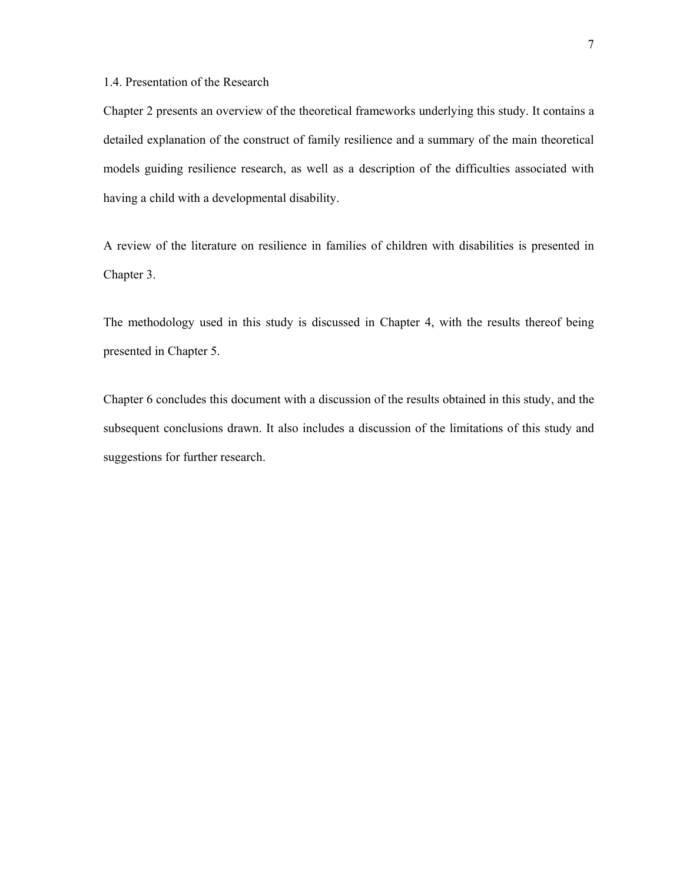# 1.4. Presentation of the Research

Chapter 2 presents an overview of the theoretical frameworks underlying this study. It contains a detailed explanation of the construct of family resilience and a summary of the main theoretical models guiding resilience research, as well as a description of the difficulties associated with having a child with a developmental disability.

A review of the literature on resilience in families of children with disabilities is presented in Chapter 3.

The methodology used in this study is discussed in Chapter 4, with the results thereof being presented in Chapter 5.

Chapter 6 concludes this document with a discussion of the results obtained in this study, and the subsequent conclusions drawn. It also includes a discussion of the limitations of this study and suggestions for further research.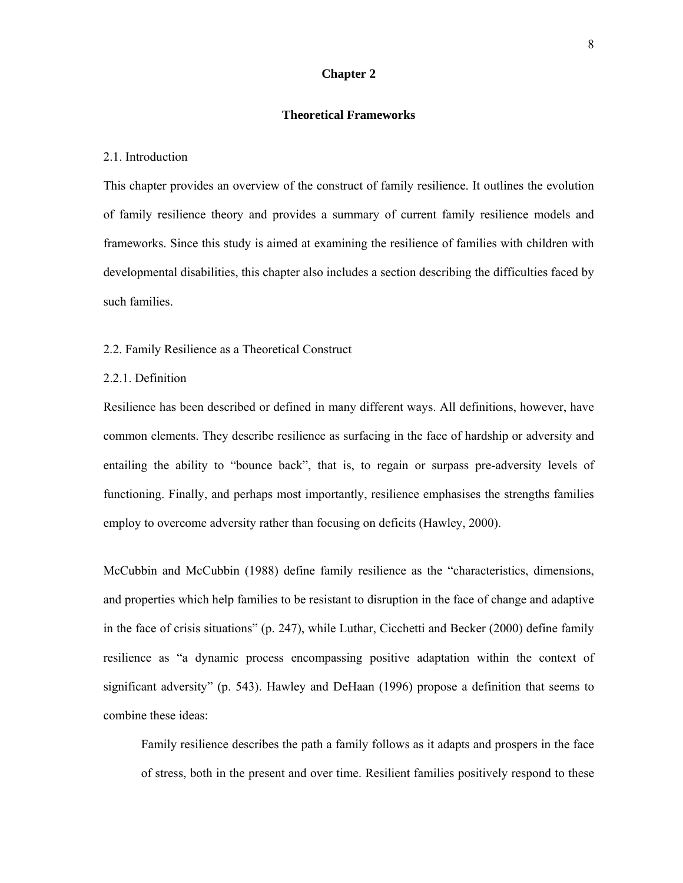# **Chapter 2**

#### **Theoretical Frameworks**

### 2.1. Introduction

This chapter provides an overview of the construct of family resilience. It outlines the evolution of family resilience theory and provides a summary of current family resilience models and frameworks. Since this study is aimed at examining the resilience of families with children with developmental disabilities, this chapter also includes a section describing the difficulties faced by such families.

# 2.2. Family Resilience as a Theoretical Construct

#### 2.2.1. Definition

Resilience has been described or defined in many different ways. All definitions, however, have common elements. They describe resilience as surfacing in the face of hardship or adversity and entailing the ability to "bounce back", that is, to regain or surpass pre-adversity levels of functioning. Finally, and perhaps most importantly, resilience emphasises the strengths families employ to overcome adversity rather than focusing on deficits (Hawley, 2000).

McCubbin and McCubbin (1988) define family resilience as the "characteristics, dimensions, and properties which help families to be resistant to disruption in the face of change and adaptive in the face of crisis situations" (p. 247), while Luthar, Cicchetti and Becker (2000) define family resilience as "a dynamic process encompassing positive adaptation within the context of significant adversity" (p. 543). Hawley and DeHaan (1996) propose a definition that seems to combine these ideas:

Family resilience describes the path a family follows as it adapts and prospers in the face of stress, both in the present and over time. Resilient families positively respond to these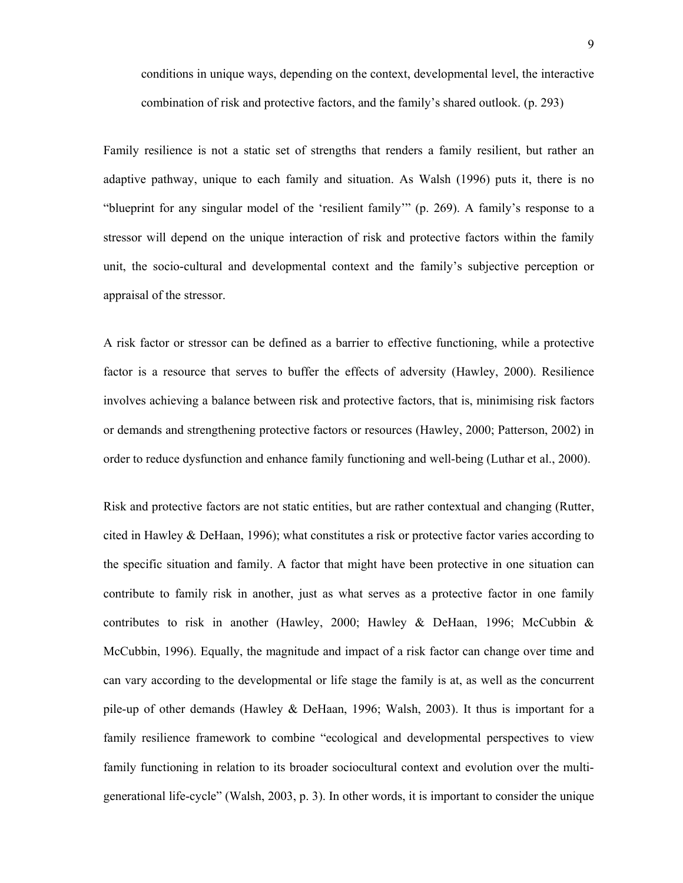conditions in unique ways, depending on the context, developmental level, the interactive combination of risk and protective factors, and the family's shared outlook. (p. 293)

Family resilience is not a static set of strengths that renders a family resilient, but rather an adaptive pathway, unique to each family and situation. As Walsh (1996) puts it, there is no "blueprint for any singular model of the 'resilient family'" (p. 269). A family's response to a stressor will depend on the unique interaction of risk and protective factors within the family unit, the socio-cultural and developmental context and the family's subjective perception or appraisal of the stressor.

A risk factor or stressor can be defined as a barrier to effective functioning, while a protective factor is a resource that serves to buffer the effects of adversity (Hawley, 2000). Resilience involves achieving a balance between risk and protective factors, that is, minimising risk factors or demands and strengthening protective factors or resources (Hawley, 2000; Patterson, 2002) in order to reduce dysfunction and enhance family functioning and well-being (Luthar et al., 2000).

Risk and protective factors are not static entities, but are rather contextual and changing (Rutter, cited in Hawley & DeHaan, 1996); what constitutes a risk or protective factor varies according to the specific situation and family. A factor that might have been protective in one situation can contribute to family risk in another, just as what serves as a protective factor in one family contributes to risk in another (Hawley, 2000; Hawley & DeHaan, 1996; McCubbin & McCubbin, 1996). Equally, the magnitude and impact of a risk factor can change over time and can vary according to the developmental or life stage the family is at, as well as the concurrent pile-up of other demands (Hawley & DeHaan, 1996; Walsh, 2003). It thus is important for a family resilience framework to combine "ecological and developmental perspectives to view family functioning in relation to its broader sociocultural context and evolution over the multigenerational life-cycle" (Walsh, 2003, p. 3). In other words, it is important to consider the unique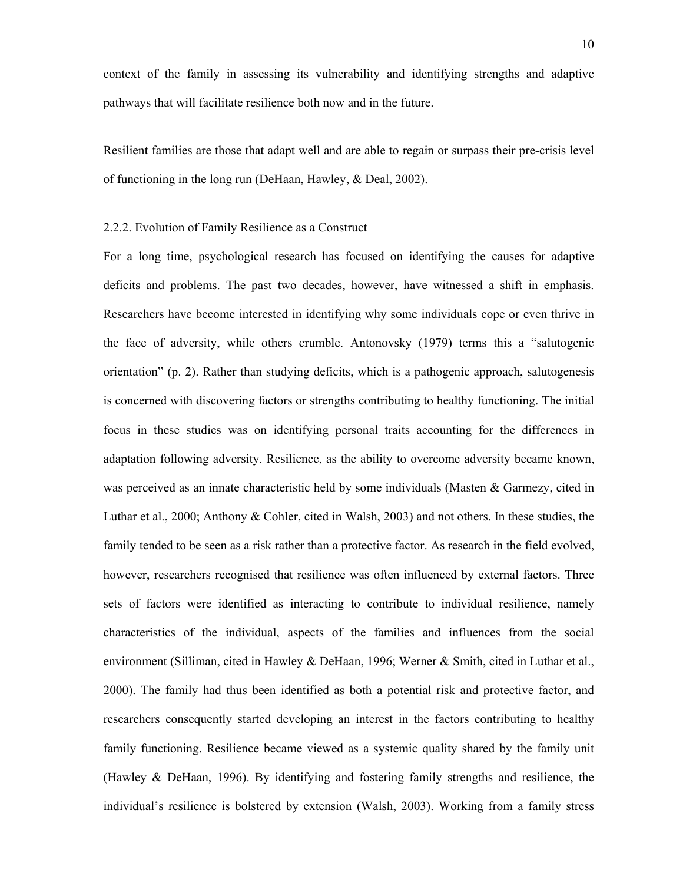context of the family in assessing its vulnerability and identifying strengths and adaptive pathways that will facilitate resilience both now and in the future.

Resilient families are those that adapt well and are able to regain or surpass their pre-crisis level of functioning in the long run (DeHaan, Hawley, & Deal, 2002).

# 2.2.2. Evolution of Family Resilience as a Construct

For a long time, psychological research has focused on identifying the causes for adaptive deficits and problems. The past two decades, however, have witnessed a shift in emphasis. Researchers have become interested in identifying why some individuals cope or even thrive in the face of adversity, while others crumble. Antonovsky (1979) terms this a "salutogenic orientation" (p. 2). Rather than studying deficits, which is a pathogenic approach, salutogenesis is concerned with discovering factors or strengths contributing to healthy functioning. The initial focus in these studies was on identifying personal traits accounting for the differences in adaptation following adversity. Resilience, as the ability to overcome adversity became known, was perceived as an innate characteristic held by some individuals (Masten & Garmezy, cited in Luthar et al., 2000; Anthony & Cohler, cited in Walsh, 2003) and not others. In these studies, the family tended to be seen as a risk rather than a protective factor. As research in the field evolved, however, researchers recognised that resilience was often influenced by external factors. Three sets of factors were identified as interacting to contribute to individual resilience, namely characteristics of the individual, aspects of the families and influences from the social environment (Silliman, cited in Hawley & DeHaan, 1996; Werner & Smith, cited in Luthar et al., 2000). The family had thus been identified as both a potential risk and protective factor, and researchers consequently started developing an interest in the factors contributing to healthy family functioning. Resilience became viewed as a systemic quality shared by the family unit (Hawley & DeHaan, 1996). By identifying and fostering family strengths and resilience, the individual's resilience is bolstered by extension (Walsh, 2003). Working from a family stress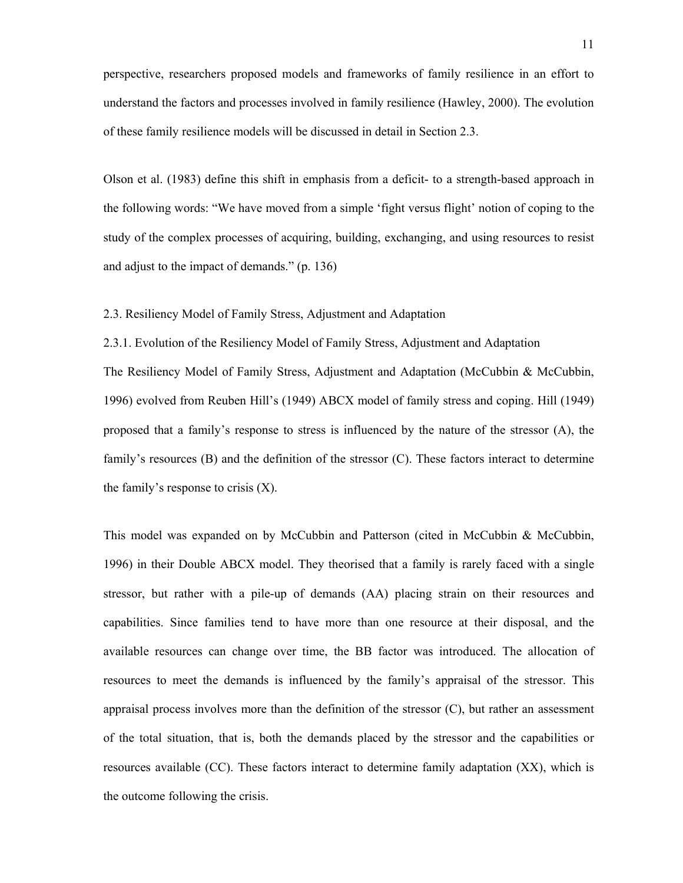perspective, researchers proposed models and frameworks of family resilience in an effort to understand the factors and processes involved in family resilience (Hawley, 2000). The evolution of these family resilience models will be discussed in detail in Section 2.3.

Olson et al. (1983) define this shift in emphasis from a deficit- to a strength-based approach in the following words: "We have moved from a simple 'fight versus flight' notion of coping to the study of the complex processes of acquiring, building, exchanging, and using resources to resist and adjust to the impact of demands." (p. 136)

2.3. Resiliency Model of Family Stress, Adjustment and Adaptation

2.3.1. Evolution of the Resiliency Model of Family Stress, Adjustment and Adaptation The Resiliency Model of Family Stress, Adjustment and Adaptation (McCubbin & McCubbin, 1996) evolved from Reuben Hill's (1949) ABCX model of family stress and coping. Hill (1949) proposed that a family's response to stress is influenced by the nature of the stressor (A), the family's resources (B) and the definition of the stressor (C). These factors interact to determine the family's response to crisis (X).

This model was expanded on by McCubbin and Patterson (cited in McCubbin & McCubbin, 1996) in their Double ABCX model. They theorised that a family is rarely faced with a single stressor, but rather with a pile-up of demands (AA) placing strain on their resources and capabilities. Since families tend to have more than one resource at their disposal, and the available resources can change over time, the BB factor was introduced. The allocation of resources to meet the demands is influenced by the family's appraisal of the stressor. This appraisal process involves more than the definition of the stressor (C), but rather an assessment of the total situation, that is, both the demands placed by the stressor and the capabilities or resources available (CC). These factors interact to determine family adaptation (XX), which is the outcome following the crisis.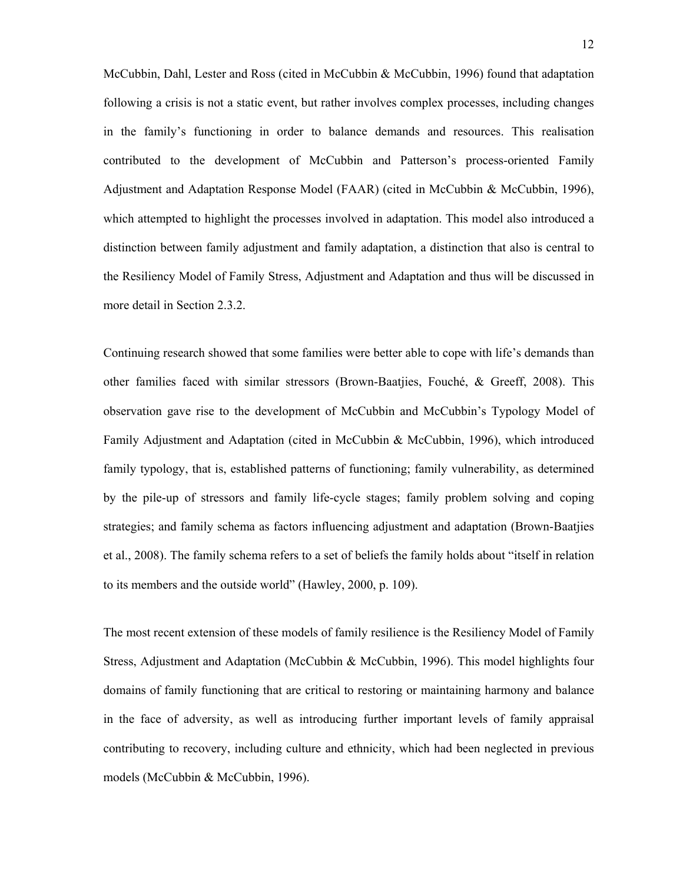McCubbin, Dahl, Lester and Ross (cited in McCubbin & McCubbin, 1996) found that adaptation following a crisis is not a static event, but rather involves complex processes, including changes in the family's functioning in order to balance demands and resources. This realisation contributed to the development of McCubbin and Patterson's process-oriented Family Adjustment and Adaptation Response Model (FAAR) (cited in McCubbin & McCubbin, 1996), which attempted to highlight the processes involved in adaptation. This model also introduced a distinction between family adjustment and family adaptation, a distinction that also is central to the Resiliency Model of Family Stress, Adjustment and Adaptation and thus will be discussed in more detail in Section 2.3.2.

Continuing research showed that some families were better able to cope with life's demands than other families faced with similar stressors (Brown-Baatjies, Fouché, & Greeff, 2008). This observation gave rise to the development of McCubbin and McCubbin's Typology Model of Family Adjustment and Adaptation (cited in McCubbin & McCubbin, 1996), which introduced family typology, that is, established patterns of functioning; family vulnerability, as determined by the pile-up of stressors and family life-cycle stages; family problem solving and coping strategies; and family schema as factors influencing adjustment and adaptation (Brown-Baatjies et al., 2008). The family schema refers to a set of beliefs the family holds about "itself in relation to its members and the outside world" (Hawley, 2000, p. 109).

The most recent extension of these models of family resilience is the Resiliency Model of Family Stress, Adjustment and Adaptation (McCubbin & McCubbin, 1996). This model highlights four domains of family functioning that are critical to restoring or maintaining harmony and balance in the face of adversity, as well as introducing further important levels of family appraisal contributing to recovery, including culture and ethnicity, which had been neglected in previous models (McCubbin & McCubbin, 1996).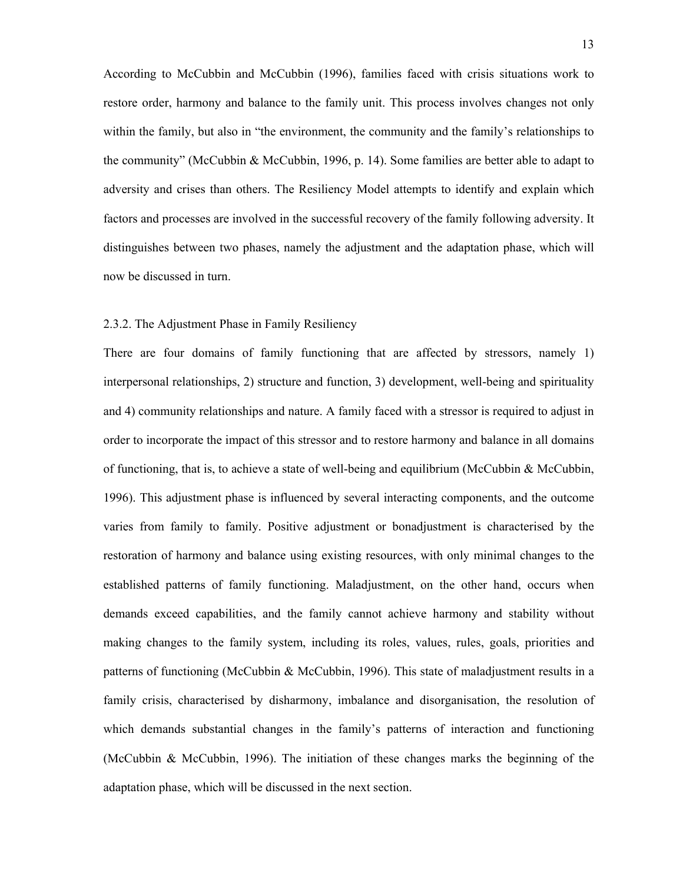According to McCubbin and McCubbin (1996), families faced with crisis situations work to restore order, harmony and balance to the family unit. This process involves changes not only within the family, but also in "the environment, the community and the family's relationships to the community" (McCubbin & McCubbin, 1996, p. 14). Some families are better able to adapt to adversity and crises than others. The Resiliency Model attempts to identify and explain which factors and processes are involved in the successful recovery of the family following adversity. It distinguishes between two phases, namely the adjustment and the adaptation phase, which will now be discussed in turn.

# 2.3.2. The Adjustment Phase in Family Resiliency

There are four domains of family functioning that are affected by stressors, namely 1) interpersonal relationships, 2) structure and function, 3) development, well-being and spirituality and 4) community relationships and nature. A family faced with a stressor is required to adjust in order to incorporate the impact of this stressor and to restore harmony and balance in all domains of functioning, that is, to achieve a state of well-being and equilibrium (McCubbin & McCubbin, 1996). This adjustment phase is influenced by several interacting components, and the outcome varies from family to family. Positive adjustment or bonadjustment is characterised by the restoration of harmony and balance using existing resources, with only minimal changes to the established patterns of family functioning. Maladjustment, on the other hand, occurs when demands exceed capabilities, and the family cannot achieve harmony and stability without making changes to the family system, including its roles, values, rules, goals, priorities and patterns of functioning (McCubbin & McCubbin, 1996). This state of maladjustment results in a family crisis, characterised by disharmony, imbalance and disorganisation, the resolution of which demands substantial changes in the family's patterns of interaction and functioning (McCubbin & McCubbin, 1996). The initiation of these changes marks the beginning of the adaptation phase, which will be discussed in the next section.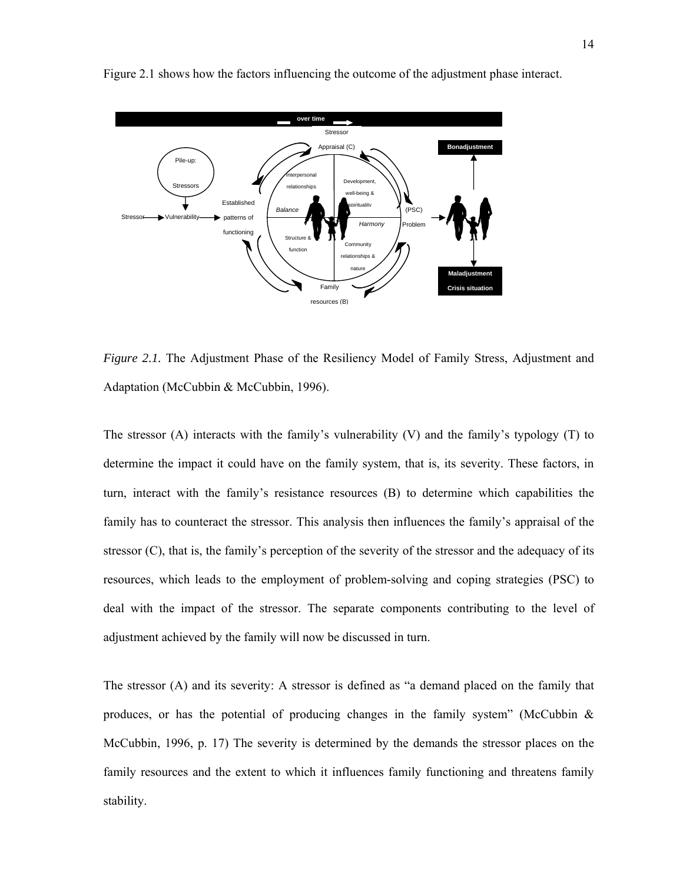

Figure 2.1 shows how the factors influencing the outcome of the adjustment phase interact.

*Figure 2.1.* The Adjustment Phase of the Resiliency Model of Family Stress, Adjustment and Adaptation (McCubbin & McCubbin, 1996).

The stressor (A) interacts with the family's vulnerability (V) and the family's typology (T) to determine the impact it could have on the family system, that is, its severity. These factors, in turn, interact with the family's resistance resources (B) to determine which capabilities the family has to counteract the stressor. This analysis then influences the family's appraisal of the stressor (C), that is, the family's perception of the severity of the stressor and the adequacy of its resources, which leads to the employment of problem-solving and coping strategies (PSC) to deal with the impact of the stressor. The separate components contributing to the level of adjustment achieved by the family will now be discussed in turn.

The stressor (A) and its severity: A stressor is defined as "a demand placed on the family that produces, or has the potential of producing changes in the family system" (McCubbin  $\&$ McCubbin, 1996, p. 17) The severity is determined by the demands the stressor places on the family resources and the extent to which it influences family functioning and threatens family stability.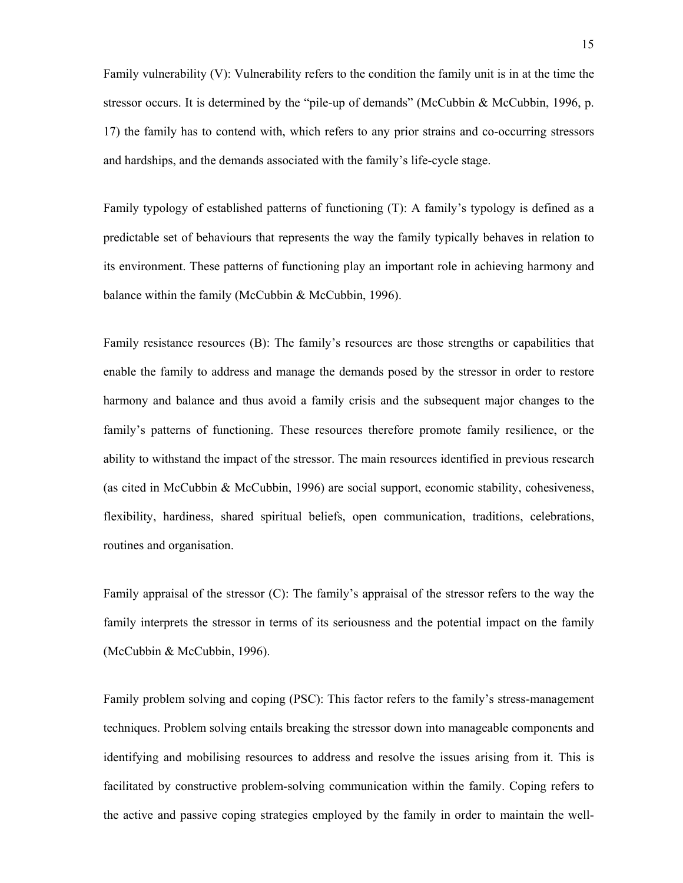Family vulnerability (V): Vulnerability refers to the condition the family unit is in at the time the stressor occurs. It is determined by the "pile-up of demands" (McCubbin & McCubbin, 1996, p. 17) the family has to contend with, which refers to any prior strains and co-occurring stressors and hardships, and the demands associated with the family's life-cycle stage.

Family typology of established patterns of functioning (T): A family's typology is defined as a predictable set of behaviours that represents the way the family typically behaves in relation to its environment. These patterns of functioning play an important role in achieving harmony and balance within the family (McCubbin & McCubbin, 1996).

Family resistance resources (B): The family's resources are those strengths or capabilities that enable the family to address and manage the demands posed by the stressor in order to restore harmony and balance and thus avoid a family crisis and the subsequent major changes to the family's patterns of functioning. These resources therefore promote family resilience, or the ability to withstand the impact of the stressor. The main resources identified in previous research (as cited in McCubbin & McCubbin, 1996) are social support, economic stability, cohesiveness, flexibility, hardiness, shared spiritual beliefs, open communication, traditions, celebrations, routines and organisation.

Family appraisal of the stressor (C): The family's appraisal of the stressor refers to the way the family interprets the stressor in terms of its seriousness and the potential impact on the family (McCubbin & McCubbin, 1996).

Family problem solving and coping (PSC): This factor refers to the family's stress-management techniques. Problem solving entails breaking the stressor down into manageable components and identifying and mobilising resources to address and resolve the issues arising from it. This is facilitated by constructive problem-solving communication within the family. Coping refers to the active and passive coping strategies employed by the family in order to maintain the well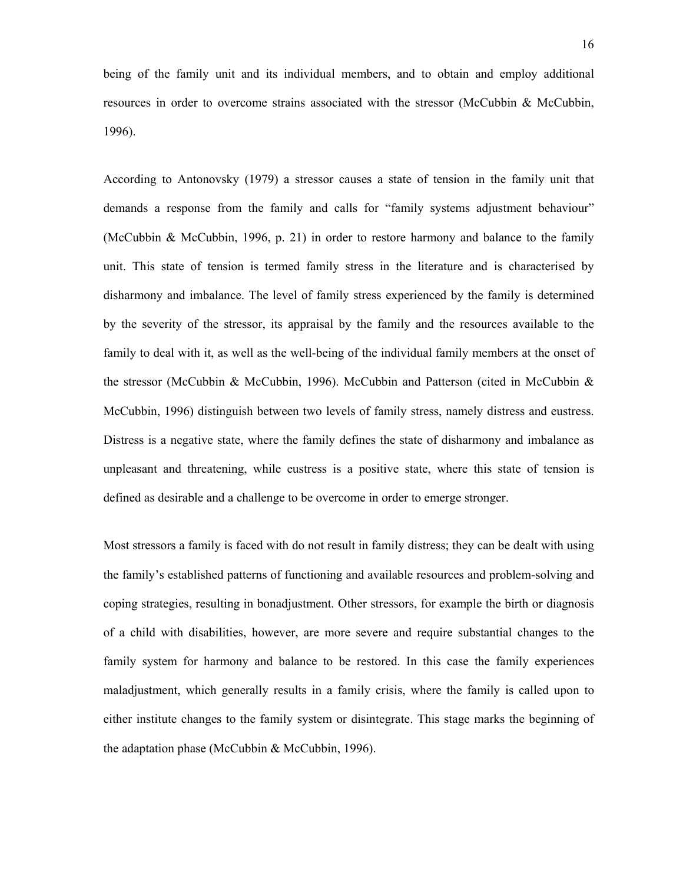being of the family unit and its individual members, and to obtain and employ additional resources in order to overcome strains associated with the stressor (McCubbin & McCubbin, 1996).

According to Antonovsky (1979) a stressor causes a state of tension in the family unit that demands a response from the family and calls for "family systems adjustment behaviour" (McCubbin & McCubbin, 1996, p. 21) in order to restore harmony and balance to the family unit. This state of tension is termed family stress in the literature and is characterised by disharmony and imbalance. The level of family stress experienced by the family is determined by the severity of the stressor, its appraisal by the family and the resources available to the family to deal with it, as well as the well-being of the individual family members at the onset of the stressor (McCubbin & McCubbin, 1996). McCubbin and Patterson (cited in McCubbin & McCubbin, 1996) distinguish between two levels of family stress, namely distress and eustress. Distress is a negative state, where the family defines the state of disharmony and imbalance as unpleasant and threatening, while eustress is a positive state, where this state of tension is defined as desirable and a challenge to be overcome in order to emerge stronger.

Most stressors a family is faced with do not result in family distress; they can be dealt with using the family's established patterns of functioning and available resources and problem-solving and coping strategies, resulting in bonadjustment. Other stressors, for example the birth or diagnosis of a child with disabilities, however, are more severe and require substantial changes to the family system for harmony and balance to be restored. In this case the family experiences maladjustment, which generally results in a family crisis, where the family is called upon to either institute changes to the family system or disintegrate. This stage marks the beginning of the adaptation phase (McCubbin & McCubbin, 1996).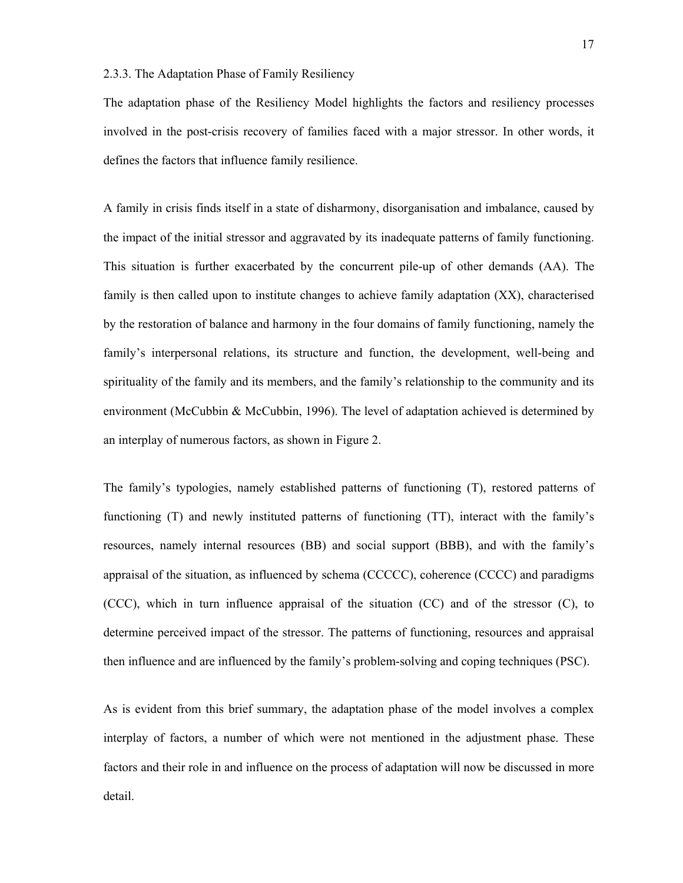#### 2.3.3. The Adaptation Phase of Family Resiliency

The adaptation phase of the Resiliency Model highlights the factors and resiliency processes involved in the post-crisis recovery of families faced with a major stressor. In other words, it defines the factors that influence family resilience.

A family in crisis finds itself in a state of disharmony, disorganisation and imbalance, caused by the impact of the initial stressor and aggravated by its inadequate patterns of family functioning. This situation is further exacerbated by the concurrent pile-up of other demands (AA). The family is then called upon to institute changes to achieve family adaptation (XX), characterised by the restoration of balance and harmony in the four domains of family functioning, namely the family's interpersonal relations, its structure and function, the development, well-being and spirituality of the family and its members, and the family's relationship to the community and its environment (McCubbin & McCubbin, 1996). The level of adaptation achieved is determined by an interplay of numerous factors, as shown in Figure 2.

The family's typologies, namely established patterns of functioning (T), restored patterns of functioning (T) and newly instituted patterns of functioning (TT), interact with the family's resources, namely internal resources (BB) and social support (BBB), and with the family's appraisal of the situation, as influenced by schema (CCCCC), coherence (CCCC) and paradigms (CCC), which in turn influence appraisal of the situation (CC) and of the stressor (C), to determine perceived impact of the stressor. The patterns of functioning, resources and appraisal then influence and are influenced by the family's problem-solving and coping techniques (PSC).

As is evident from this brief summary, the adaptation phase of the model involves a complex interplay of factors, a number of which were not mentioned in the adjustment phase. These factors and their role in and influence on the process of adaptation will now be discussed in more detail.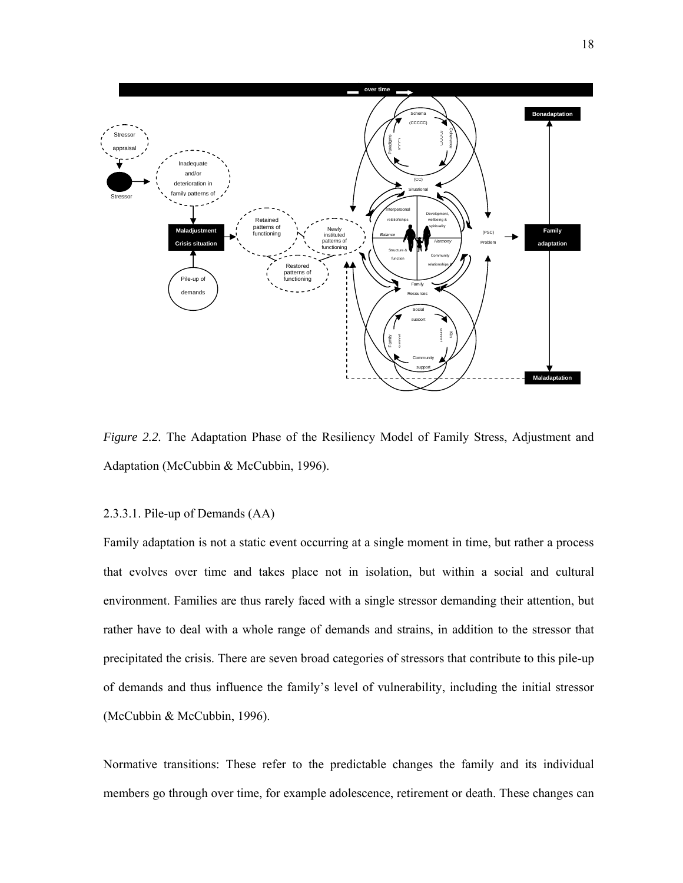

*Figure 2.2.* The Adaptation Phase of the Resiliency Model of Family Stress, Adjustment and Adaptation (McCubbin & McCubbin, 1996).

#### 2.3.3.1. Pile-up of Demands (AA)

Family adaptation is not a static event occurring at a single moment in time, but rather a process that evolves over time and takes place not in isolation, but within a social and cultural environment. Families are thus rarely faced with a single stressor demanding their attention, but rather have to deal with a whole range of demands and strains, in addition to the stressor that precipitated the crisis. There are seven broad categories of stressors that contribute to this pile-up of demands and thus influence the family's level of vulnerability, including the initial stressor (McCubbin & McCubbin, 1996).

Normative transitions: These refer to the predictable changes the family and its individual members go through over time, for example adolescence, retirement or death. These changes can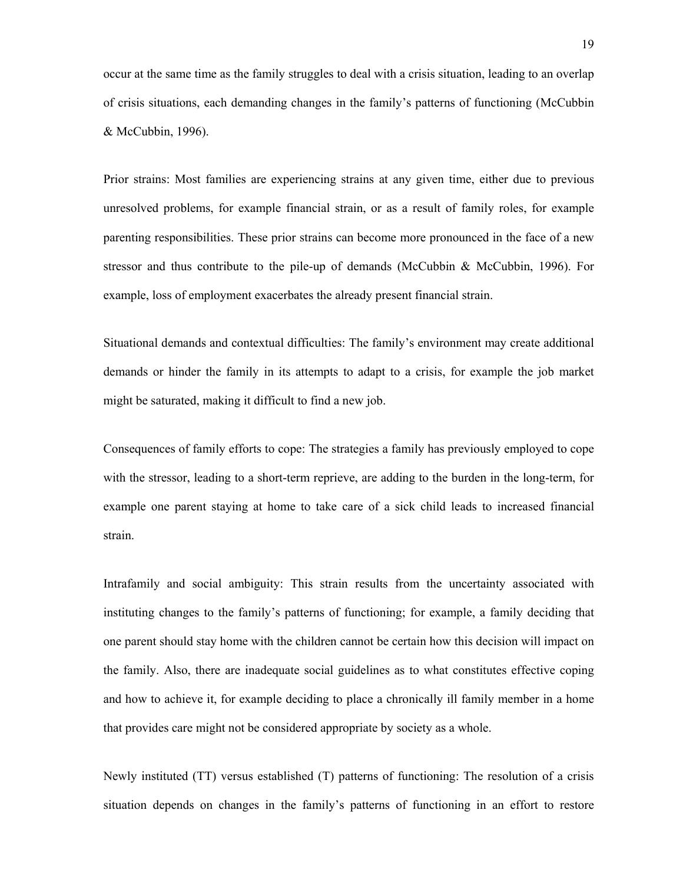occur at the same time as the family struggles to deal with a crisis situation, leading to an overlap of crisis situations, each demanding changes in the family's patterns of functioning (McCubbin & McCubbin, 1996).

Prior strains: Most families are experiencing strains at any given time, either due to previous unresolved problems, for example financial strain, or as a result of family roles, for example parenting responsibilities. These prior strains can become more pronounced in the face of a new stressor and thus contribute to the pile-up of demands (McCubbin & McCubbin, 1996). For example, loss of employment exacerbates the already present financial strain.

Situational demands and contextual difficulties: The family's environment may create additional demands or hinder the family in its attempts to adapt to a crisis, for example the job market might be saturated, making it difficult to find a new job.

Consequences of family efforts to cope: The strategies a family has previously employed to cope with the stressor, leading to a short-term reprieve, are adding to the burden in the long-term, for example one parent staying at home to take care of a sick child leads to increased financial strain.

Intrafamily and social ambiguity: This strain results from the uncertainty associated with instituting changes to the family's patterns of functioning; for example, a family deciding that one parent should stay home with the children cannot be certain how this decision will impact on the family. Also, there are inadequate social guidelines as to what constitutes effective coping and how to achieve it, for example deciding to place a chronically ill family member in a home that provides care might not be considered appropriate by society as a whole.

Newly instituted (TT) versus established (T) patterns of functioning: The resolution of a crisis situation depends on changes in the family's patterns of functioning in an effort to restore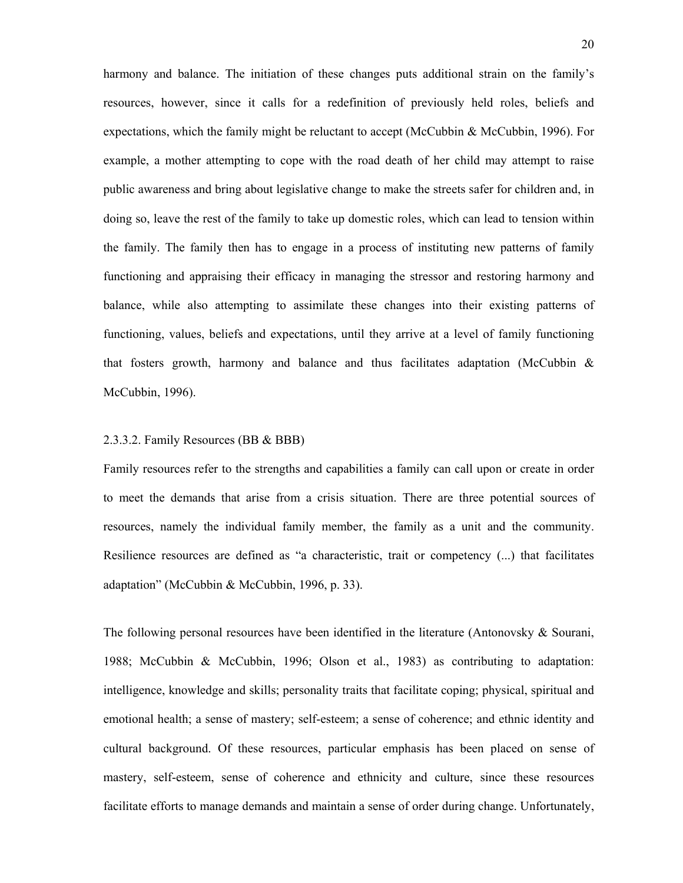harmony and balance. The initiation of these changes puts additional strain on the family's resources, however, since it calls for a redefinition of previously held roles, beliefs and expectations, which the family might be reluctant to accept (McCubbin & McCubbin, 1996). For example, a mother attempting to cope with the road death of her child may attempt to raise public awareness and bring about legislative change to make the streets safer for children and, in doing so, leave the rest of the family to take up domestic roles, which can lead to tension within the family. The family then has to engage in a process of instituting new patterns of family functioning and appraising their efficacy in managing the stressor and restoring harmony and balance, while also attempting to assimilate these changes into their existing patterns of functioning, values, beliefs and expectations, until they arrive at a level of family functioning that fosters growth, harmony and balance and thus facilitates adaptation (McCubbin  $\&$ McCubbin, 1996).

#### 2.3.3.2. Family Resources (BB & BBB)

Family resources refer to the strengths and capabilities a family can call upon or create in order to meet the demands that arise from a crisis situation. There are three potential sources of resources, namely the individual family member, the family as a unit and the community. Resilience resources are defined as "a characteristic, trait or competency (...) that facilitates adaptation" (McCubbin & McCubbin, 1996, p. 33).

The following personal resources have been identified in the literature (Antonovsky & Sourani, 1988; McCubbin & McCubbin, 1996; Olson et al., 1983) as contributing to adaptation: intelligence, knowledge and skills; personality traits that facilitate coping; physical, spiritual and emotional health; a sense of mastery; self-esteem; a sense of coherence; and ethnic identity and cultural background. Of these resources, particular emphasis has been placed on sense of mastery, self-esteem, sense of coherence and ethnicity and culture, since these resources facilitate efforts to manage demands and maintain a sense of order during change. Unfortunately,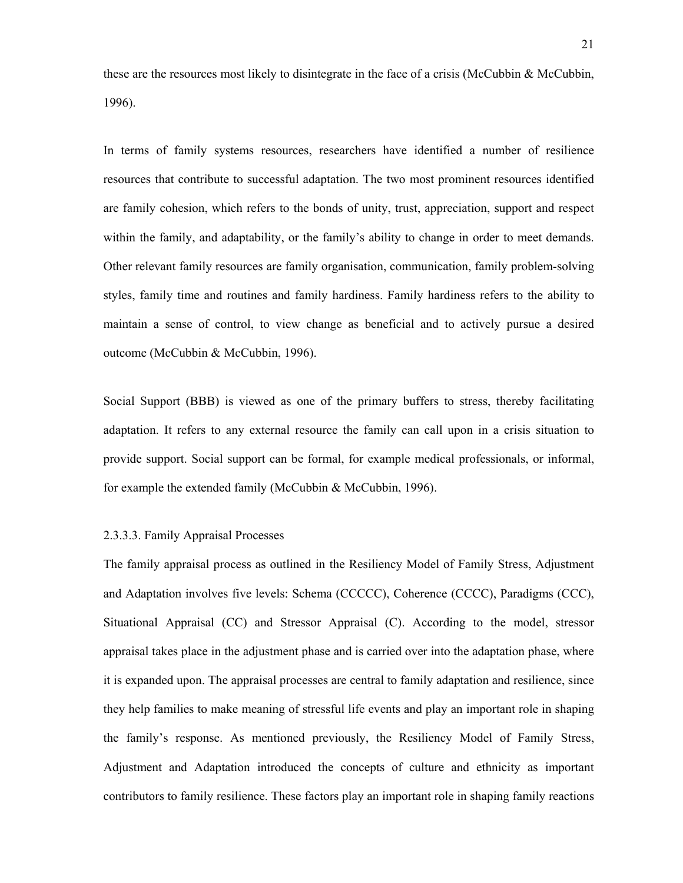these are the resources most likely to disintegrate in the face of a crisis (McCubbin & McCubbin, 1996).

In terms of family systems resources, researchers have identified a number of resilience resources that contribute to successful adaptation. The two most prominent resources identified are family cohesion, which refers to the bonds of unity, trust, appreciation, support and respect within the family, and adaptability, or the family's ability to change in order to meet demands. Other relevant family resources are family organisation, communication, family problem-solving styles, family time and routines and family hardiness. Family hardiness refers to the ability to maintain a sense of control, to view change as beneficial and to actively pursue a desired outcome (McCubbin & McCubbin, 1996).

Social Support (BBB) is viewed as one of the primary buffers to stress, thereby facilitating adaptation. It refers to any external resource the family can call upon in a crisis situation to provide support. Social support can be formal, for example medical professionals, or informal, for example the extended family (McCubbin & McCubbin, 1996).

#### 2.3.3.3. Family Appraisal Processes

The family appraisal process as outlined in the Resiliency Model of Family Stress, Adjustment and Adaptation involves five levels: Schema (CCCCC), Coherence (CCCC), Paradigms (CCC), Situational Appraisal (CC) and Stressor Appraisal (C). According to the model, stressor appraisal takes place in the adjustment phase and is carried over into the adaptation phase, where it is expanded upon. The appraisal processes are central to family adaptation and resilience, since they help families to make meaning of stressful life events and play an important role in shaping the family's response. As mentioned previously, the Resiliency Model of Family Stress, Adjustment and Adaptation introduced the concepts of culture and ethnicity as important contributors to family resilience. These factors play an important role in shaping family reactions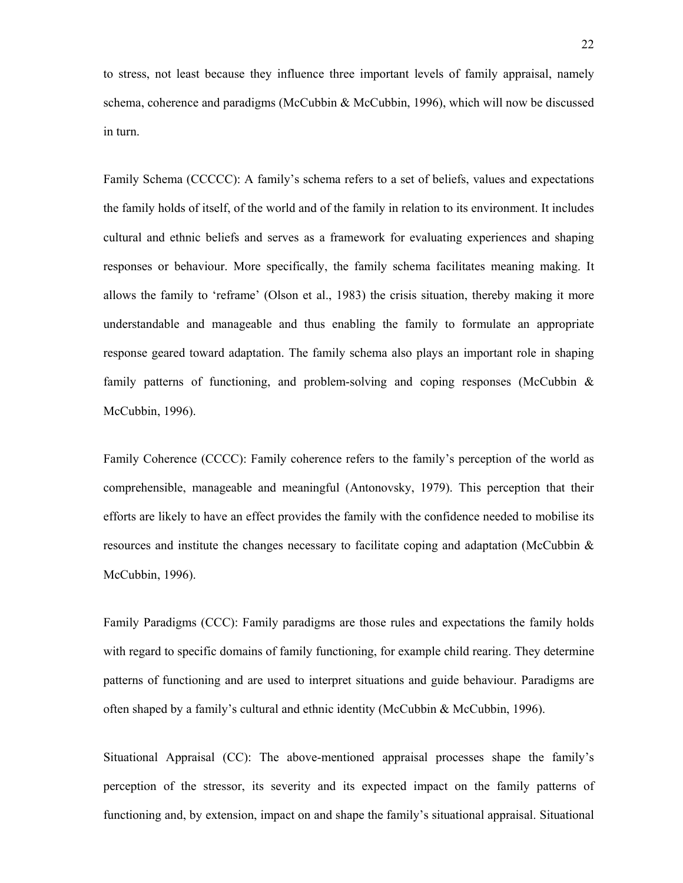to stress, not least because they influence three important levels of family appraisal, namely schema, coherence and paradigms (McCubbin & McCubbin, 1996), which will now be discussed in turn.

Family Schema (CCCCC): A family's schema refers to a set of beliefs, values and expectations the family holds of itself, of the world and of the family in relation to its environment. It includes cultural and ethnic beliefs and serves as a framework for evaluating experiences and shaping responses or behaviour. More specifically, the family schema facilitates meaning making. It allows the family to 'reframe' (Olson et al., 1983) the crisis situation, thereby making it more understandable and manageable and thus enabling the family to formulate an appropriate response geared toward adaptation. The family schema also plays an important role in shaping family patterns of functioning, and problem-solving and coping responses (McCubbin  $\&$ McCubbin, 1996).

Family Coherence (CCCC): Family coherence refers to the family's perception of the world as comprehensible, manageable and meaningful (Antonovsky, 1979). This perception that their efforts are likely to have an effect provides the family with the confidence needed to mobilise its resources and institute the changes necessary to facilitate coping and adaptation (McCubbin & McCubbin, 1996).

Family Paradigms (CCC): Family paradigms are those rules and expectations the family holds with regard to specific domains of family functioning, for example child rearing. They determine patterns of functioning and are used to interpret situations and guide behaviour. Paradigms are often shaped by a family's cultural and ethnic identity (McCubbin & McCubbin, 1996).

Situational Appraisal (CC): The above-mentioned appraisal processes shape the family's perception of the stressor, its severity and its expected impact on the family patterns of functioning and, by extension, impact on and shape the family's situational appraisal. Situational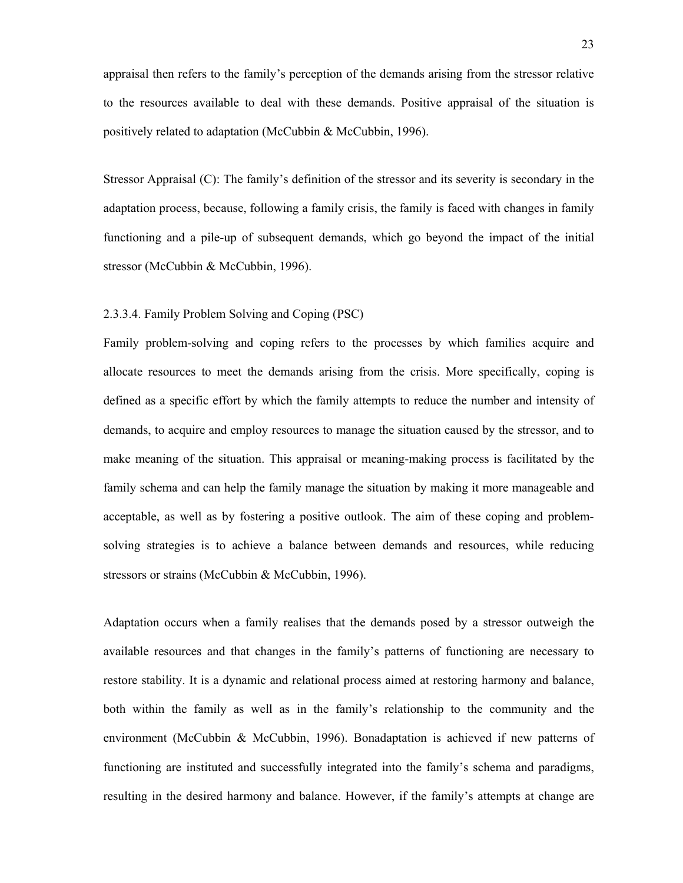appraisal then refers to the family's perception of the demands arising from the stressor relative to the resources available to deal with these demands. Positive appraisal of the situation is positively related to adaptation (McCubbin & McCubbin, 1996).

Stressor Appraisal (C): The family's definition of the stressor and its severity is secondary in the adaptation process, because, following a family crisis, the family is faced with changes in family functioning and a pile-up of subsequent demands, which go beyond the impact of the initial stressor (McCubbin & McCubbin, 1996).

# 2.3.3.4. Family Problem Solving and Coping (PSC)

Family problem-solving and coping refers to the processes by which families acquire and allocate resources to meet the demands arising from the crisis. More specifically, coping is defined as a specific effort by which the family attempts to reduce the number and intensity of demands, to acquire and employ resources to manage the situation caused by the stressor, and to make meaning of the situation. This appraisal or meaning-making process is facilitated by the family schema and can help the family manage the situation by making it more manageable and acceptable, as well as by fostering a positive outlook. The aim of these coping and problemsolving strategies is to achieve a balance between demands and resources, while reducing stressors or strains (McCubbin & McCubbin, 1996).

Adaptation occurs when a family realises that the demands posed by a stressor outweigh the available resources and that changes in the family's patterns of functioning are necessary to restore stability. It is a dynamic and relational process aimed at restoring harmony and balance, both within the family as well as in the family's relationship to the community and the environment (McCubbin & McCubbin, 1996). Bonadaptation is achieved if new patterns of functioning are instituted and successfully integrated into the family's schema and paradigms, resulting in the desired harmony and balance. However, if the family's attempts at change are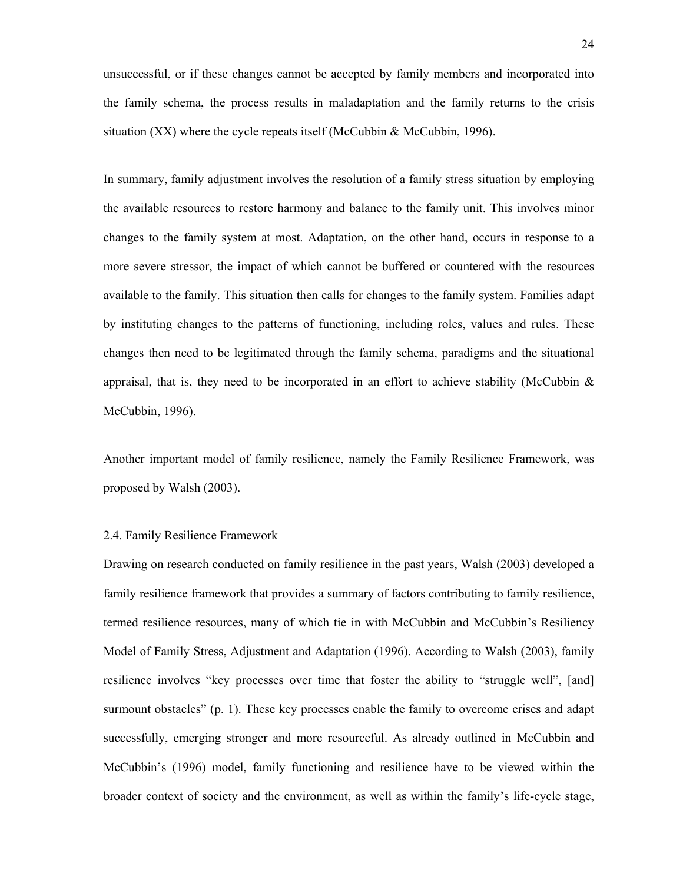unsuccessful, or if these changes cannot be accepted by family members and incorporated into the family schema, the process results in maladaptation and the family returns to the crisis situation (XX) where the cycle repeats itself (McCubbin  $\&$  McCubbin, 1996).

In summary, family adjustment involves the resolution of a family stress situation by employing the available resources to restore harmony and balance to the family unit. This involves minor changes to the family system at most. Adaptation, on the other hand, occurs in response to a more severe stressor, the impact of which cannot be buffered or countered with the resources available to the family. This situation then calls for changes to the family system. Families adapt by instituting changes to the patterns of functioning, including roles, values and rules. These changes then need to be legitimated through the family schema, paradigms and the situational appraisal, that is, they need to be incorporated in an effort to achieve stability (McCubbin  $\&$ McCubbin, 1996).

Another important model of family resilience, namely the Family Resilience Framework, was proposed by Walsh (2003).

#### 2.4. Family Resilience Framework

Drawing on research conducted on family resilience in the past years, Walsh (2003) developed a family resilience framework that provides a summary of factors contributing to family resilience, termed resilience resources, many of which tie in with McCubbin and McCubbin's Resiliency Model of Family Stress, Adjustment and Adaptation (1996). According to Walsh (2003), family resilience involves "key processes over time that foster the ability to "struggle well", [and] surmount obstacles" (p. 1). These key processes enable the family to overcome crises and adapt successfully, emerging stronger and more resourceful. As already outlined in McCubbin and McCubbin's (1996) model, family functioning and resilience have to be viewed within the broader context of society and the environment, as well as within the family's life-cycle stage,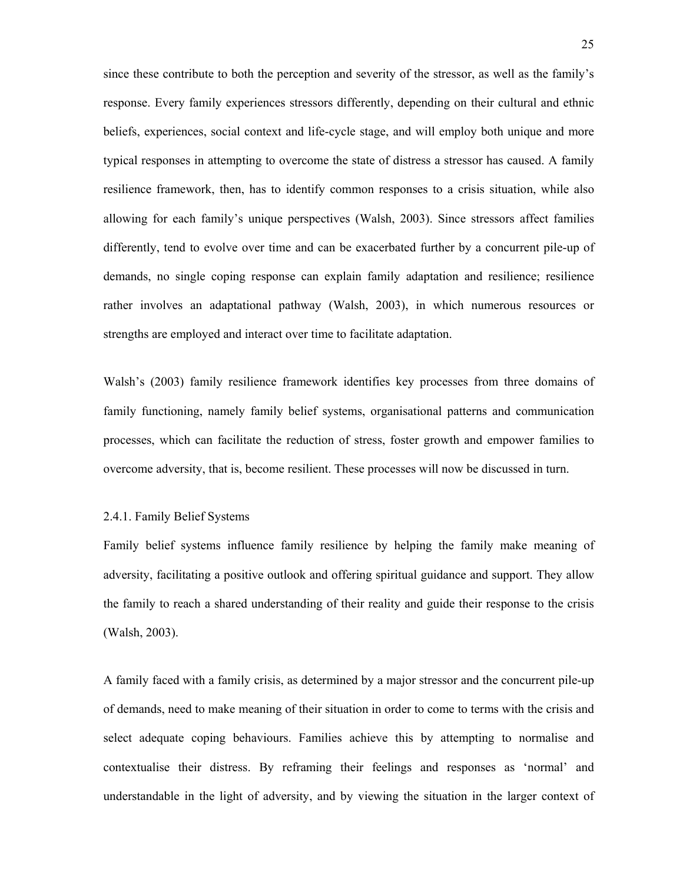since these contribute to both the perception and severity of the stressor, as well as the family's response. Every family experiences stressors differently, depending on their cultural and ethnic beliefs, experiences, social context and life-cycle stage, and will employ both unique and more typical responses in attempting to overcome the state of distress a stressor has caused. A family resilience framework, then, has to identify common responses to a crisis situation, while also allowing for each family's unique perspectives (Walsh, 2003). Since stressors affect families differently, tend to evolve over time and can be exacerbated further by a concurrent pile-up of demands, no single coping response can explain family adaptation and resilience; resilience rather involves an adaptational pathway (Walsh, 2003), in which numerous resources or strengths are employed and interact over time to facilitate adaptation.

Walsh's (2003) family resilience framework identifies key processes from three domains of family functioning, namely family belief systems, organisational patterns and communication processes, which can facilitate the reduction of stress, foster growth and empower families to overcome adversity, that is, become resilient. These processes will now be discussed in turn.

# 2.4.1. Family Belief Systems

Family belief systems influence family resilience by helping the family make meaning of adversity, facilitating a positive outlook and offering spiritual guidance and support. They allow the family to reach a shared understanding of their reality and guide their response to the crisis (Walsh, 2003).

A family faced with a family crisis, as determined by a major stressor and the concurrent pile-up of demands, need to make meaning of their situation in order to come to terms with the crisis and select adequate coping behaviours. Families achieve this by attempting to normalise and contextualise their distress. By reframing their feelings and responses as 'normal' and understandable in the light of adversity, and by viewing the situation in the larger context of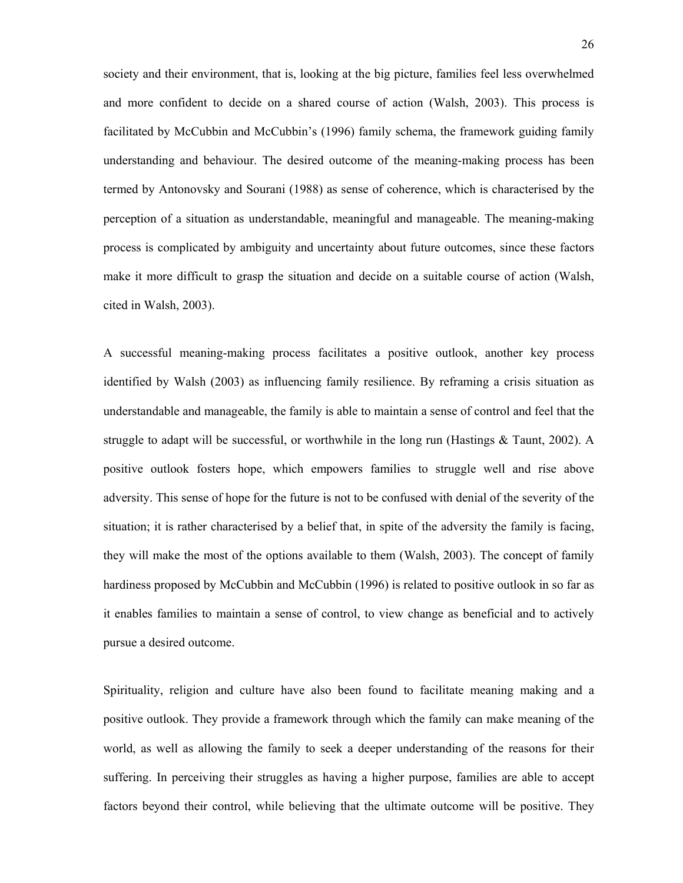society and their environment, that is, looking at the big picture, families feel less overwhelmed and more confident to decide on a shared course of action (Walsh, 2003). This process is facilitated by McCubbin and McCubbin's (1996) family schema, the framework guiding family understanding and behaviour. The desired outcome of the meaning-making process has been termed by Antonovsky and Sourani (1988) as sense of coherence, which is characterised by the perception of a situation as understandable, meaningful and manageable. The meaning-making process is complicated by ambiguity and uncertainty about future outcomes, since these factors make it more difficult to grasp the situation and decide on a suitable course of action (Walsh, cited in Walsh, 2003).

A successful meaning-making process facilitates a positive outlook, another key process identified by Walsh (2003) as influencing family resilience. By reframing a crisis situation as understandable and manageable, the family is able to maintain a sense of control and feel that the struggle to adapt will be successful, or worthwhile in the long run (Hastings & Taunt, 2002). A positive outlook fosters hope, which empowers families to struggle well and rise above adversity. This sense of hope for the future is not to be confused with denial of the severity of the situation; it is rather characterised by a belief that, in spite of the adversity the family is facing, they will make the most of the options available to them (Walsh, 2003). The concept of family hardiness proposed by McCubbin and McCubbin (1996) is related to positive outlook in so far as it enables families to maintain a sense of control, to view change as beneficial and to actively pursue a desired outcome.

Spirituality, religion and culture have also been found to facilitate meaning making and a positive outlook. They provide a framework through which the family can make meaning of the world, as well as allowing the family to seek a deeper understanding of the reasons for their suffering. In perceiving their struggles as having a higher purpose, families are able to accept factors beyond their control, while believing that the ultimate outcome will be positive. They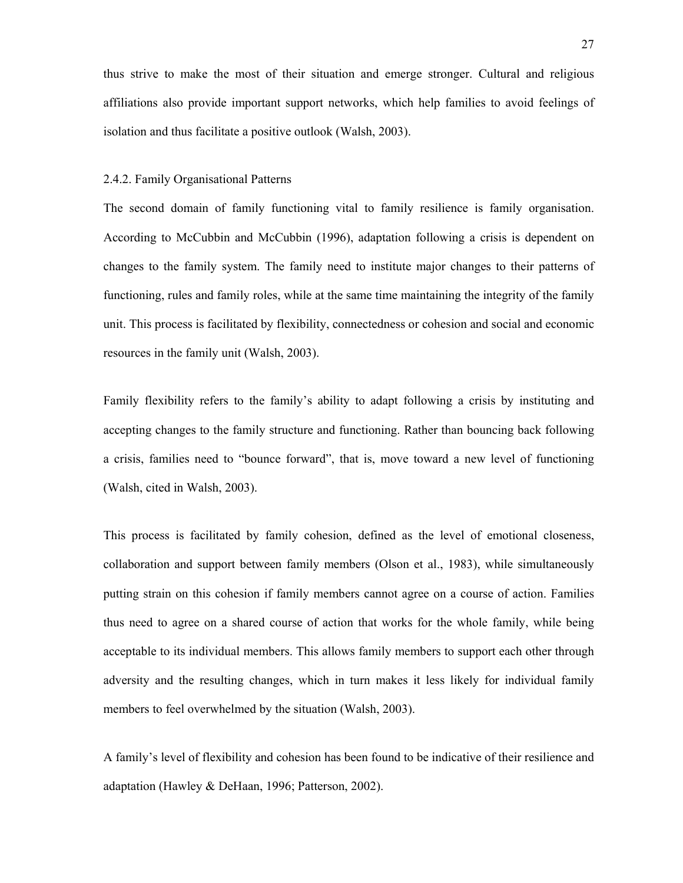thus strive to make the most of their situation and emerge stronger. Cultural and religious affiliations also provide important support networks, which help families to avoid feelings of isolation and thus facilitate a positive outlook (Walsh, 2003).

### 2.4.2. Family Organisational Patterns

The second domain of family functioning vital to family resilience is family organisation. According to McCubbin and McCubbin (1996), adaptation following a crisis is dependent on changes to the family system. The family need to institute major changes to their patterns of functioning, rules and family roles, while at the same time maintaining the integrity of the family unit. This process is facilitated by flexibility, connectedness or cohesion and social and economic resources in the family unit (Walsh, 2003).

Family flexibility refers to the family's ability to adapt following a crisis by instituting and accepting changes to the family structure and functioning. Rather than bouncing back following a crisis, families need to "bounce forward", that is, move toward a new level of functioning (Walsh, cited in Walsh, 2003).

This process is facilitated by family cohesion, defined as the level of emotional closeness, collaboration and support between family members (Olson et al., 1983), while simultaneously putting strain on this cohesion if family members cannot agree on a course of action. Families thus need to agree on a shared course of action that works for the whole family, while being acceptable to its individual members. This allows family members to support each other through adversity and the resulting changes, which in turn makes it less likely for individual family members to feel overwhelmed by the situation (Walsh, 2003).

A family's level of flexibility and cohesion has been found to be indicative of their resilience and adaptation (Hawley & DeHaan, 1996; Patterson, 2002).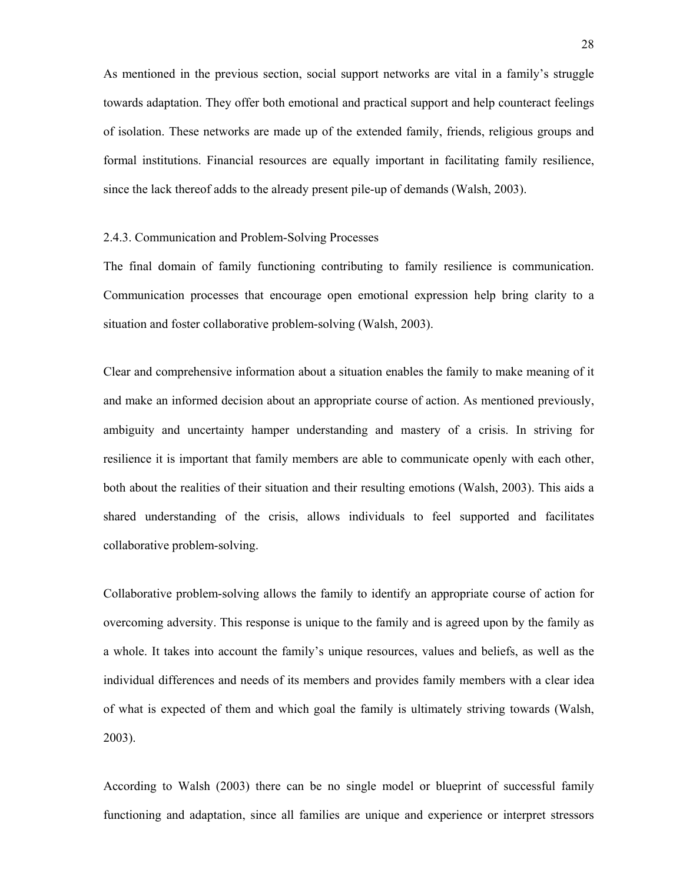As mentioned in the previous section, social support networks are vital in a family's struggle towards adaptation. They offer both emotional and practical support and help counteract feelings of isolation. These networks are made up of the extended family, friends, religious groups and formal institutions. Financial resources are equally important in facilitating family resilience, since the lack thereof adds to the already present pile-up of demands (Walsh, 2003).

#### 2.4.3. Communication and Problem-Solving Processes

The final domain of family functioning contributing to family resilience is communication. Communication processes that encourage open emotional expression help bring clarity to a situation and foster collaborative problem-solving (Walsh, 2003).

Clear and comprehensive information about a situation enables the family to make meaning of it and make an informed decision about an appropriate course of action. As mentioned previously, ambiguity and uncertainty hamper understanding and mastery of a crisis. In striving for resilience it is important that family members are able to communicate openly with each other, both about the realities of their situation and their resulting emotions (Walsh, 2003). This aids a shared understanding of the crisis, allows individuals to feel supported and facilitates collaborative problem-solving.

Collaborative problem-solving allows the family to identify an appropriate course of action for overcoming adversity. This response is unique to the family and is agreed upon by the family as a whole. It takes into account the family's unique resources, values and beliefs, as well as the individual differences and needs of its members and provides family members with a clear idea of what is expected of them and which goal the family is ultimately striving towards (Walsh, 2003).

According to Walsh (2003) there can be no single model or blueprint of successful family functioning and adaptation, since all families are unique and experience or interpret stressors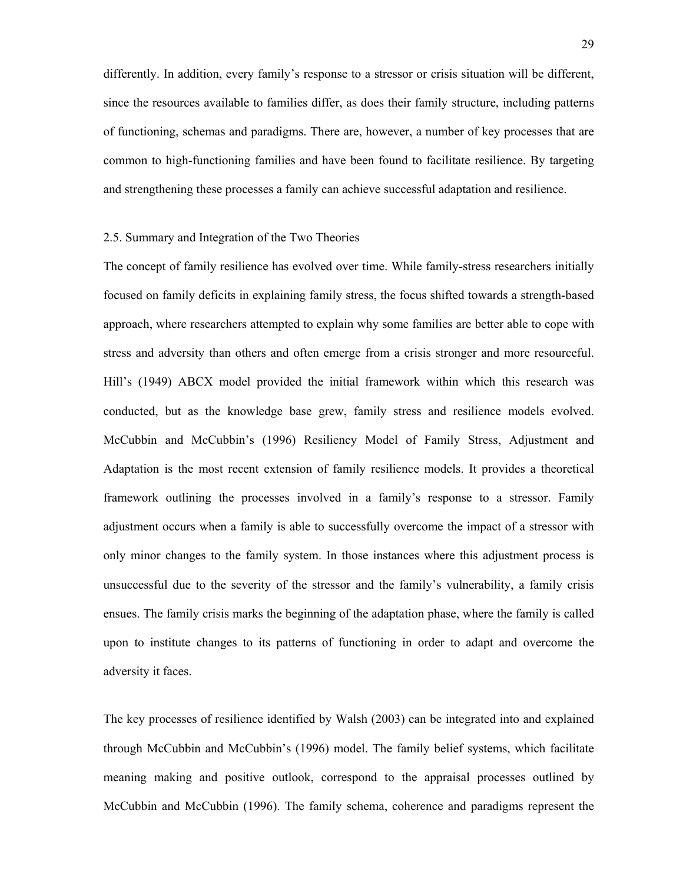differently. In addition, every family's response to a stressor or crisis situation will be different, since the resources available to families differ, as does their family structure, including patterns of functioning, schemas and paradigms. There are, however, a number of key processes that are common to high-functioning families and have been found to facilitate resilience. By targeting and strengthening these processes a family can achieve successful adaptation and resilience.

### 2.5. Summary and Integration of the Two Theories

The concept of family resilience has evolved over time. While family-stress researchers initially focused on family deficits in explaining family stress, the focus shifted towards a strength-based approach, where researchers attempted to explain why some families are better able to cope with stress and adversity than others and often emerge from a crisis stronger and more resourceful. Hill's (1949) ABCX model provided the initial framework within which this research was conducted, but as the knowledge base grew, family stress and resilience models evolved. McCubbin and McCubbin's (1996) Resiliency Model of Family Stress, Adjustment and Adaptation is the most recent extension of family resilience models. It provides a theoretical framework outlining the processes involved in a family's response to a stressor. Family adjustment occurs when a family is able to successfully overcome the impact of a stressor with only minor changes to the family system. In those instances where this adjustment process is unsuccessful due to the severity of the stressor and the family's vulnerability, a family crisis ensues. The family crisis marks the beginning of the adaptation phase, where the family is called upon to institute changes to its patterns of functioning in order to adapt and overcome the adversity it faces.

The key processes of resilience identified by Walsh (2003) can be integrated into and explained through McCubbin and McCubbin's (1996) model. The family belief systems, which facilitate meaning making and positive outlook, correspond to the appraisal processes outlined by McCubbin and McCubbin (1996). The family schema, coherence and paradigms represent the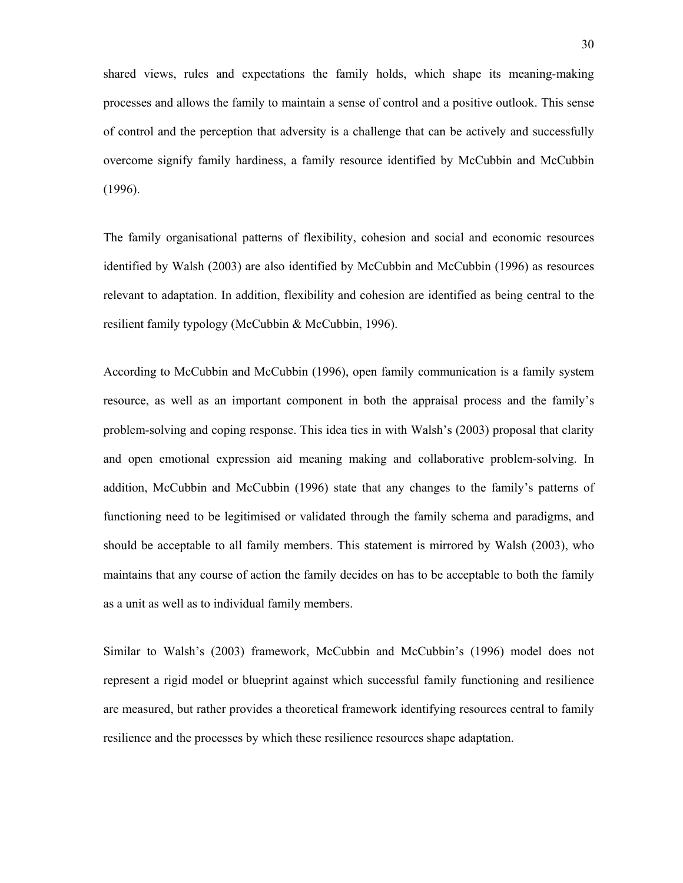shared views, rules and expectations the family holds, which shape its meaning-making processes and allows the family to maintain a sense of control and a positive outlook. This sense of control and the perception that adversity is a challenge that can be actively and successfully overcome signify family hardiness, a family resource identified by McCubbin and McCubbin (1996).

The family organisational patterns of flexibility, cohesion and social and economic resources identified by Walsh (2003) are also identified by McCubbin and McCubbin (1996) as resources relevant to adaptation. In addition, flexibility and cohesion are identified as being central to the resilient family typology (McCubbin & McCubbin, 1996).

According to McCubbin and McCubbin (1996), open family communication is a family system resource, as well as an important component in both the appraisal process and the family's problem-solving and coping response. This idea ties in with Walsh's (2003) proposal that clarity and open emotional expression aid meaning making and collaborative problem-solving. In addition, McCubbin and McCubbin (1996) state that any changes to the family's patterns of functioning need to be legitimised or validated through the family schema and paradigms, and should be acceptable to all family members. This statement is mirrored by Walsh (2003), who maintains that any course of action the family decides on has to be acceptable to both the family as a unit as well as to individual family members.

Similar to Walsh's (2003) framework, McCubbin and McCubbin's (1996) model does not represent a rigid model or blueprint against which successful family functioning and resilience are measured, but rather provides a theoretical framework identifying resources central to family resilience and the processes by which these resilience resources shape adaptation.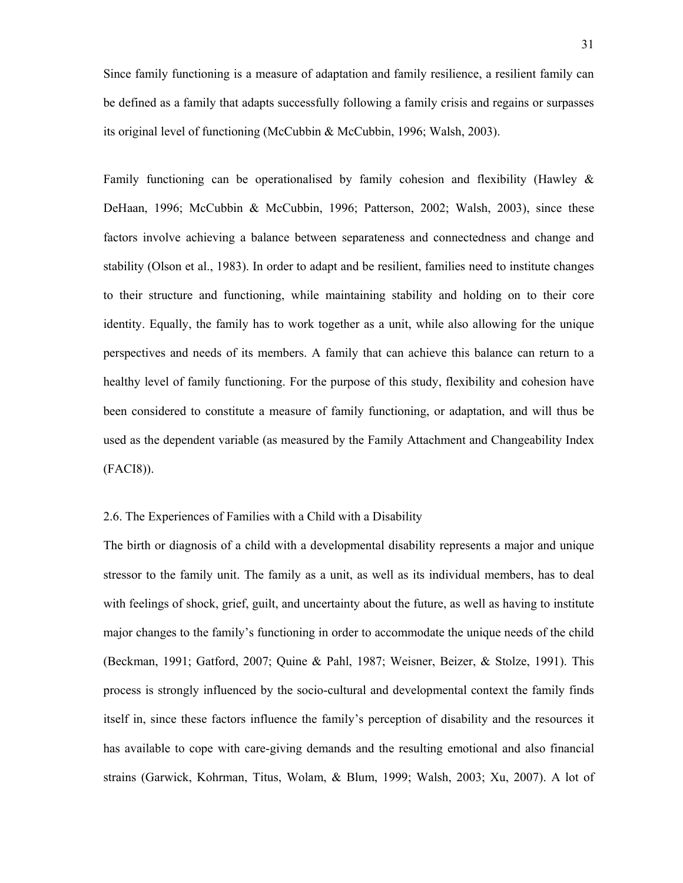Since family functioning is a measure of adaptation and family resilience, a resilient family can be defined as a family that adapts successfully following a family crisis and regains or surpasses its original level of functioning (McCubbin & McCubbin, 1996; Walsh, 2003).

Family functioning can be operationalised by family cohesion and flexibility (Hawley & DeHaan, 1996; McCubbin & McCubbin, 1996; Patterson, 2002; Walsh, 2003), since these factors involve achieving a balance between separateness and connectedness and change and stability (Olson et al., 1983). In order to adapt and be resilient, families need to institute changes to their structure and functioning, while maintaining stability and holding on to their core identity. Equally, the family has to work together as a unit, while also allowing for the unique perspectives and needs of its members. A family that can achieve this balance can return to a healthy level of family functioning. For the purpose of this study, flexibility and cohesion have been considered to constitute a measure of family functioning, or adaptation, and will thus be used as the dependent variable (as measured by the Family Attachment and Changeability Index (FACI8)).

# 2.6. The Experiences of Families with a Child with a Disability

The birth or diagnosis of a child with a developmental disability represents a major and unique stressor to the family unit. The family as a unit, as well as its individual members, has to deal with feelings of shock, grief, guilt, and uncertainty about the future, as well as having to institute major changes to the family's functioning in order to accommodate the unique needs of the child (Beckman, 1991; Gatford, 2007; Quine & Pahl, 1987; Weisner, Beizer, & Stolze, 1991). This process is strongly influenced by the socio-cultural and developmental context the family finds itself in, since these factors influence the family's perception of disability and the resources it has available to cope with care-giving demands and the resulting emotional and also financial strains (Garwick, Kohrman, Titus, Wolam, & Blum, 1999; Walsh, 2003; Xu, 2007). A lot of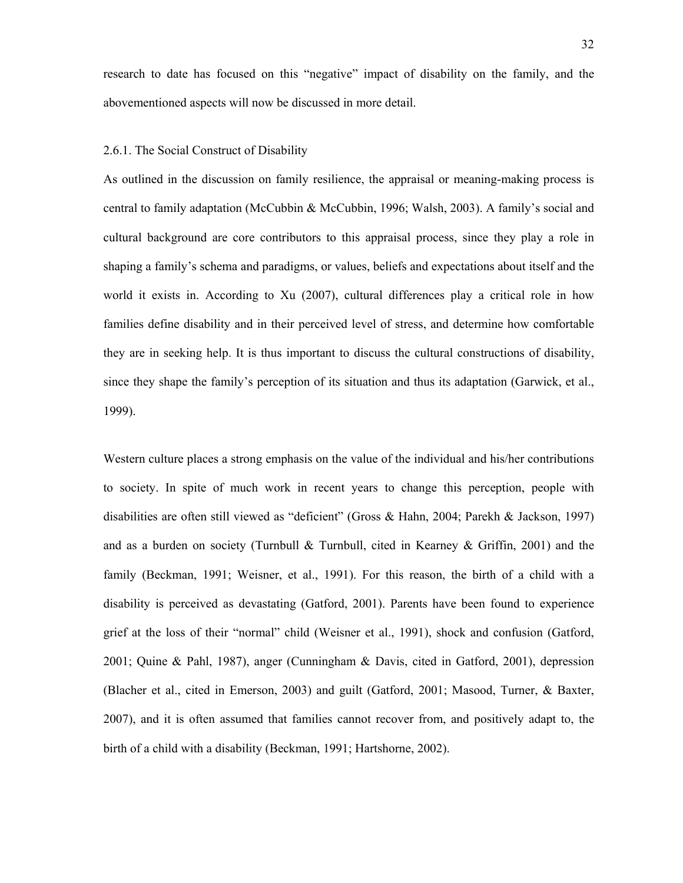research to date has focused on this "negative" impact of disability on the family, and the abovementioned aspects will now be discussed in more detail.

#### 2.6.1. The Social Construct of Disability

As outlined in the discussion on family resilience, the appraisal or meaning-making process is central to family adaptation (McCubbin & McCubbin, 1996; Walsh, 2003). A family's social and cultural background are core contributors to this appraisal process, since they play a role in shaping a family's schema and paradigms, or values, beliefs and expectations about itself and the world it exists in. According to Xu (2007), cultural differences play a critical role in how families define disability and in their perceived level of stress, and determine how comfortable they are in seeking help. It is thus important to discuss the cultural constructions of disability, since they shape the family's perception of its situation and thus its adaptation (Garwick, et al., 1999).

Western culture places a strong emphasis on the value of the individual and his/her contributions to society. In spite of much work in recent years to change this perception, people with disabilities are often still viewed as "deficient" (Gross & Hahn, 2004; Parekh & Jackson, 1997) and as a burden on society (Turnbull & Turnbull, cited in Kearney & Griffin, 2001) and the family (Beckman, 1991; Weisner, et al., 1991). For this reason, the birth of a child with a disability is perceived as devastating (Gatford, 2001). Parents have been found to experience grief at the loss of their "normal" child (Weisner et al., 1991), shock and confusion (Gatford, 2001; Quine & Pahl, 1987), anger (Cunningham & Davis, cited in Gatford, 2001), depression (Blacher et al., cited in Emerson, 2003) and guilt (Gatford, 2001; Masood, Turner, & Baxter, 2007), and it is often assumed that families cannot recover from, and positively adapt to, the birth of a child with a disability (Beckman, 1991; Hartshorne, 2002).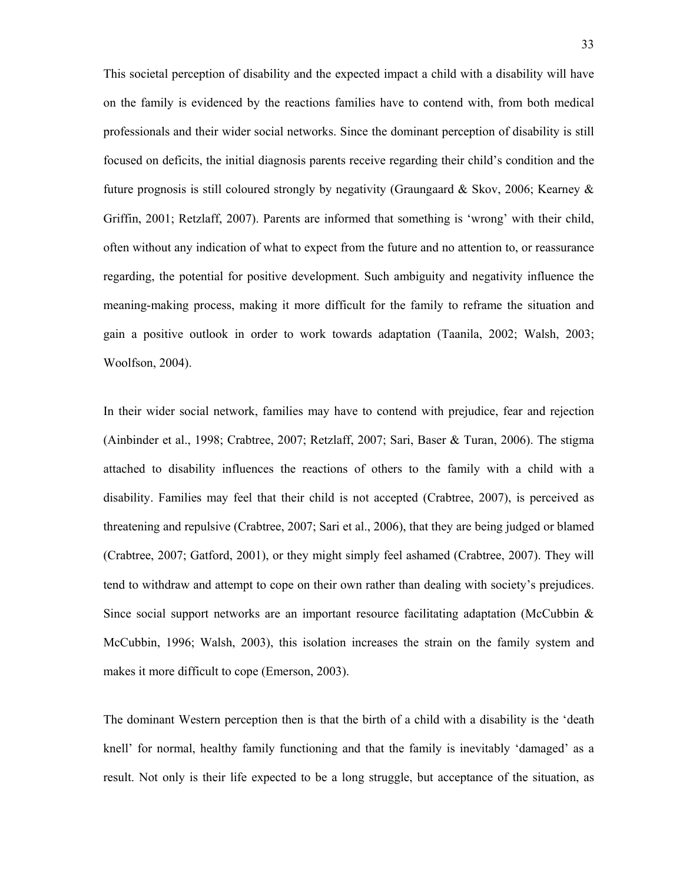This societal perception of disability and the expected impact a child with a disability will have on the family is evidenced by the reactions families have to contend with, from both medical professionals and their wider social networks. Since the dominant perception of disability is still focused on deficits, the initial diagnosis parents receive regarding their child's condition and the future prognosis is still coloured strongly by negativity (Graungaard & Skov, 2006; Kearney & Griffin, 2001; Retzlaff, 2007). Parents are informed that something is 'wrong' with their child, often without any indication of what to expect from the future and no attention to, or reassurance regarding, the potential for positive development. Such ambiguity and negativity influence the meaning-making process, making it more difficult for the family to reframe the situation and gain a positive outlook in order to work towards adaptation (Taanila, 2002; Walsh, 2003; Woolfson, 2004).

In their wider social network, families may have to contend with prejudice, fear and rejection (Ainbinder et al., 1998; Crabtree, 2007; Retzlaff, 2007; Sari, Baser & Turan, 2006). The stigma attached to disability influences the reactions of others to the family with a child with a disability. Families may feel that their child is not accepted (Crabtree, 2007), is perceived as threatening and repulsive (Crabtree, 2007; Sari et al., 2006), that they are being judged or blamed (Crabtree, 2007; Gatford, 2001), or they might simply feel ashamed (Crabtree, 2007). They will tend to withdraw and attempt to cope on their own rather than dealing with society's prejudices. Since social support networks are an important resource facilitating adaptation (McCubbin & McCubbin, 1996; Walsh, 2003), this isolation increases the strain on the family system and makes it more difficult to cope (Emerson, 2003).

The dominant Western perception then is that the birth of a child with a disability is the 'death knell' for normal, healthy family functioning and that the family is inevitably 'damaged' as a result. Not only is their life expected to be a long struggle, but acceptance of the situation, as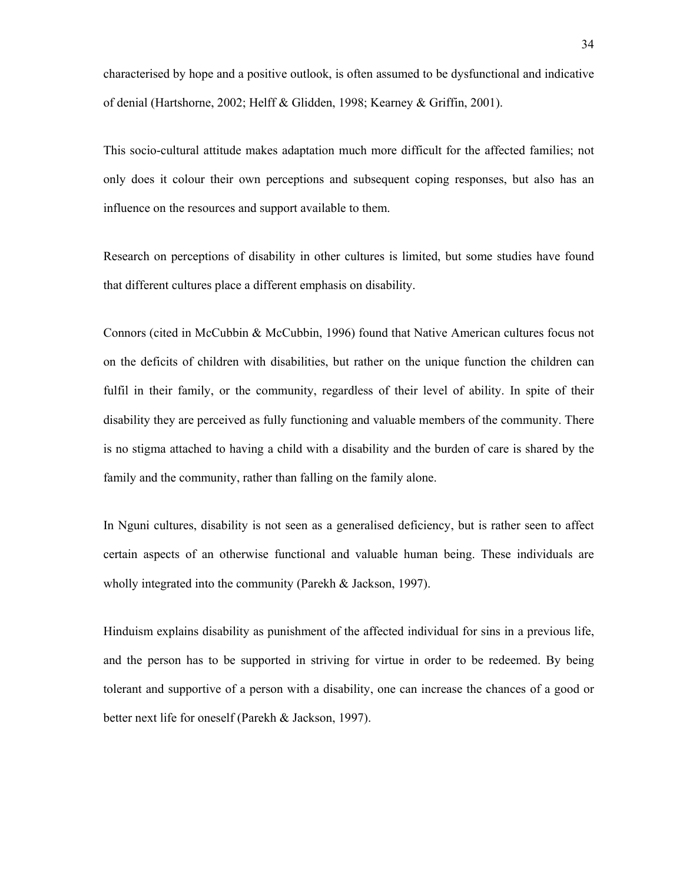characterised by hope and a positive outlook, is often assumed to be dysfunctional and indicative of denial (Hartshorne, 2002; Helff & Glidden, 1998; Kearney & Griffin, 2001).

This socio-cultural attitude makes adaptation much more difficult for the affected families; not only does it colour their own perceptions and subsequent coping responses, but also has an influence on the resources and support available to them.

Research on perceptions of disability in other cultures is limited, but some studies have found that different cultures place a different emphasis on disability.

Connors (cited in McCubbin & McCubbin, 1996) found that Native American cultures focus not on the deficits of children with disabilities, but rather on the unique function the children can fulfil in their family, or the community, regardless of their level of ability. In spite of their disability they are perceived as fully functioning and valuable members of the community. There is no stigma attached to having a child with a disability and the burden of care is shared by the family and the community, rather than falling on the family alone.

In Nguni cultures, disability is not seen as a generalised deficiency, but is rather seen to affect certain aspects of an otherwise functional and valuable human being. These individuals are wholly integrated into the community (Parekh & Jackson, 1997).

Hinduism explains disability as punishment of the affected individual for sins in a previous life, and the person has to be supported in striving for virtue in order to be redeemed. By being tolerant and supportive of a person with a disability, one can increase the chances of a good or better next life for oneself (Parekh & Jackson, 1997).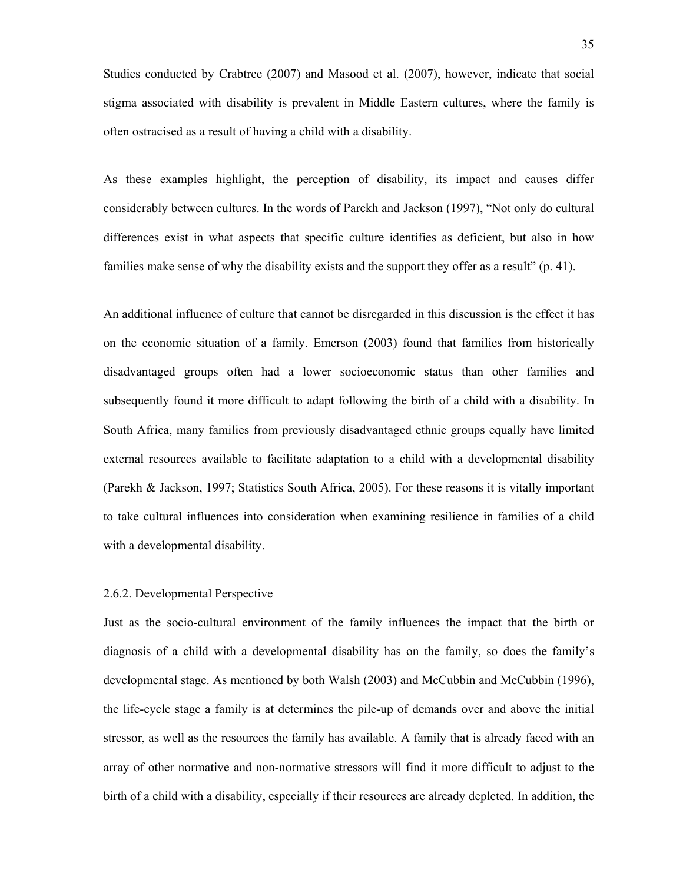Studies conducted by Crabtree (2007) and Masood et al. (2007), however, indicate that social stigma associated with disability is prevalent in Middle Eastern cultures, where the family is often ostracised as a result of having a child with a disability.

As these examples highlight, the perception of disability, its impact and causes differ considerably between cultures. In the words of Parekh and Jackson (1997), "Not only do cultural differences exist in what aspects that specific culture identifies as deficient, but also in how families make sense of why the disability exists and the support they offer as a result" (p. 41).

An additional influence of culture that cannot be disregarded in this discussion is the effect it has on the economic situation of a family. Emerson (2003) found that families from historically disadvantaged groups often had a lower socioeconomic status than other families and subsequently found it more difficult to adapt following the birth of a child with a disability. In South Africa, many families from previously disadvantaged ethnic groups equally have limited external resources available to facilitate adaptation to a child with a developmental disability (Parekh & Jackson, 1997; Statistics South Africa, 2005). For these reasons it is vitally important to take cultural influences into consideration when examining resilience in families of a child with a developmental disability.

### 2.6.2. Developmental Perspective

Just as the socio-cultural environment of the family influences the impact that the birth or diagnosis of a child with a developmental disability has on the family, so does the family's developmental stage. As mentioned by both Walsh (2003) and McCubbin and McCubbin (1996), the life-cycle stage a family is at determines the pile-up of demands over and above the initial stressor, as well as the resources the family has available. A family that is already faced with an array of other normative and non-normative stressors will find it more difficult to adjust to the birth of a child with a disability, especially if their resources are already depleted. In addition, the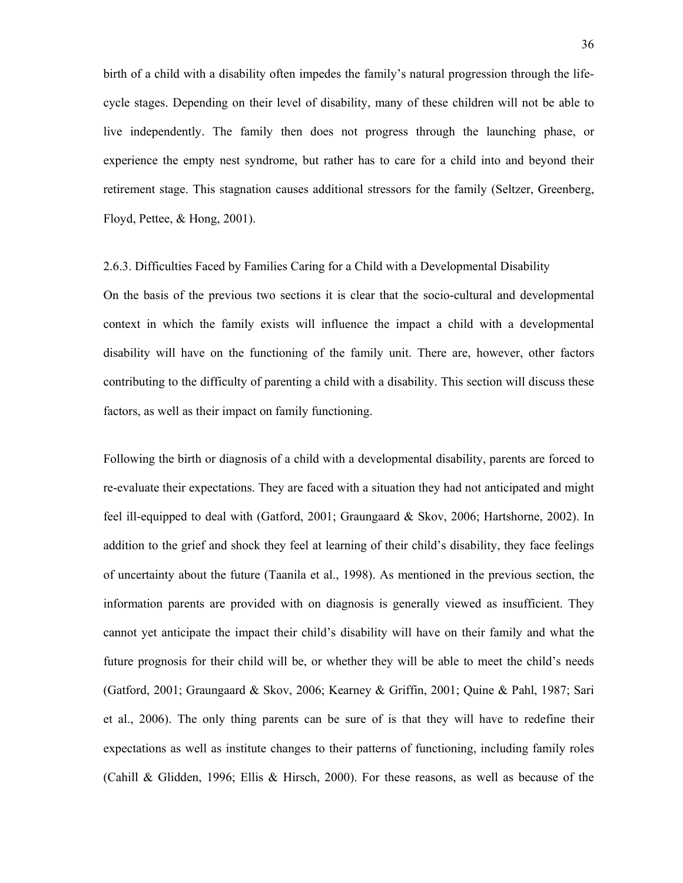birth of a child with a disability often impedes the family's natural progression through the lifecycle stages. Depending on their level of disability, many of these children will not be able to live independently. The family then does not progress through the launching phase, or experience the empty nest syndrome, but rather has to care for a child into and beyond their retirement stage. This stagnation causes additional stressors for the family (Seltzer, Greenberg, Floyd, Pettee, & Hong, 2001).

### 2.6.3. Difficulties Faced by Families Caring for a Child with a Developmental Disability

On the basis of the previous two sections it is clear that the socio-cultural and developmental context in which the family exists will influence the impact a child with a developmental disability will have on the functioning of the family unit. There are, however, other factors contributing to the difficulty of parenting a child with a disability. This section will discuss these factors, as well as their impact on family functioning.

Following the birth or diagnosis of a child with a developmental disability, parents are forced to re-evaluate their expectations. They are faced with a situation they had not anticipated and might feel ill-equipped to deal with (Gatford, 2001; Graungaard & Skov, 2006; Hartshorne, 2002). In addition to the grief and shock they feel at learning of their child's disability, they face feelings of uncertainty about the future (Taanila et al., 1998). As mentioned in the previous section, the information parents are provided with on diagnosis is generally viewed as insufficient. They cannot yet anticipate the impact their child's disability will have on their family and what the future prognosis for their child will be, or whether they will be able to meet the child's needs (Gatford, 2001; Graungaard & Skov, 2006; Kearney & Griffin, 2001; Quine & Pahl, 1987; Sari et al., 2006). The only thing parents can be sure of is that they will have to redefine their expectations as well as institute changes to their patterns of functioning, including family roles (Cahill & Glidden, 1996; Ellis & Hirsch, 2000). For these reasons, as well as because of the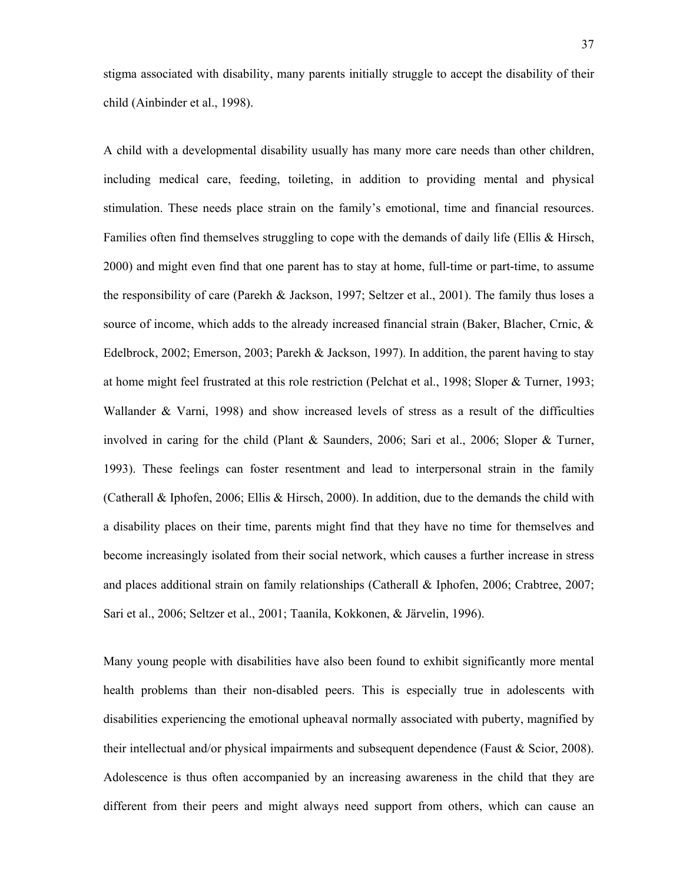stigma associated with disability, many parents initially struggle to accept the disability of their child (Ainbinder et al., 1998).

A child with a developmental disability usually has many more care needs than other children, including medical care, feeding, toileting, in addition to providing mental and physical stimulation. These needs place strain on the family's emotional, time and financial resources. Families often find themselves struggling to cope with the demands of daily life (Ellis & Hirsch, 2000) and might even find that one parent has to stay at home, full-time or part-time, to assume the responsibility of care (Parekh & Jackson, 1997; Seltzer et al., 2001). The family thus loses a source of income, which adds to the already increased financial strain (Baker, Blacher, Crnic, & Edelbrock, 2002; Emerson, 2003; Parekh & Jackson, 1997). In addition, the parent having to stay at home might feel frustrated at this role restriction (Pelchat et al., 1998; Sloper & Turner, 1993; Wallander & Varni, 1998) and show increased levels of stress as a result of the difficulties involved in caring for the child (Plant & Saunders, 2006; Sari et al., 2006; Sloper & Turner, 1993). These feelings can foster resentment and lead to interpersonal strain in the family (Catherall & Iphofen, 2006; Ellis & Hirsch, 2000). In addition, due to the demands the child with a disability places on their time, parents might find that they have no time for themselves and become increasingly isolated from their social network, which causes a further increase in stress and places additional strain on family relationships (Catherall & Iphofen, 2006; Crabtree, 2007; Sari et al., 2006; Seltzer et al., 2001; Taanila, Kokkonen, & Järvelin, 1996).

Many young people with disabilities have also been found to exhibit significantly more mental health problems than their non-disabled peers. This is especially true in adolescents with disabilities experiencing the emotional upheaval normally associated with puberty, magnified by their intellectual and/or physical impairments and subsequent dependence (Faust & Scior, 2008). Adolescence is thus often accompanied by an increasing awareness in the child that they are different from their peers and might always need support from others, which can cause an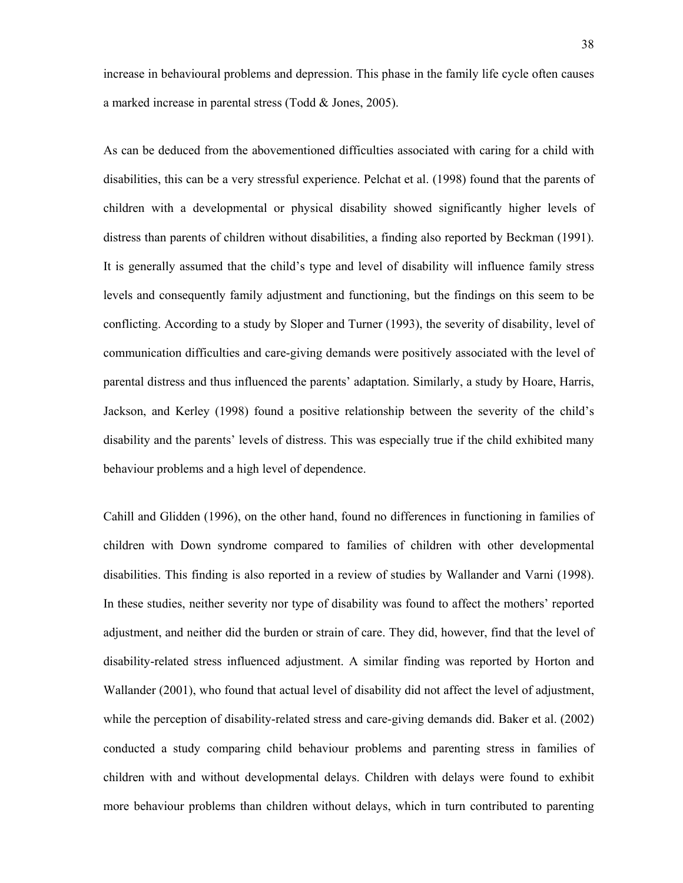increase in behavioural problems and depression. This phase in the family life cycle often causes a marked increase in parental stress (Todd & Jones, 2005).

As can be deduced from the abovementioned difficulties associated with caring for a child with disabilities, this can be a very stressful experience. Pelchat et al. (1998) found that the parents of children with a developmental or physical disability showed significantly higher levels of distress than parents of children without disabilities, a finding also reported by Beckman (1991). It is generally assumed that the child's type and level of disability will influence family stress levels and consequently family adjustment and functioning, but the findings on this seem to be conflicting. According to a study by Sloper and Turner (1993), the severity of disability, level of communication difficulties and care-giving demands were positively associated with the level of parental distress and thus influenced the parents' adaptation. Similarly, a study by Hoare, Harris, Jackson, and Kerley (1998) found a positive relationship between the severity of the child's disability and the parents' levels of distress. This was especially true if the child exhibited many behaviour problems and a high level of dependence.

Cahill and Glidden (1996), on the other hand, found no differences in functioning in families of children with Down syndrome compared to families of children with other developmental disabilities. This finding is also reported in a review of studies by Wallander and Varni (1998). In these studies, neither severity nor type of disability was found to affect the mothers' reported adjustment, and neither did the burden or strain of care. They did, however, find that the level of disability-related stress influenced adjustment. A similar finding was reported by Horton and Wallander (2001), who found that actual level of disability did not affect the level of adjustment, while the perception of disability-related stress and care-giving demands did. Baker et al. (2002) conducted a study comparing child behaviour problems and parenting stress in families of children with and without developmental delays. Children with delays were found to exhibit more behaviour problems than children without delays, which in turn contributed to parenting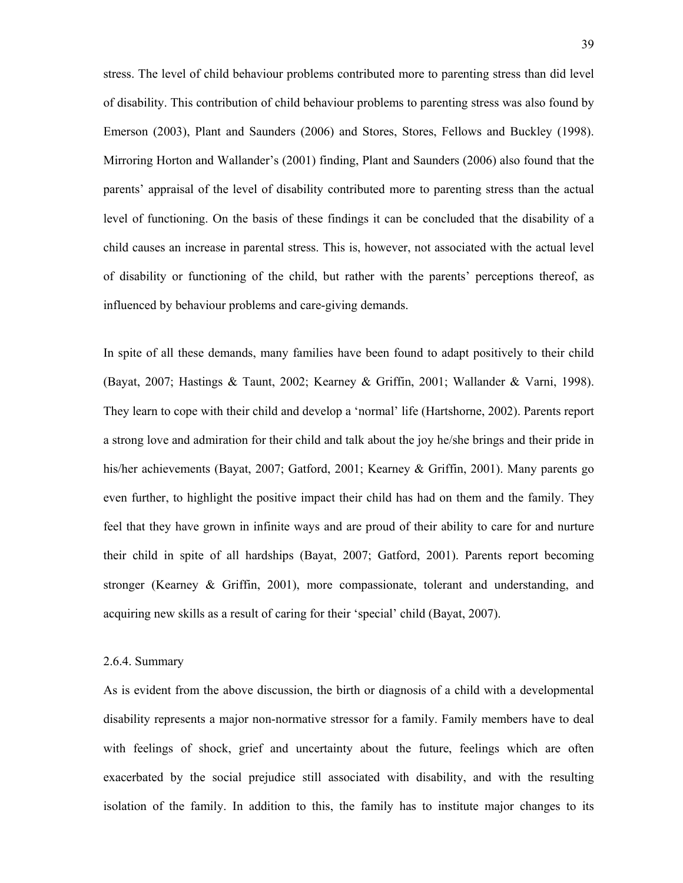stress. The level of child behaviour problems contributed more to parenting stress than did level of disability. This contribution of child behaviour problems to parenting stress was also found by Emerson (2003), Plant and Saunders (2006) and Stores, Stores, Fellows and Buckley (1998). Mirroring Horton and Wallander's (2001) finding, Plant and Saunders (2006) also found that the parents' appraisal of the level of disability contributed more to parenting stress than the actual level of functioning. On the basis of these findings it can be concluded that the disability of a child causes an increase in parental stress. This is, however, not associated with the actual level of disability or functioning of the child, but rather with the parents' perceptions thereof, as influenced by behaviour problems and care-giving demands.

In spite of all these demands, many families have been found to adapt positively to their child (Bayat, 2007; Hastings & Taunt, 2002; Kearney & Griffin, 2001; Wallander & Varni, 1998). They learn to cope with their child and develop a 'normal' life (Hartshorne, 2002). Parents report a strong love and admiration for their child and talk about the joy he/she brings and their pride in his/her achievements (Bayat, 2007; Gatford, 2001; Kearney & Griffin, 2001). Many parents go even further, to highlight the positive impact their child has had on them and the family. They feel that they have grown in infinite ways and are proud of their ability to care for and nurture their child in spite of all hardships (Bayat, 2007; Gatford, 2001). Parents report becoming stronger (Kearney & Griffin, 2001), more compassionate, tolerant and understanding, and acquiring new skills as a result of caring for their 'special' child (Bayat, 2007).

#### 2.6.4. Summary

As is evident from the above discussion, the birth or diagnosis of a child with a developmental disability represents a major non-normative stressor for a family. Family members have to deal with feelings of shock, grief and uncertainty about the future, feelings which are often exacerbated by the social prejudice still associated with disability, and with the resulting isolation of the family. In addition to this, the family has to institute major changes to its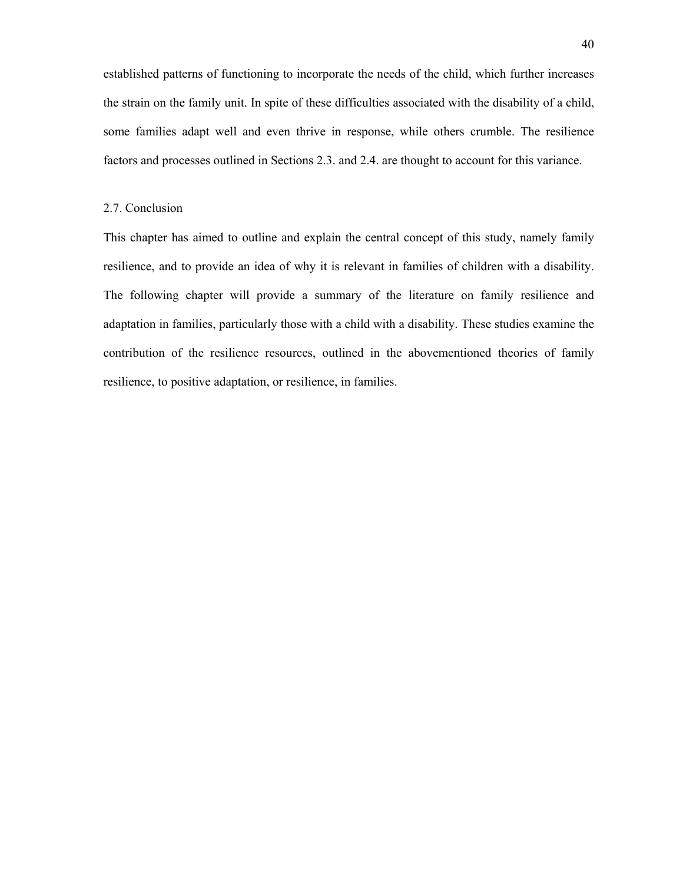established patterns of functioning to incorporate the needs of the child, which further increases the strain on the family unit. In spite of these difficulties associated with the disability of a child, some families adapt well and even thrive in response, while others crumble. The resilience factors and processes outlined in Sections 2.3. and 2.4. are thought to account for this variance.

### 2.7. Conclusion

This chapter has aimed to outline and explain the central concept of this study, namely family resilience, and to provide an idea of why it is relevant in families of children with a disability. The following chapter will provide a summary of the literature on family resilience and adaptation in families, particularly those with a child with a disability. These studies examine the contribution of the resilience resources, outlined in the abovementioned theories of family resilience, to positive adaptation, or resilience, in families.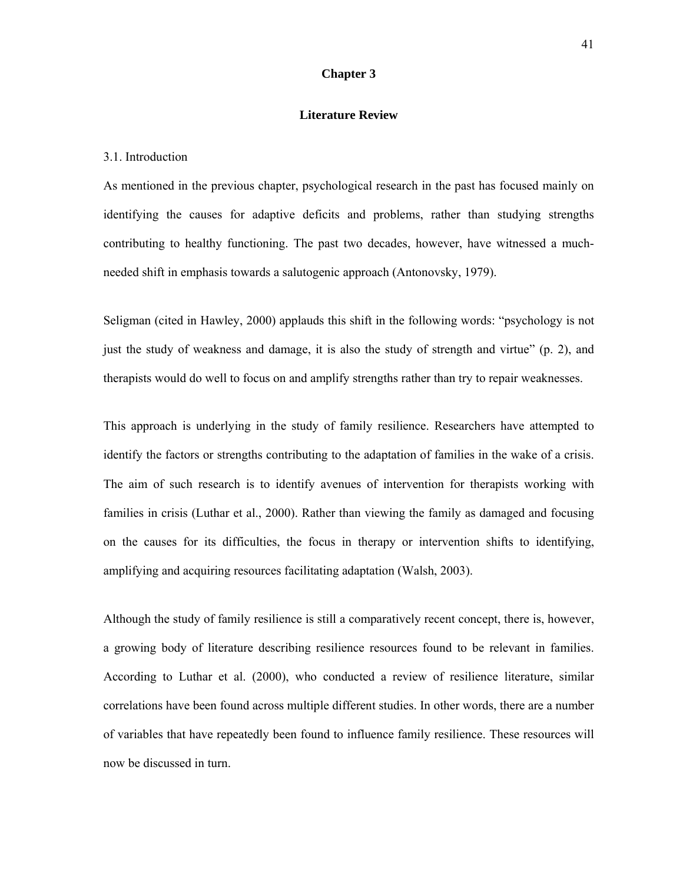# **Chapter 3**

#### **Literature Review**

#### 3.1. Introduction

As mentioned in the previous chapter, psychological research in the past has focused mainly on identifying the causes for adaptive deficits and problems, rather than studying strengths contributing to healthy functioning. The past two decades, however, have witnessed a muchneeded shift in emphasis towards a salutogenic approach (Antonovsky, 1979).

Seligman (cited in Hawley, 2000) applauds this shift in the following words: "psychology is not just the study of weakness and damage, it is also the study of strength and virtue" (p. 2), and therapists would do well to focus on and amplify strengths rather than try to repair weaknesses.

This approach is underlying in the study of family resilience. Researchers have attempted to identify the factors or strengths contributing to the adaptation of families in the wake of a crisis. The aim of such research is to identify avenues of intervention for therapists working with families in crisis (Luthar et al., 2000). Rather than viewing the family as damaged and focusing on the causes for its difficulties, the focus in therapy or intervention shifts to identifying, amplifying and acquiring resources facilitating adaptation (Walsh, 2003).

Although the study of family resilience is still a comparatively recent concept, there is, however, a growing body of literature describing resilience resources found to be relevant in families. According to Luthar et al. (2000), who conducted a review of resilience literature, similar correlations have been found across multiple different studies. In other words, there are a number of variables that have repeatedly been found to influence family resilience. These resources will now be discussed in turn.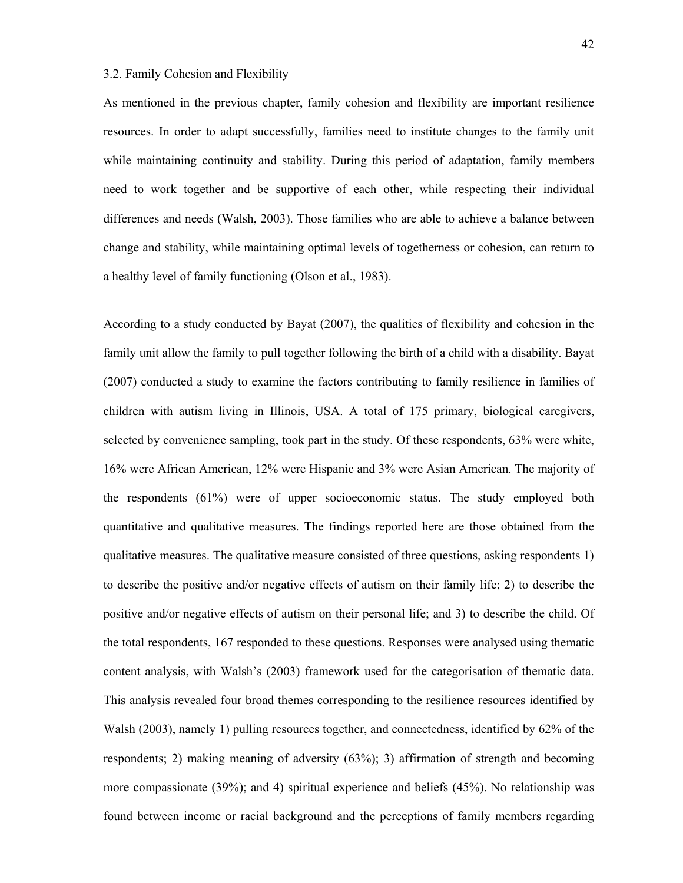## 3.2. Family Cohesion and Flexibility

As mentioned in the previous chapter, family cohesion and flexibility are important resilience resources. In order to adapt successfully, families need to institute changes to the family unit while maintaining continuity and stability. During this period of adaptation, family members need to work together and be supportive of each other, while respecting their individual differences and needs (Walsh, 2003). Those families who are able to achieve a balance between change and stability, while maintaining optimal levels of togetherness or cohesion, can return to a healthy level of family functioning (Olson et al., 1983).

According to a study conducted by Bayat (2007), the qualities of flexibility and cohesion in the family unit allow the family to pull together following the birth of a child with a disability. Bayat (2007) conducted a study to examine the factors contributing to family resilience in families of children with autism living in Illinois, USA. A total of 175 primary, biological caregivers, selected by convenience sampling, took part in the study. Of these respondents, 63% were white, 16% were African American, 12% were Hispanic and 3% were Asian American. The majority of the respondents (61%) were of upper socioeconomic status. The study employed both quantitative and qualitative measures. The findings reported here are those obtained from the qualitative measures. The qualitative measure consisted of three questions, asking respondents 1) to describe the positive and/or negative effects of autism on their family life; 2) to describe the positive and/or negative effects of autism on their personal life; and 3) to describe the child. Of the total respondents, 167 responded to these questions. Responses were analysed using thematic content analysis, with Walsh's (2003) framework used for the categorisation of thematic data. This analysis revealed four broad themes corresponding to the resilience resources identified by Walsh (2003), namely 1) pulling resources together, and connectedness, identified by 62% of the respondents; 2) making meaning of adversity (63%); 3) affirmation of strength and becoming more compassionate (39%); and 4) spiritual experience and beliefs (45%). No relationship was found between income or racial background and the perceptions of family members regarding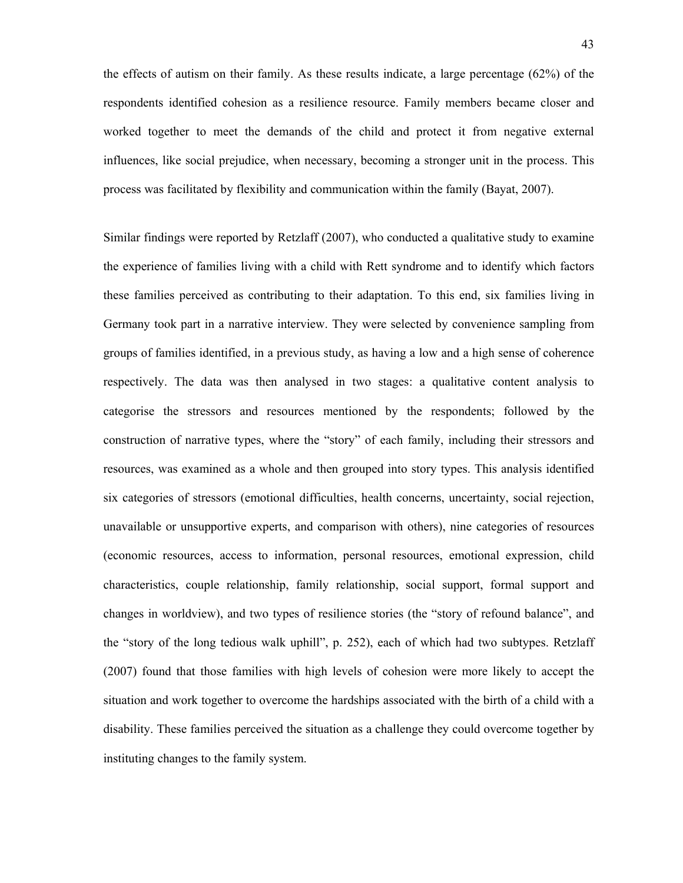the effects of autism on their family. As these results indicate, a large percentage (62%) of the respondents identified cohesion as a resilience resource. Family members became closer and worked together to meet the demands of the child and protect it from negative external influences, like social prejudice, when necessary, becoming a stronger unit in the process. This process was facilitated by flexibility and communication within the family (Bayat, 2007).

Similar findings were reported by Retzlaff (2007), who conducted a qualitative study to examine the experience of families living with a child with Rett syndrome and to identify which factors these families perceived as contributing to their adaptation. To this end, six families living in Germany took part in a narrative interview. They were selected by convenience sampling from groups of families identified, in a previous study, as having a low and a high sense of coherence respectively. The data was then analysed in two stages: a qualitative content analysis to categorise the stressors and resources mentioned by the respondents; followed by the construction of narrative types, where the "story" of each family, including their stressors and resources, was examined as a whole and then grouped into story types. This analysis identified six categories of stressors (emotional difficulties, health concerns, uncertainty, social rejection, unavailable or unsupportive experts, and comparison with others), nine categories of resources (economic resources, access to information, personal resources, emotional expression, child characteristics, couple relationship, family relationship, social support, formal support and changes in worldview), and two types of resilience stories (the "story of refound balance", and the "story of the long tedious walk uphill", p. 252), each of which had two subtypes. Retzlaff (2007) found that those families with high levels of cohesion were more likely to accept the situation and work together to overcome the hardships associated with the birth of a child with a disability. These families perceived the situation as a challenge they could overcome together by instituting changes to the family system.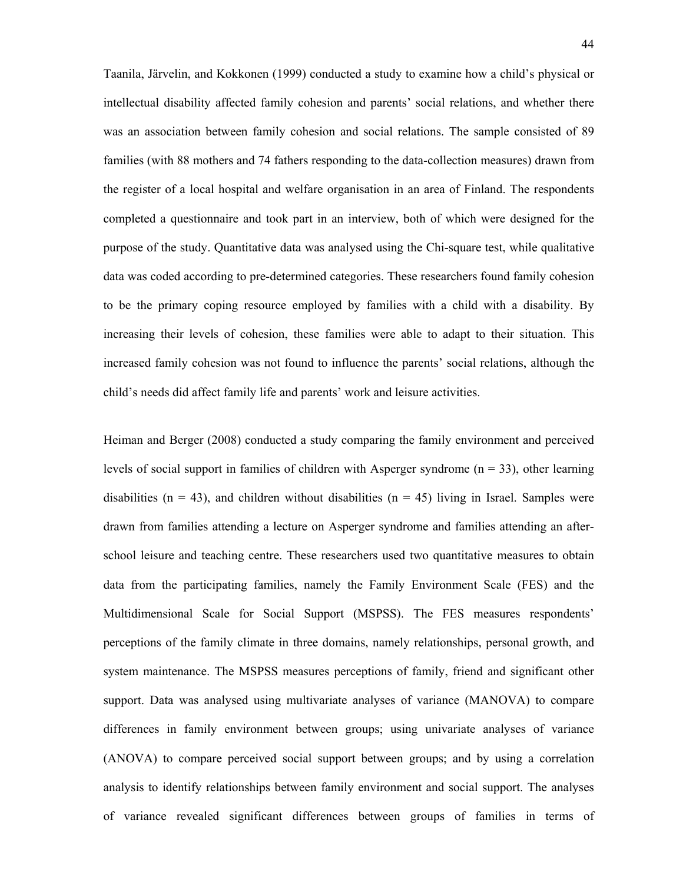Taanila, Järvelin, and Kokkonen (1999) conducted a study to examine how a child's physical or intellectual disability affected family cohesion and parents' social relations, and whether there was an association between family cohesion and social relations. The sample consisted of 89 families (with 88 mothers and 74 fathers responding to the data-collection measures) drawn from the register of a local hospital and welfare organisation in an area of Finland. The respondents completed a questionnaire and took part in an interview, both of which were designed for the purpose of the study. Quantitative data was analysed using the Chi-square test, while qualitative data was coded according to pre-determined categories. These researchers found family cohesion to be the primary coping resource employed by families with a child with a disability. By increasing their levels of cohesion, these families were able to adapt to their situation. This increased family cohesion was not found to influence the parents' social relations, although the child's needs did affect family life and parents' work and leisure activities.

Heiman and Berger (2008) conducted a study comparing the family environment and perceived levels of social support in families of children with Asperger syndrome  $(n = 33)$ , other learning disabilities ( $n = 43$ ), and children without disabilities ( $n = 45$ ) living in Israel. Samples were drawn from families attending a lecture on Asperger syndrome and families attending an afterschool leisure and teaching centre. These researchers used two quantitative measures to obtain data from the participating families, namely the Family Environment Scale (FES) and the Multidimensional Scale for Social Support (MSPSS). The FES measures respondents' perceptions of the family climate in three domains, namely relationships, personal growth, and system maintenance. The MSPSS measures perceptions of family, friend and significant other support. Data was analysed using multivariate analyses of variance (MANOVA) to compare differences in family environment between groups; using univariate analyses of variance (ANOVA) to compare perceived social support between groups; and by using a correlation analysis to identify relationships between family environment and social support. The analyses of variance revealed significant differences between groups of families in terms of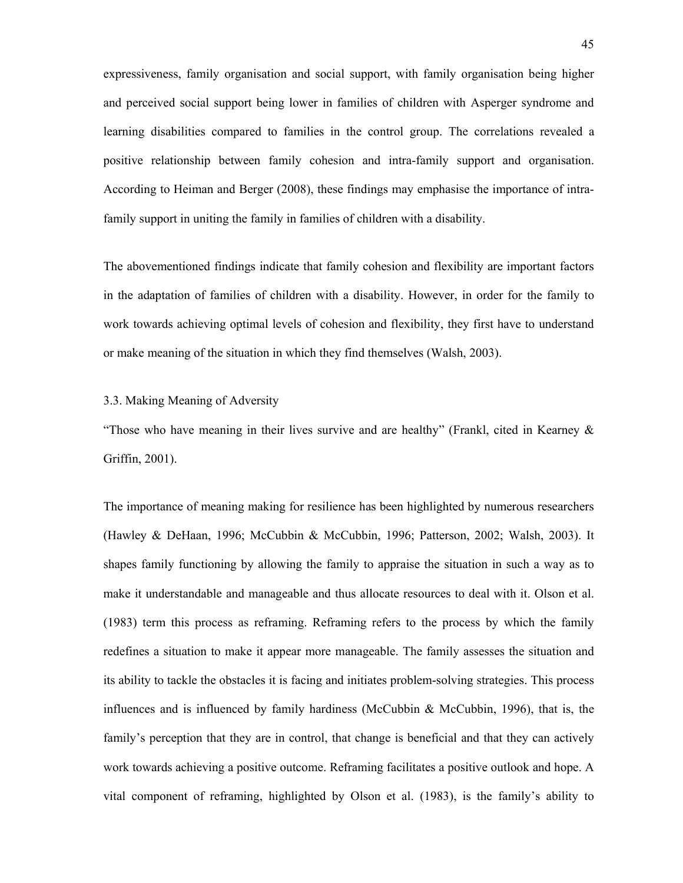expressiveness, family organisation and social support, with family organisation being higher and perceived social support being lower in families of children with Asperger syndrome and learning disabilities compared to families in the control group. The correlations revealed a positive relationship between family cohesion and intra-family support and organisation. According to Heiman and Berger (2008), these findings may emphasise the importance of intrafamily support in uniting the family in families of children with a disability.

The abovementioned findings indicate that family cohesion and flexibility are important factors in the adaptation of families of children with a disability. However, in order for the family to work towards achieving optimal levels of cohesion and flexibility, they first have to understand or make meaning of the situation in which they find themselves (Walsh, 2003).

## 3.3. Making Meaning of Adversity

"Those who have meaning in their lives survive and are healthy" (Frankl, cited in Kearney  $\&$ Griffin, 2001).

The importance of meaning making for resilience has been highlighted by numerous researchers (Hawley & DeHaan, 1996; McCubbin & McCubbin, 1996; Patterson, 2002; Walsh, 2003). It shapes family functioning by allowing the family to appraise the situation in such a way as to make it understandable and manageable and thus allocate resources to deal with it. Olson et al. (1983) term this process as reframing. Reframing refers to the process by which the family redefines a situation to make it appear more manageable. The family assesses the situation and its ability to tackle the obstacles it is facing and initiates problem-solving strategies. This process influences and is influenced by family hardiness (McCubbin & McCubbin, 1996), that is, the family's perception that they are in control, that change is beneficial and that they can actively work towards achieving a positive outcome. Reframing facilitates a positive outlook and hope. A vital component of reframing, highlighted by Olson et al. (1983), is the family's ability to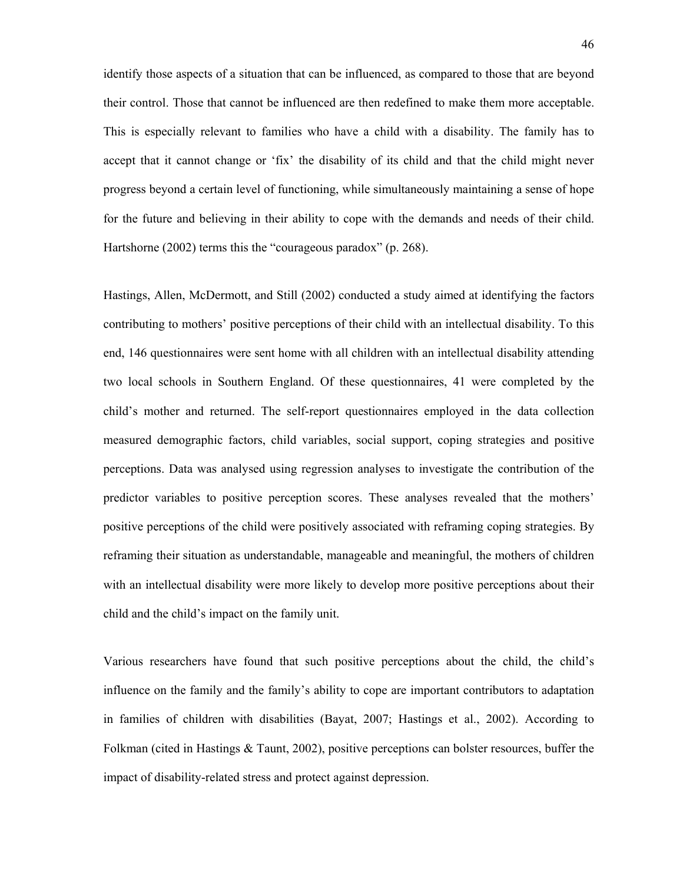identify those aspects of a situation that can be influenced, as compared to those that are beyond their control. Those that cannot be influenced are then redefined to make them more acceptable. This is especially relevant to families who have a child with a disability. The family has to accept that it cannot change or 'fix' the disability of its child and that the child might never progress beyond a certain level of functioning, while simultaneously maintaining a sense of hope for the future and believing in their ability to cope with the demands and needs of their child. Hartshorne (2002) terms this the "courageous paradox" (p. 268).

Hastings, Allen, McDermott, and Still (2002) conducted a study aimed at identifying the factors contributing to mothers' positive perceptions of their child with an intellectual disability. To this end, 146 questionnaires were sent home with all children with an intellectual disability attending two local schools in Southern England. Of these questionnaires, 41 were completed by the child's mother and returned. The self-report questionnaires employed in the data collection measured demographic factors, child variables, social support, coping strategies and positive perceptions. Data was analysed using regression analyses to investigate the contribution of the predictor variables to positive perception scores. These analyses revealed that the mothers' positive perceptions of the child were positively associated with reframing coping strategies. By reframing their situation as understandable, manageable and meaningful, the mothers of children with an intellectual disability were more likely to develop more positive perceptions about their child and the child's impact on the family unit.

Various researchers have found that such positive perceptions about the child, the child's influence on the family and the family's ability to cope are important contributors to adaptation in families of children with disabilities (Bayat, 2007; Hastings et al., 2002). According to Folkman (cited in Hastings & Taunt, 2002), positive perceptions can bolster resources, buffer the impact of disability-related stress and protect against depression.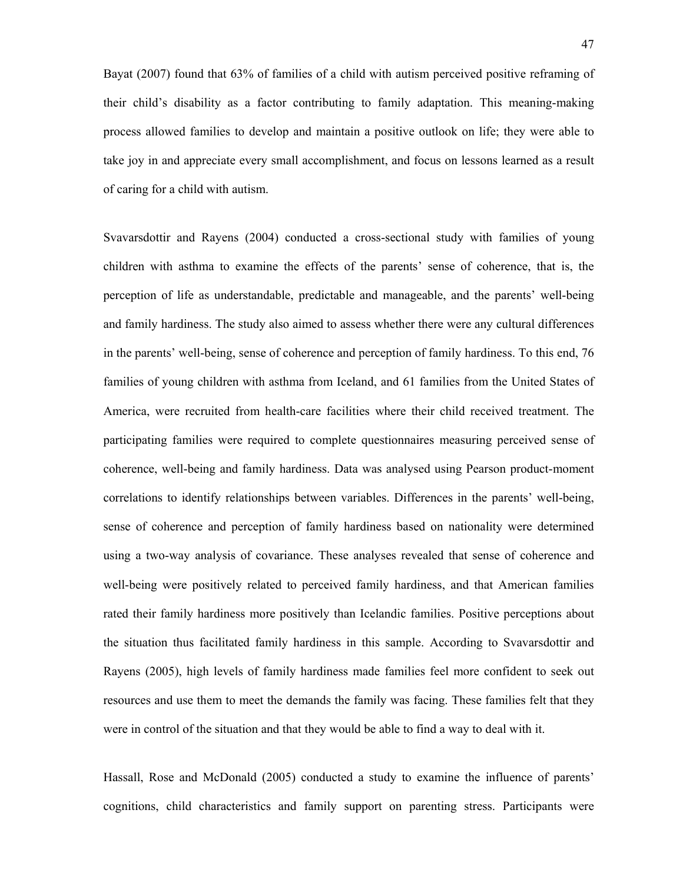Bayat (2007) found that 63% of families of a child with autism perceived positive reframing of their child's disability as a factor contributing to family adaptation. This meaning-making process allowed families to develop and maintain a positive outlook on life; they were able to take joy in and appreciate every small accomplishment, and focus on lessons learned as a result of caring for a child with autism.

Svavarsdottir and Rayens (2004) conducted a cross-sectional study with families of young children with asthma to examine the effects of the parents' sense of coherence, that is, the perception of life as understandable, predictable and manageable, and the parents' well-being and family hardiness. The study also aimed to assess whether there were any cultural differences in the parents' well-being, sense of coherence and perception of family hardiness. To this end, 76 families of young children with asthma from Iceland, and 61 families from the United States of America, were recruited from health-care facilities where their child received treatment. The participating families were required to complete questionnaires measuring perceived sense of coherence, well-being and family hardiness. Data was analysed using Pearson product-moment correlations to identify relationships between variables. Differences in the parents' well-being, sense of coherence and perception of family hardiness based on nationality were determined using a two-way analysis of covariance. These analyses revealed that sense of coherence and well-being were positively related to perceived family hardiness, and that American families rated their family hardiness more positively than Icelandic families. Positive perceptions about the situation thus facilitated family hardiness in this sample. According to Svavarsdottir and Rayens (2005), high levels of family hardiness made families feel more confident to seek out resources and use them to meet the demands the family was facing. These families felt that they were in control of the situation and that they would be able to find a way to deal with it.

Hassall, Rose and McDonald (2005) conducted a study to examine the influence of parents' cognitions, child characteristics and family support on parenting stress. Participants were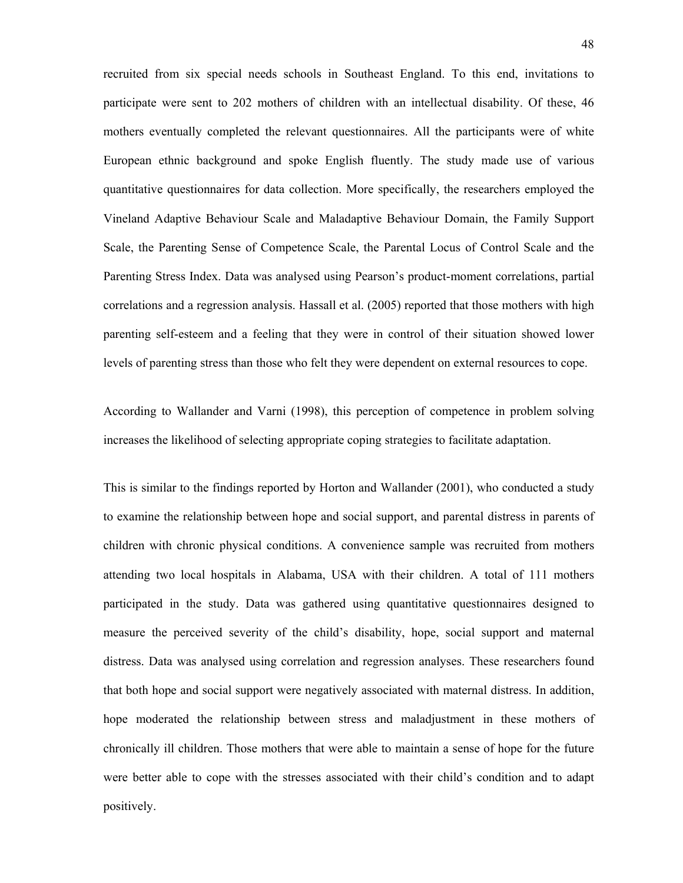recruited from six special needs schools in Southeast England. To this end, invitations to participate were sent to 202 mothers of children with an intellectual disability. Of these, 46 mothers eventually completed the relevant questionnaires. All the participants were of white European ethnic background and spoke English fluently. The study made use of various quantitative questionnaires for data collection. More specifically, the researchers employed the Vineland Adaptive Behaviour Scale and Maladaptive Behaviour Domain, the Family Support Scale, the Parenting Sense of Competence Scale, the Parental Locus of Control Scale and the Parenting Stress Index. Data was analysed using Pearson's product-moment correlations, partial correlations and a regression analysis. Hassall et al. (2005) reported that those mothers with high parenting self-esteem and a feeling that they were in control of their situation showed lower levels of parenting stress than those who felt they were dependent on external resources to cope.

According to Wallander and Varni (1998), this perception of competence in problem solving increases the likelihood of selecting appropriate coping strategies to facilitate adaptation.

This is similar to the findings reported by Horton and Wallander (2001), who conducted a study to examine the relationship between hope and social support, and parental distress in parents of children with chronic physical conditions. A convenience sample was recruited from mothers attending two local hospitals in Alabama, USA with their children. A total of 111 mothers participated in the study. Data was gathered using quantitative questionnaires designed to measure the perceived severity of the child's disability, hope, social support and maternal distress. Data was analysed using correlation and regression analyses. These researchers found that both hope and social support were negatively associated with maternal distress. In addition, hope moderated the relationship between stress and maladjustment in these mothers of chronically ill children. Those mothers that were able to maintain a sense of hope for the future were better able to cope with the stresses associated with their child's condition and to adapt positively.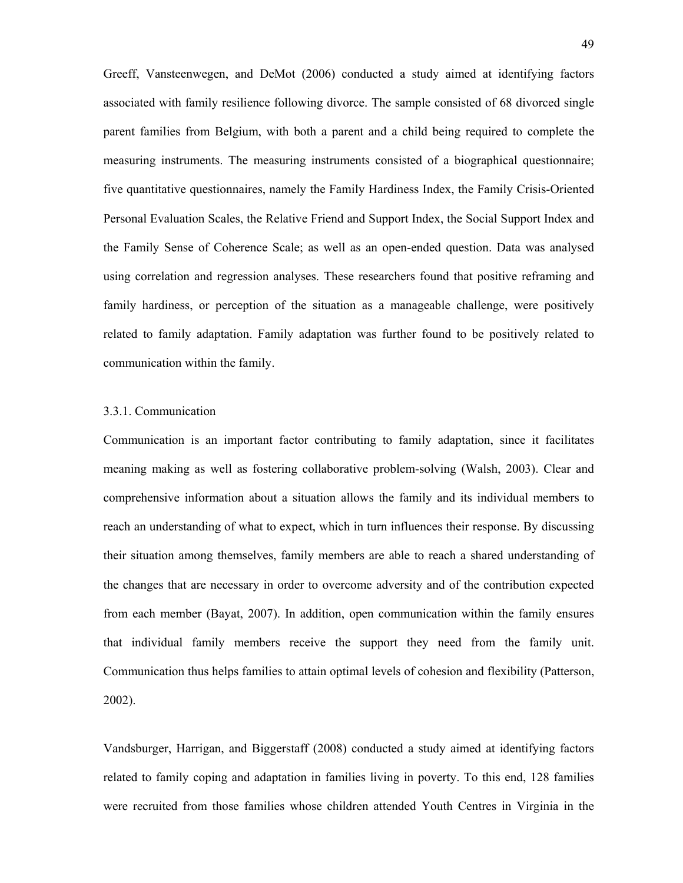Greeff, Vansteenwegen, and DeMot (2006) conducted a study aimed at identifying factors associated with family resilience following divorce. The sample consisted of 68 divorced single parent families from Belgium, with both a parent and a child being required to complete the measuring instruments. The measuring instruments consisted of a biographical questionnaire; five quantitative questionnaires, namely the Family Hardiness Index, the Family Crisis-Oriented Personal Evaluation Scales, the Relative Friend and Support Index, the Social Support Index and the Family Sense of Coherence Scale; as well as an open-ended question. Data was analysed using correlation and regression analyses. These researchers found that positive reframing and family hardiness, or perception of the situation as a manageable challenge, were positively related to family adaptation. Family adaptation was further found to be positively related to communication within the family.

# 3.3.1. Communication

Communication is an important factor contributing to family adaptation, since it facilitates meaning making as well as fostering collaborative problem-solving (Walsh, 2003). Clear and comprehensive information about a situation allows the family and its individual members to reach an understanding of what to expect, which in turn influences their response. By discussing their situation among themselves, family members are able to reach a shared understanding of the changes that are necessary in order to overcome adversity and of the contribution expected from each member (Bayat, 2007). In addition, open communication within the family ensures that individual family members receive the support they need from the family unit. Communication thus helps families to attain optimal levels of cohesion and flexibility (Patterson, 2002).

Vandsburger, Harrigan, and Biggerstaff (2008) conducted a study aimed at identifying factors related to family coping and adaptation in families living in poverty. To this end, 128 families were recruited from those families whose children attended Youth Centres in Virginia in the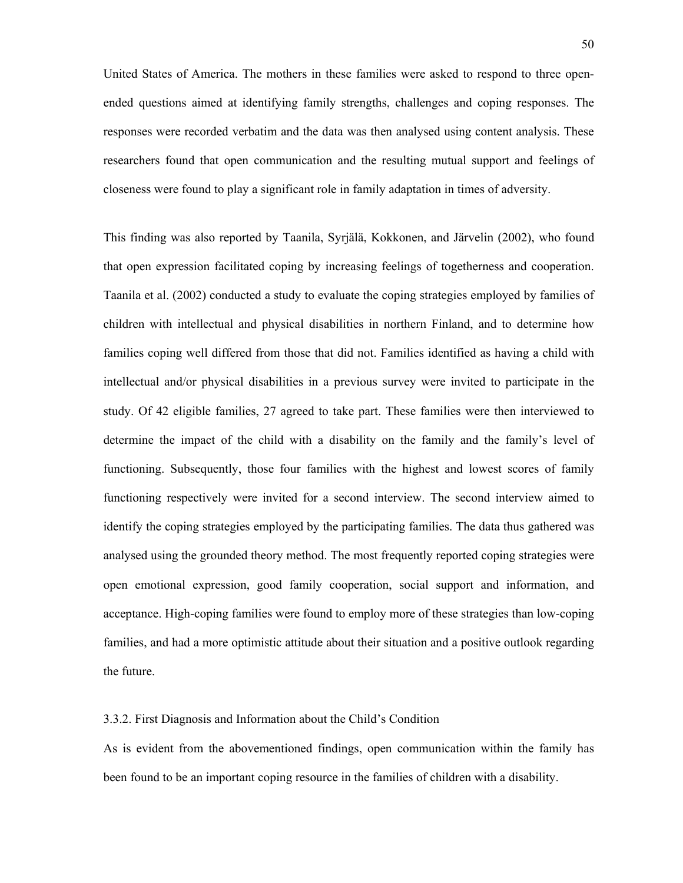United States of America. The mothers in these families were asked to respond to three openended questions aimed at identifying family strengths, challenges and coping responses. The responses were recorded verbatim and the data was then analysed using content analysis. These researchers found that open communication and the resulting mutual support and feelings of closeness were found to play a significant role in family adaptation in times of adversity.

This finding was also reported by Taanila, Syrjälä, Kokkonen, and Järvelin (2002), who found that open expression facilitated coping by increasing feelings of togetherness and cooperation. Taanila et al. (2002) conducted a study to evaluate the coping strategies employed by families of children with intellectual and physical disabilities in northern Finland, and to determine how families coping well differed from those that did not. Families identified as having a child with intellectual and/or physical disabilities in a previous survey were invited to participate in the study. Of 42 eligible families, 27 agreed to take part. These families were then interviewed to determine the impact of the child with a disability on the family and the family's level of functioning. Subsequently, those four families with the highest and lowest scores of family functioning respectively were invited for a second interview. The second interview aimed to identify the coping strategies employed by the participating families. The data thus gathered was analysed using the grounded theory method. The most frequently reported coping strategies were open emotional expression, good family cooperation, social support and information, and acceptance. High-coping families were found to employ more of these strategies than low-coping families, and had a more optimistic attitude about their situation and a positive outlook regarding the future.

### 3.3.2. First Diagnosis and Information about the Child's Condition

As is evident from the abovementioned findings, open communication within the family has been found to be an important coping resource in the families of children with a disability.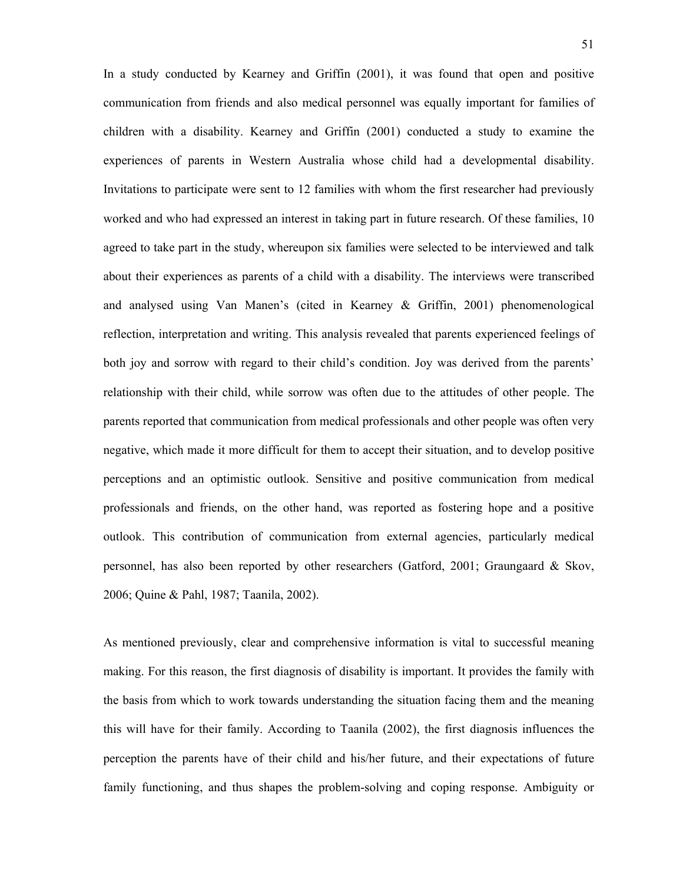In a study conducted by Kearney and Griffin (2001), it was found that open and positive communication from friends and also medical personnel was equally important for families of children with a disability. Kearney and Griffin (2001) conducted a study to examine the experiences of parents in Western Australia whose child had a developmental disability. Invitations to participate were sent to 12 families with whom the first researcher had previously worked and who had expressed an interest in taking part in future research. Of these families, 10 agreed to take part in the study, whereupon six families were selected to be interviewed and talk about their experiences as parents of a child with a disability. The interviews were transcribed and analysed using Van Manen's (cited in Kearney & Griffin, 2001) phenomenological reflection, interpretation and writing. This analysis revealed that parents experienced feelings of both joy and sorrow with regard to their child's condition. Joy was derived from the parents' relationship with their child, while sorrow was often due to the attitudes of other people. The parents reported that communication from medical professionals and other people was often very negative, which made it more difficult for them to accept their situation, and to develop positive perceptions and an optimistic outlook. Sensitive and positive communication from medical professionals and friends, on the other hand, was reported as fostering hope and a positive outlook. This contribution of communication from external agencies, particularly medical personnel, has also been reported by other researchers (Gatford, 2001; Graungaard & Skov, 2006; Quine & Pahl, 1987; Taanila, 2002).

As mentioned previously, clear and comprehensive information is vital to successful meaning making. For this reason, the first diagnosis of disability is important. It provides the family with the basis from which to work towards understanding the situation facing them and the meaning this will have for their family. According to Taanila (2002), the first diagnosis influences the perception the parents have of their child and his/her future, and their expectations of future family functioning, and thus shapes the problem-solving and coping response. Ambiguity or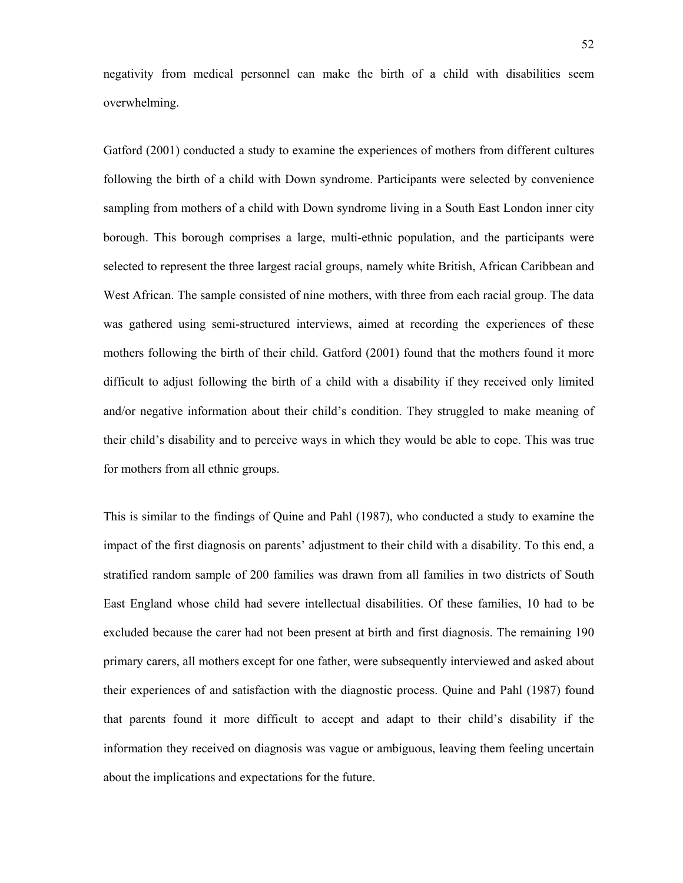negativity from medical personnel can make the birth of a child with disabilities seem overwhelming.

Gatford (2001) conducted a study to examine the experiences of mothers from different cultures following the birth of a child with Down syndrome. Participants were selected by convenience sampling from mothers of a child with Down syndrome living in a South East London inner city borough. This borough comprises a large, multi-ethnic population, and the participants were selected to represent the three largest racial groups, namely white British, African Caribbean and West African. The sample consisted of nine mothers, with three from each racial group. The data was gathered using semi-structured interviews, aimed at recording the experiences of these mothers following the birth of their child. Gatford (2001) found that the mothers found it more difficult to adjust following the birth of a child with a disability if they received only limited and/or negative information about their child's condition. They struggled to make meaning of their child's disability and to perceive ways in which they would be able to cope. This was true for mothers from all ethnic groups.

This is similar to the findings of Quine and Pahl (1987), who conducted a study to examine the impact of the first diagnosis on parents' adjustment to their child with a disability. To this end, a stratified random sample of 200 families was drawn from all families in two districts of South East England whose child had severe intellectual disabilities. Of these families, 10 had to be excluded because the carer had not been present at birth and first diagnosis. The remaining 190 primary carers, all mothers except for one father, were subsequently interviewed and asked about their experiences of and satisfaction with the diagnostic process. Quine and Pahl (1987) found that parents found it more difficult to accept and adapt to their child's disability if the information they received on diagnosis was vague or ambiguous, leaving them feeling uncertain about the implications and expectations for the future.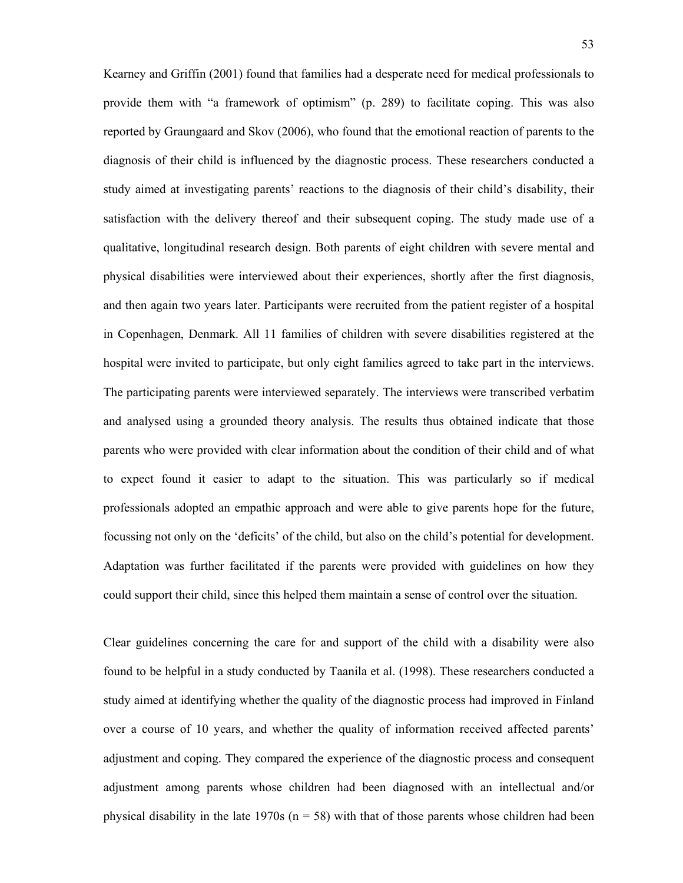Kearney and Griffin (2001) found that families had a desperate need for medical professionals to provide them with "a framework of optimism" (p. 289) to facilitate coping. This was also reported by Graungaard and Skov (2006), who found that the emotional reaction of parents to the diagnosis of their child is influenced by the diagnostic process. These researchers conducted a study aimed at investigating parents' reactions to the diagnosis of their child's disability, their satisfaction with the delivery thereof and their subsequent coping. The study made use of a qualitative, longitudinal research design. Both parents of eight children with severe mental and physical disabilities were interviewed about their experiences, shortly after the first diagnosis, and then again two years later. Participants were recruited from the patient register of a hospital in Copenhagen, Denmark. All 11 families of children with severe disabilities registered at the hospital were invited to participate, but only eight families agreed to take part in the interviews. The participating parents were interviewed separately. The interviews were transcribed verbatim and analysed using a grounded theory analysis. The results thus obtained indicate that those parents who were provided with clear information about the condition of their child and of what to expect found it easier to adapt to the situation. This was particularly so if medical professionals adopted an empathic approach and were able to give parents hope for the future, focussing not only on the 'deficits' of the child, but also on the child's potential for development. Adaptation was further facilitated if the parents were provided with guidelines on how they could support their child, since this helped them maintain a sense of control over the situation.

Clear guidelines concerning the care for and support of the child with a disability were also found to be helpful in a study conducted by Taanila et al. (1998). These researchers conducted a study aimed at identifying whether the quality of the diagnostic process had improved in Finland over a course of 10 years, and whether the quality of information received affected parents' adjustment and coping. They compared the experience of the diagnostic process and consequent adjustment among parents whose children had been diagnosed with an intellectual and/or physical disability in the late  $1970s$  ( $n = 58$ ) with that of those parents whose children had been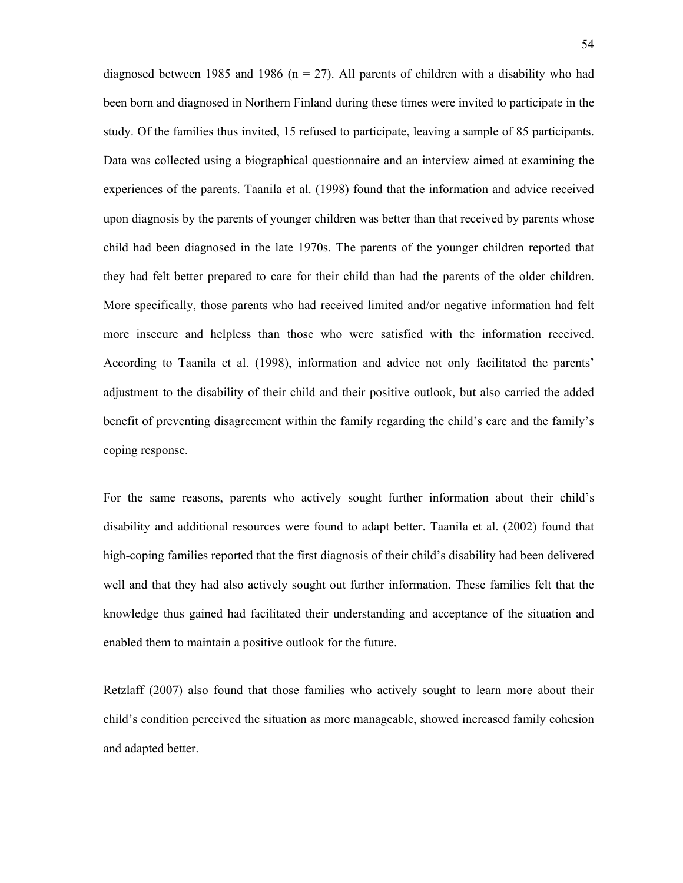diagnosed between 1985 and 1986 ( $n = 27$ ). All parents of children with a disability who had been born and diagnosed in Northern Finland during these times were invited to participate in the study. Of the families thus invited, 15 refused to participate, leaving a sample of 85 participants. Data was collected using a biographical questionnaire and an interview aimed at examining the experiences of the parents. Taanila et al. (1998) found that the information and advice received upon diagnosis by the parents of younger children was better than that received by parents whose child had been diagnosed in the late 1970s. The parents of the younger children reported that they had felt better prepared to care for their child than had the parents of the older children. More specifically, those parents who had received limited and/or negative information had felt more insecure and helpless than those who were satisfied with the information received. According to Taanila et al. (1998), information and advice not only facilitated the parents' adjustment to the disability of their child and their positive outlook, but also carried the added benefit of preventing disagreement within the family regarding the child's care and the family's coping response.

For the same reasons, parents who actively sought further information about their child's disability and additional resources were found to adapt better. Taanila et al. (2002) found that high-coping families reported that the first diagnosis of their child's disability had been delivered well and that they had also actively sought out further information. These families felt that the knowledge thus gained had facilitated their understanding and acceptance of the situation and enabled them to maintain a positive outlook for the future.

Retzlaff (2007) also found that those families who actively sought to learn more about their child's condition perceived the situation as more manageable, showed increased family cohesion and adapted better.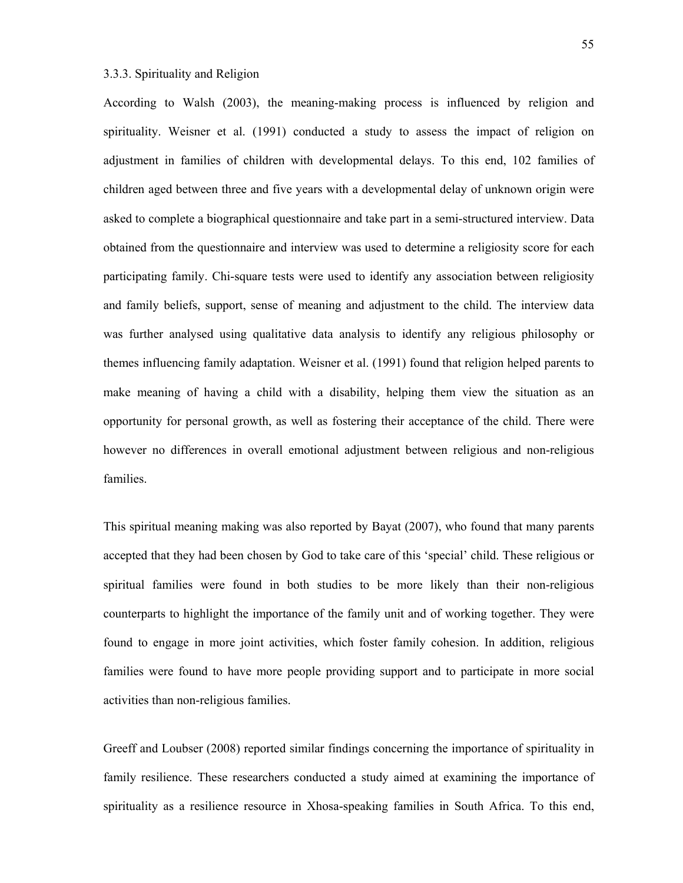# 3.3.3. Spirituality and Religion

According to Walsh (2003), the meaning-making process is influenced by religion and spirituality. Weisner et al. (1991) conducted a study to assess the impact of religion on adjustment in families of children with developmental delays. To this end, 102 families of children aged between three and five years with a developmental delay of unknown origin were asked to complete a biographical questionnaire and take part in a semi-structured interview. Data obtained from the questionnaire and interview was used to determine a religiosity score for each participating family. Chi-square tests were used to identify any association between religiosity and family beliefs, support, sense of meaning and adjustment to the child. The interview data was further analysed using qualitative data analysis to identify any religious philosophy or themes influencing family adaptation. Weisner et al. (1991) found that religion helped parents to make meaning of having a child with a disability, helping them view the situation as an opportunity for personal growth, as well as fostering their acceptance of the child. There were however no differences in overall emotional adjustment between religious and non-religious families.

This spiritual meaning making was also reported by Bayat (2007), who found that many parents accepted that they had been chosen by God to take care of this 'special' child. These religious or spiritual families were found in both studies to be more likely than their non-religious counterparts to highlight the importance of the family unit and of working together. They were found to engage in more joint activities, which foster family cohesion. In addition, religious families were found to have more people providing support and to participate in more social activities than non-religious families.

Greeff and Loubser (2008) reported similar findings concerning the importance of spirituality in family resilience. These researchers conducted a study aimed at examining the importance of spirituality as a resilience resource in Xhosa-speaking families in South Africa. To this end,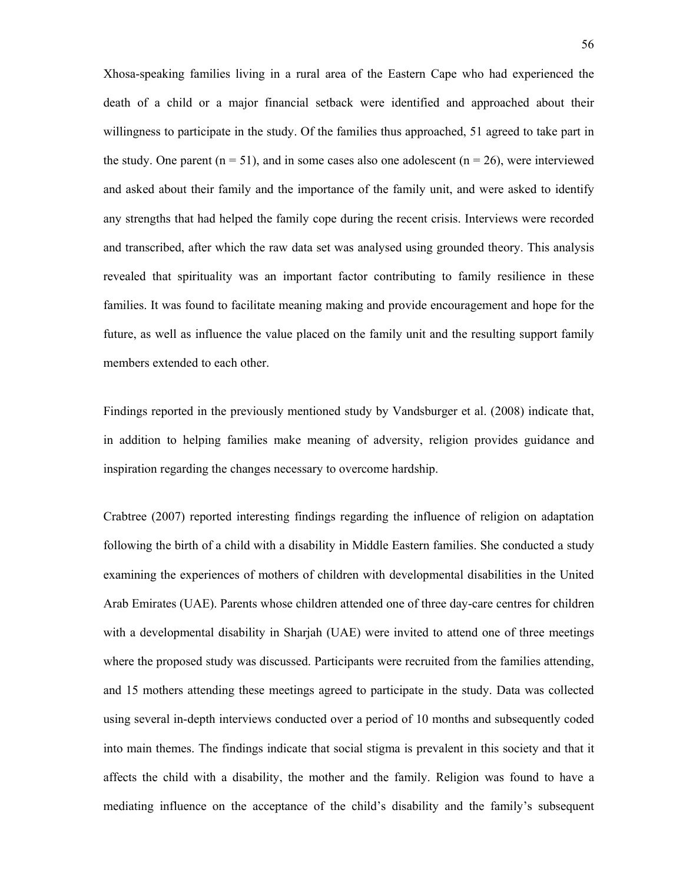Xhosa-speaking families living in a rural area of the Eastern Cape who had experienced the death of a child or a major financial setback were identified and approached about their willingness to participate in the study. Of the families thus approached, 51 agreed to take part in the study. One parent ( $n = 51$ ), and in some cases also one adolescent ( $n = 26$ ), were interviewed and asked about their family and the importance of the family unit, and were asked to identify any strengths that had helped the family cope during the recent crisis. Interviews were recorded and transcribed, after which the raw data set was analysed using grounded theory. This analysis revealed that spirituality was an important factor contributing to family resilience in these families. It was found to facilitate meaning making and provide encouragement and hope for the future, as well as influence the value placed on the family unit and the resulting support family members extended to each other.

Findings reported in the previously mentioned study by Vandsburger et al. (2008) indicate that, in addition to helping families make meaning of adversity, religion provides guidance and inspiration regarding the changes necessary to overcome hardship.

Crabtree (2007) reported interesting findings regarding the influence of religion on adaptation following the birth of a child with a disability in Middle Eastern families. She conducted a study examining the experiences of mothers of children with developmental disabilities in the United Arab Emirates (UAE). Parents whose children attended one of three day-care centres for children with a developmental disability in Sharjah (UAE) were invited to attend one of three meetings where the proposed study was discussed. Participants were recruited from the families attending, and 15 mothers attending these meetings agreed to participate in the study. Data was collected using several in-depth interviews conducted over a period of 10 months and subsequently coded into main themes. The findings indicate that social stigma is prevalent in this society and that it affects the child with a disability, the mother and the family. Religion was found to have a mediating influence on the acceptance of the child's disability and the family's subsequent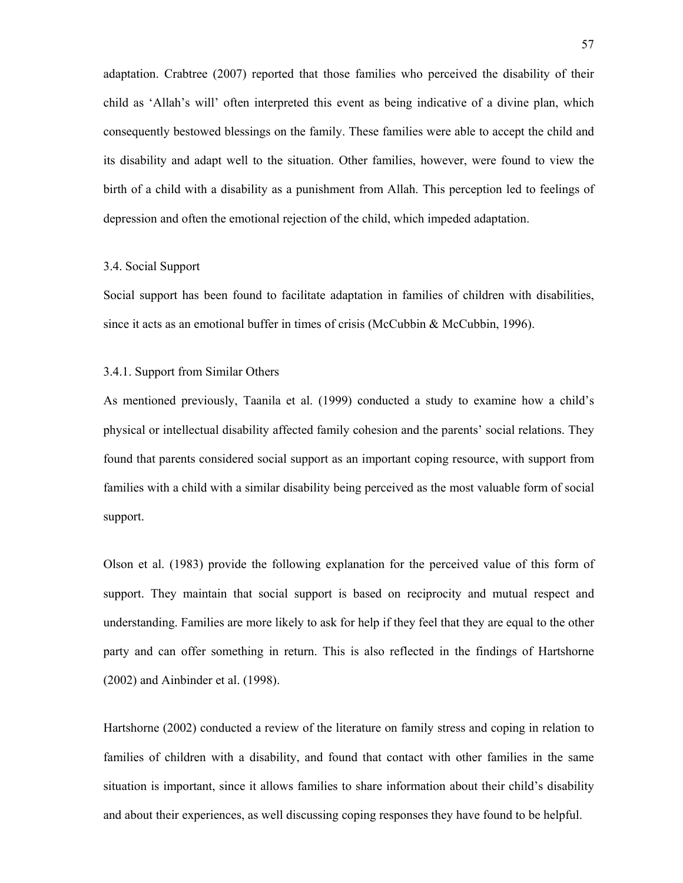adaptation. Crabtree (2007) reported that those families who perceived the disability of their child as 'Allah's will' often interpreted this event as being indicative of a divine plan, which consequently bestowed blessings on the family. These families were able to accept the child and its disability and adapt well to the situation. Other families, however, were found to view the birth of a child with a disability as a punishment from Allah. This perception led to feelings of depression and often the emotional rejection of the child, which impeded adaptation.

# 3.4. Social Support

Social support has been found to facilitate adaptation in families of children with disabilities, since it acts as an emotional buffer in times of crisis (McCubbin & McCubbin, 1996).

# 3.4.1. Support from Similar Others

As mentioned previously, Taanila et al. (1999) conducted a study to examine how a child's physical or intellectual disability affected family cohesion and the parents' social relations. They found that parents considered social support as an important coping resource, with support from families with a child with a similar disability being perceived as the most valuable form of social support.

Olson et al. (1983) provide the following explanation for the perceived value of this form of support. They maintain that social support is based on reciprocity and mutual respect and understanding. Families are more likely to ask for help if they feel that they are equal to the other party and can offer something in return. This is also reflected in the findings of Hartshorne (2002) and Ainbinder et al. (1998).

Hartshorne (2002) conducted a review of the literature on family stress and coping in relation to families of children with a disability, and found that contact with other families in the same situation is important, since it allows families to share information about their child's disability and about their experiences, as well discussing coping responses they have found to be helpful.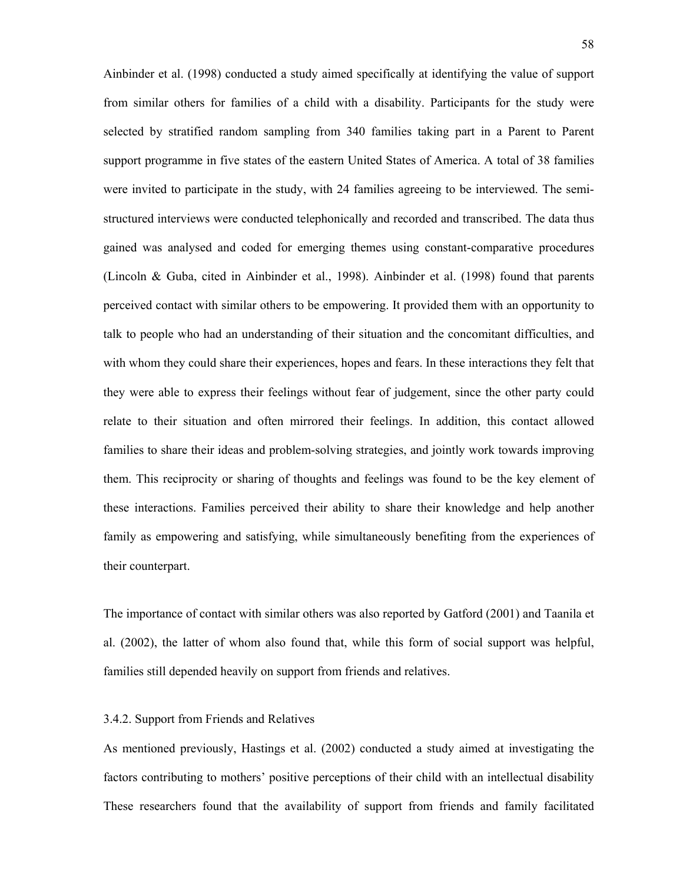Ainbinder et al. (1998) conducted a study aimed specifically at identifying the value of support from similar others for families of a child with a disability. Participants for the study were selected by stratified random sampling from 340 families taking part in a Parent to Parent support programme in five states of the eastern United States of America. A total of 38 families were invited to participate in the study, with 24 families agreeing to be interviewed. The semistructured interviews were conducted telephonically and recorded and transcribed. The data thus gained was analysed and coded for emerging themes using constant-comparative procedures (Lincoln & Guba, cited in Ainbinder et al., 1998). Ainbinder et al. (1998) found that parents perceived contact with similar others to be empowering. It provided them with an opportunity to talk to people who had an understanding of their situation and the concomitant difficulties, and with whom they could share their experiences, hopes and fears. In these interactions they felt that they were able to express their feelings without fear of judgement, since the other party could relate to their situation and often mirrored their feelings. In addition, this contact allowed families to share their ideas and problem-solving strategies, and jointly work towards improving them. This reciprocity or sharing of thoughts and feelings was found to be the key element of these interactions. Families perceived their ability to share their knowledge and help another family as empowering and satisfying, while simultaneously benefiting from the experiences of their counterpart.

The importance of contact with similar others was also reported by Gatford (2001) and Taanila et al. (2002), the latter of whom also found that, while this form of social support was helpful, families still depended heavily on support from friends and relatives.

# 3.4.2. Support from Friends and Relatives

As mentioned previously, Hastings et al. (2002) conducted a study aimed at investigating the factors contributing to mothers' positive perceptions of their child with an intellectual disability These researchers found that the availability of support from friends and family facilitated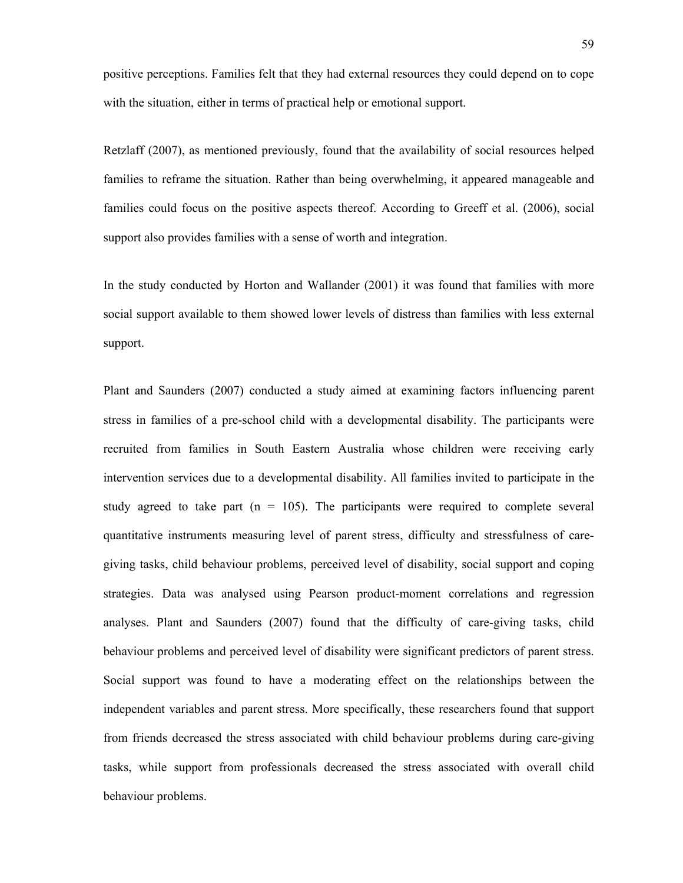positive perceptions. Families felt that they had external resources they could depend on to cope with the situation, either in terms of practical help or emotional support.

Retzlaff (2007), as mentioned previously, found that the availability of social resources helped families to reframe the situation. Rather than being overwhelming, it appeared manageable and families could focus on the positive aspects thereof. According to Greeff et al. (2006), social support also provides families with a sense of worth and integration.

In the study conducted by Horton and Wallander (2001) it was found that families with more social support available to them showed lower levels of distress than families with less external support.

Plant and Saunders (2007) conducted a study aimed at examining factors influencing parent stress in families of a pre-school child with a developmental disability. The participants were recruited from families in South Eastern Australia whose children were receiving early intervention services due to a developmental disability. All families invited to participate in the study agreed to take part  $(n = 105)$ . The participants were required to complete several quantitative instruments measuring level of parent stress, difficulty and stressfulness of caregiving tasks, child behaviour problems, perceived level of disability, social support and coping strategies. Data was analysed using Pearson product-moment correlations and regression analyses. Plant and Saunders (2007) found that the difficulty of care-giving tasks, child behaviour problems and perceived level of disability were significant predictors of parent stress. Social support was found to have a moderating effect on the relationships between the independent variables and parent stress. More specifically, these researchers found that support from friends decreased the stress associated with child behaviour problems during care-giving tasks, while support from professionals decreased the stress associated with overall child behaviour problems.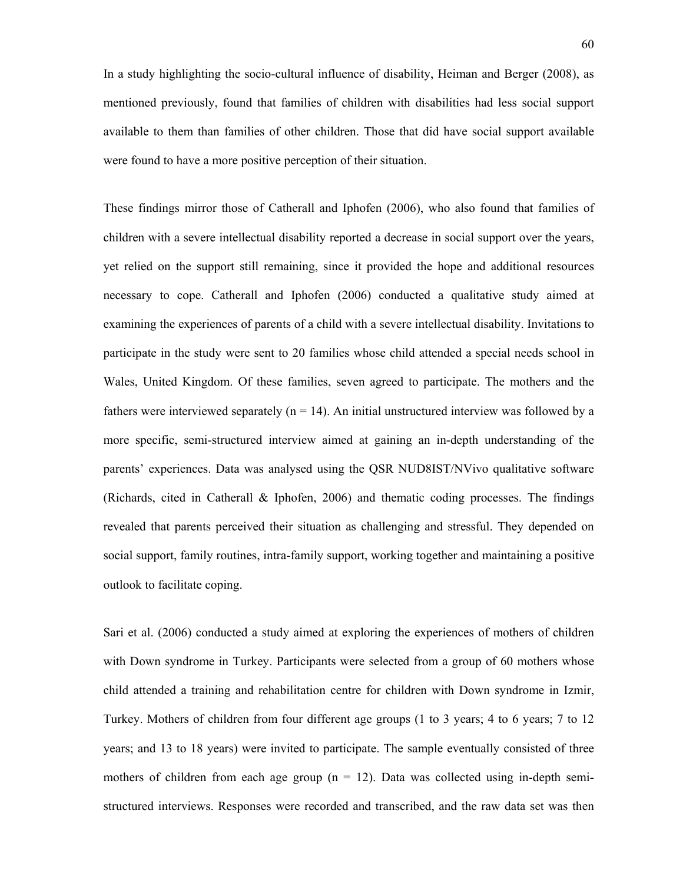In a study highlighting the socio-cultural influence of disability, Heiman and Berger (2008), as mentioned previously, found that families of children with disabilities had less social support available to them than families of other children. Those that did have social support available were found to have a more positive perception of their situation.

These findings mirror those of Catherall and Iphofen (2006), who also found that families of children with a severe intellectual disability reported a decrease in social support over the years, yet relied on the support still remaining, since it provided the hope and additional resources necessary to cope. Catherall and Iphofen (2006) conducted a qualitative study aimed at examining the experiences of parents of a child with a severe intellectual disability. Invitations to participate in the study were sent to 20 families whose child attended a special needs school in Wales, United Kingdom. Of these families, seven agreed to participate. The mothers and the fathers were interviewed separately ( $n = 14$ ). An initial unstructured interview was followed by a more specific, semi-structured interview aimed at gaining an in-depth understanding of the parents' experiences. Data was analysed using the QSR NUD8IST/NVivo qualitative software (Richards, cited in Catherall & Iphofen, 2006) and thematic coding processes. The findings revealed that parents perceived their situation as challenging and stressful. They depended on social support, family routines, intra-family support, working together and maintaining a positive outlook to facilitate coping.

Sari et al. (2006) conducted a study aimed at exploring the experiences of mothers of children with Down syndrome in Turkey. Participants were selected from a group of 60 mothers whose child attended a training and rehabilitation centre for children with Down syndrome in Izmir, Turkey. Mothers of children from four different age groups (1 to 3 years; 4 to 6 years; 7 to 12 years; and 13 to 18 years) were invited to participate. The sample eventually consisted of three mothers of children from each age group  $(n = 12)$ . Data was collected using in-depth semistructured interviews. Responses were recorded and transcribed, and the raw data set was then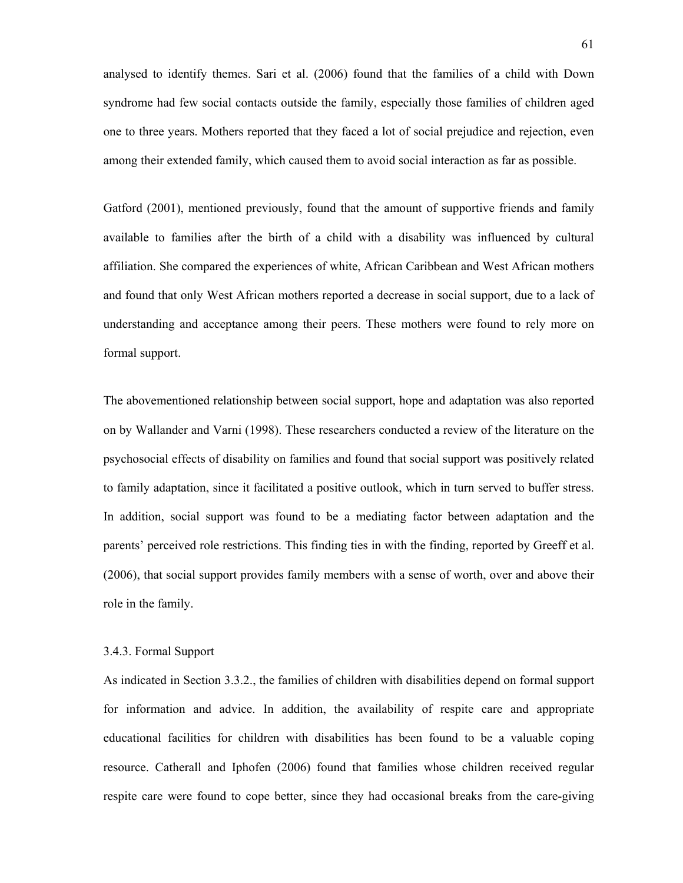analysed to identify themes. Sari et al. (2006) found that the families of a child with Down syndrome had few social contacts outside the family, especially those families of children aged one to three years. Mothers reported that they faced a lot of social prejudice and rejection, even among their extended family, which caused them to avoid social interaction as far as possible.

Gatford (2001), mentioned previously, found that the amount of supportive friends and family available to families after the birth of a child with a disability was influenced by cultural affiliation. She compared the experiences of white, African Caribbean and West African mothers and found that only West African mothers reported a decrease in social support, due to a lack of understanding and acceptance among their peers. These mothers were found to rely more on formal support.

The abovementioned relationship between social support, hope and adaptation was also reported on by Wallander and Varni (1998). These researchers conducted a review of the literature on the psychosocial effects of disability on families and found that social support was positively related to family adaptation, since it facilitated a positive outlook, which in turn served to buffer stress. In addition, social support was found to be a mediating factor between adaptation and the parents' perceived role restrictions. This finding ties in with the finding, reported by Greeff et al. (2006), that social support provides family members with a sense of worth, over and above their role in the family.

# 3.4.3. Formal Support

As indicated in Section 3.3.2., the families of children with disabilities depend on formal support for information and advice. In addition, the availability of respite care and appropriate educational facilities for children with disabilities has been found to be a valuable coping resource. Catherall and Iphofen (2006) found that families whose children received regular respite care were found to cope better, since they had occasional breaks from the care-giving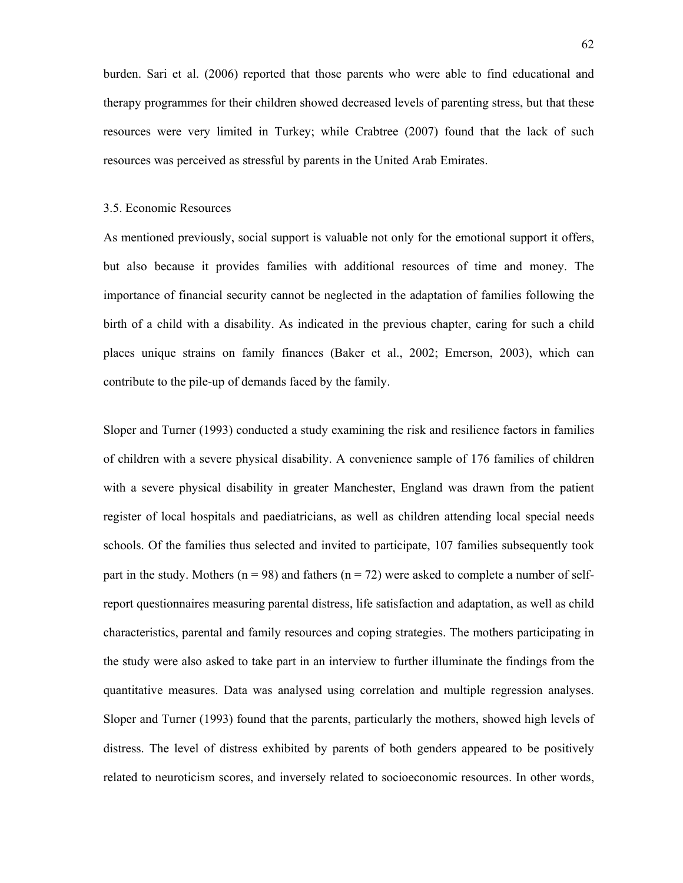burden. Sari et al. (2006) reported that those parents who were able to find educational and therapy programmes for their children showed decreased levels of parenting stress, but that these resources were very limited in Turkey; while Crabtree (2007) found that the lack of such resources was perceived as stressful by parents in the United Arab Emirates.

# 3.5. Economic Resources

As mentioned previously, social support is valuable not only for the emotional support it offers, but also because it provides families with additional resources of time and money. The importance of financial security cannot be neglected in the adaptation of families following the birth of a child with a disability. As indicated in the previous chapter, caring for such a child places unique strains on family finances (Baker et al., 2002; Emerson, 2003), which can contribute to the pile-up of demands faced by the family.

Sloper and Turner (1993) conducted a study examining the risk and resilience factors in families of children with a severe physical disability. A convenience sample of 176 families of children with a severe physical disability in greater Manchester, England was drawn from the patient register of local hospitals and paediatricians, as well as children attending local special needs schools. Of the families thus selected and invited to participate, 107 families subsequently took part in the study. Mothers ( $n = 98$ ) and fathers ( $n = 72$ ) were asked to complete a number of selfreport questionnaires measuring parental distress, life satisfaction and adaptation, as well as child characteristics, parental and family resources and coping strategies. The mothers participating in the study were also asked to take part in an interview to further illuminate the findings from the quantitative measures. Data was analysed using correlation and multiple regression analyses. Sloper and Turner (1993) found that the parents, particularly the mothers, showed high levels of distress. The level of distress exhibited by parents of both genders appeared to be positively related to neuroticism scores, and inversely related to socioeconomic resources. In other words,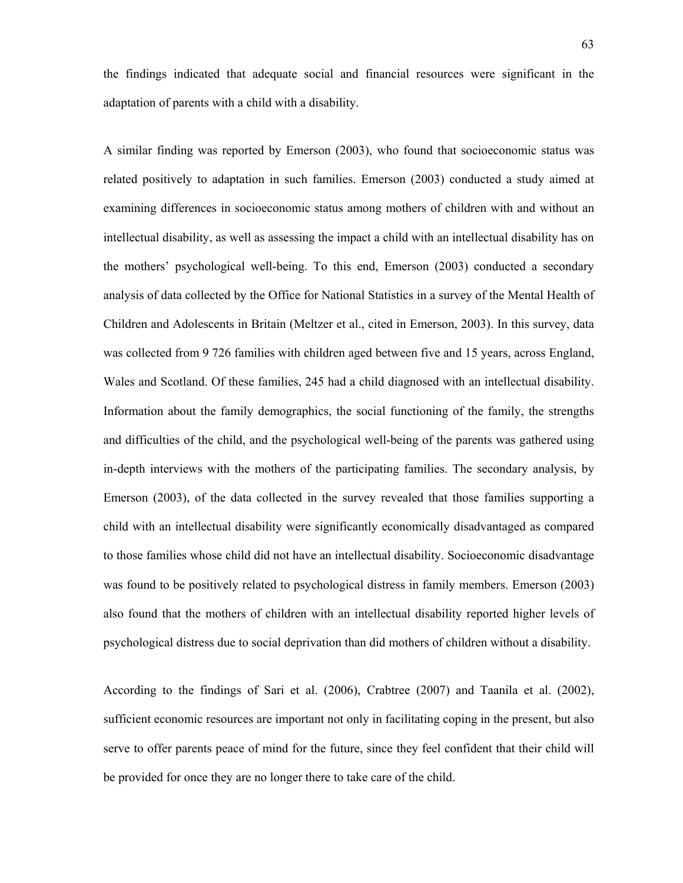the findings indicated that adequate social and financial resources were significant in the adaptation of parents with a child with a disability.

A similar finding was reported by Emerson (2003), who found that socioeconomic status was related positively to adaptation in such families. Emerson (2003) conducted a study aimed at examining differences in socioeconomic status among mothers of children with and without an intellectual disability, as well as assessing the impact a child with an intellectual disability has on the mothers' psychological well-being. To this end, Emerson (2003) conducted a secondary analysis of data collected by the Office for National Statistics in a survey of the Mental Health of Children and Adolescents in Britain (Meltzer et al., cited in Emerson, 2003). In this survey, data was collected from 9 726 families with children aged between five and 15 years, across England, Wales and Scotland. Of these families, 245 had a child diagnosed with an intellectual disability. Information about the family demographics, the social functioning of the family, the strengths and difficulties of the child, and the psychological well-being of the parents was gathered using in-depth interviews with the mothers of the participating families. The secondary analysis, by Emerson (2003), of the data collected in the survey revealed that those families supporting a child with an intellectual disability were significantly economically disadvantaged as compared to those families whose child did not have an intellectual disability. Socioeconomic disadvantage was found to be positively related to psychological distress in family members. Emerson (2003) also found that the mothers of children with an intellectual disability reported higher levels of psychological distress due to social deprivation than did mothers of children without a disability.

According to the findings of Sari et al. (2006), Crabtree (2007) and Taanila et al. (2002), sufficient economic resources are important not only in facilitating coping in the present, but also serve to offer parents peace of mind for the future, since they feel confident that their child will be provided for once they are no longer there to take care of the child.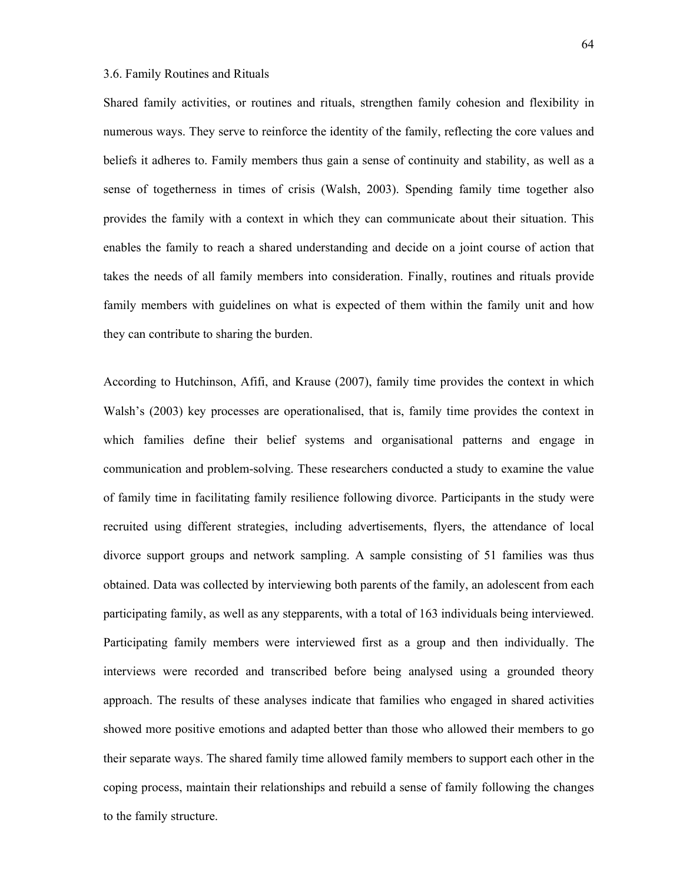# 3.6. Family Routines and Rituals

Shared family activities, or routines and rituals, strengthen family cohesion and flexibility in numerous ways. They serve to reinforce the identity of the family, reflecting the core values and beliefs it adheres to. Family members thus gain a sense of continuity and stability, as well as a sense of togetherness in times of crisis (Walsh, 2003). Spending family time together also provides the family with a context in which they can communicate about their situation. This enables the family to reach a shared understanding and decide on a joint course of action that takes the needs of all family members into consideration. Finally, routines and rituals provide family members with guidelines on what is expected of them within the family unit and how they can contribute to sharing the burden.

According to Hutchinson, Afifi, and Krause (2007), family time provides the context in which Walsh's (2003) key processes are operationalised, that is, family time provides the context in which families define their belief systems and organisational patterns and engage in communication and problem-solving. These researchers conducted a study to examine the value of family time in facilitating family resilience following divorce. Participants in the study were recruited using different strategies, including advertisements, flyers, the attendance of local divorce support groups and network sampling. A sample consisting of 51 families was thus obtained. Data was collected by interviewing both parents of the family, an adolescent from each participating family, as well as any stepparents, with a total of 163 individuals being interviewed. Participating family members were interviewed first as a group and then individually. The interviews were recorded and transcribed before being analysed using a grounded theory approach. The results of these analyses indicate that families who engaged in shared activities showed more positive emotions and adapted better than those who allowed their members to go their separate ways. The shared family time allowed family members to support each other in the coping process, maintain their relationships and rebuild a sense of family following the changes to the family structure.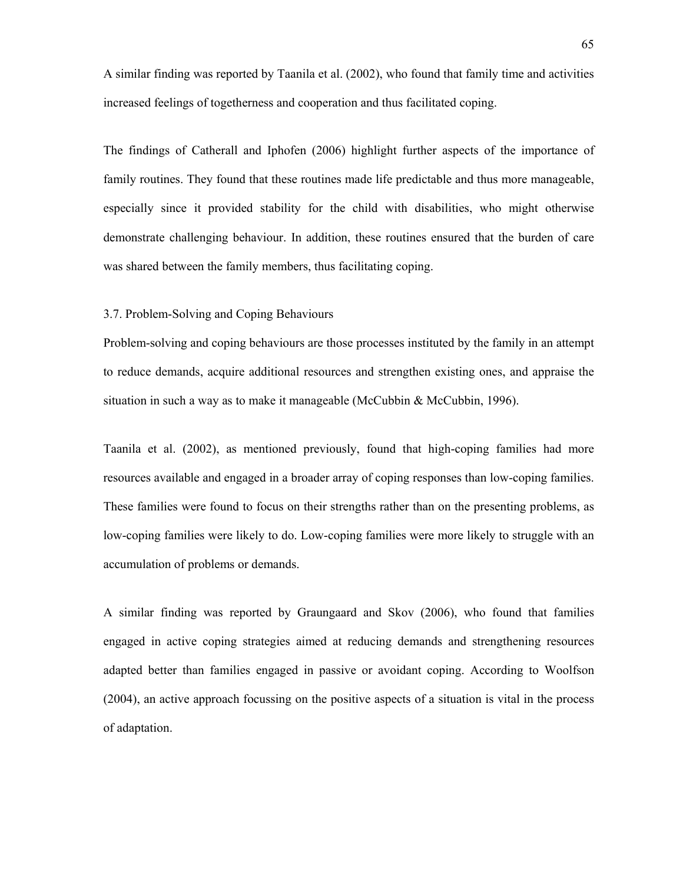A similar finding was reported by Taanila et al. (2002), who found that family time and activities increased feelings of togetherness and cooperation and thus facilitated coping.

The findings of Catherall and Iphofen (2006) highlight further aspects of the importance of family routines. They found that these routines made life predictable and thus more manageable, especially since it provided stability for the child with disabilities, who might otherwise demonstrate challenging behaviour. In addition, these routines ensured that the burden of care was shared between the family members, thus facilitating coping.

# 3.7. Problem-Solving and Coping Behaviours

Problem-solving and coping behaviours are those processes instituted by the family in an attempt to reduce demands, acquire additional resources and strengthen existing ones, and appraise the situation in such a way as to make it manageable (McCubbin & McCubbin, 1996).

Taanila et al. (2002), as mentioned previously, found that high-coping families had more resources available and engaged in a broader array of coping responses than low-coping families. These families were found to focus on their strengths rather than on the presenting problems, as low-coping families were likely to do. Low-coping families were more likely to struggle with an accumulation of problems or demands.

A similar finding was reported by Graungaard and Skov (2006), who found that families engaged in active coping strategies aimed at reducing demands and strengthening resources adapted better than families engaged in passive or avoidant coping. According to Woolfson (2004), an active approach focussing on the positive aspects of a situation is vital in the process of adaptation.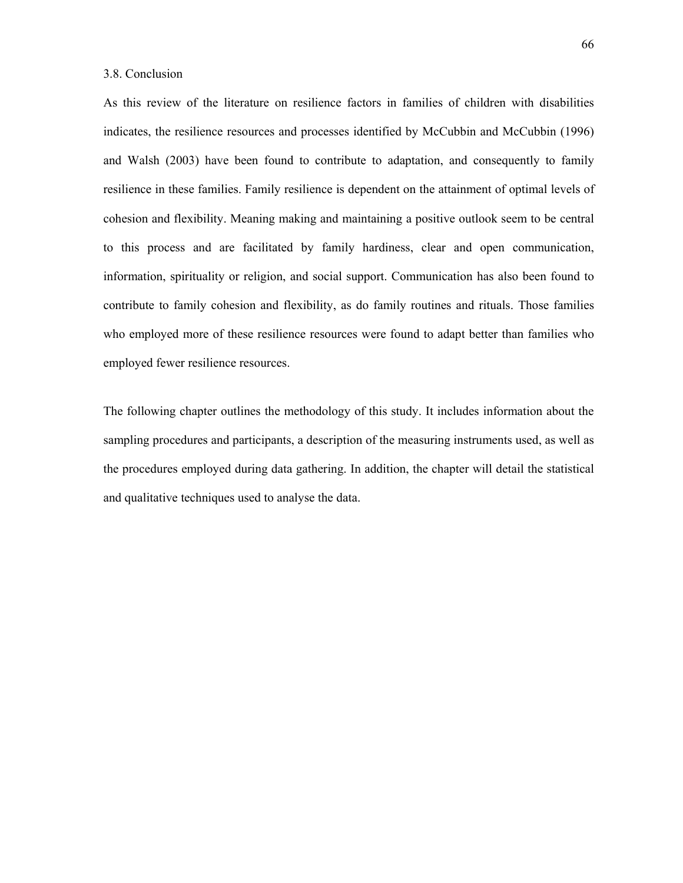# 3.8. Conclusion

As this review of the literature on resilience factors in families of children with disabilities indicates, the resilience resources and processes identified by McCubbin and McCubbin (1996) and Walsh (2003) have been found to contribute to adaptation, and consequently to family resilience in these families. Family resilience is dependent on the attainment of optimal levels of cohesion and flexibility. Meaning making and maintaining a positive outlook seem to be central to this process and are facilitated by family hardiness, clear and open communication, information, spirituality or religion, and social support. Communication has also been found to contribute to family cohesion and flexibility, as do family routines and rituals. Those families who employed more of these resilience resources were found to adapt better than families who employed fewer resilience resources.

The following chapter outlines the methodology of this study. It includes information about the sampling procedures and participants, a description of the measuring instruments used, as well as the procedures employed during data gathering. In addition, the chapter will detail the statistical and qualitative techniques used to analyse the data.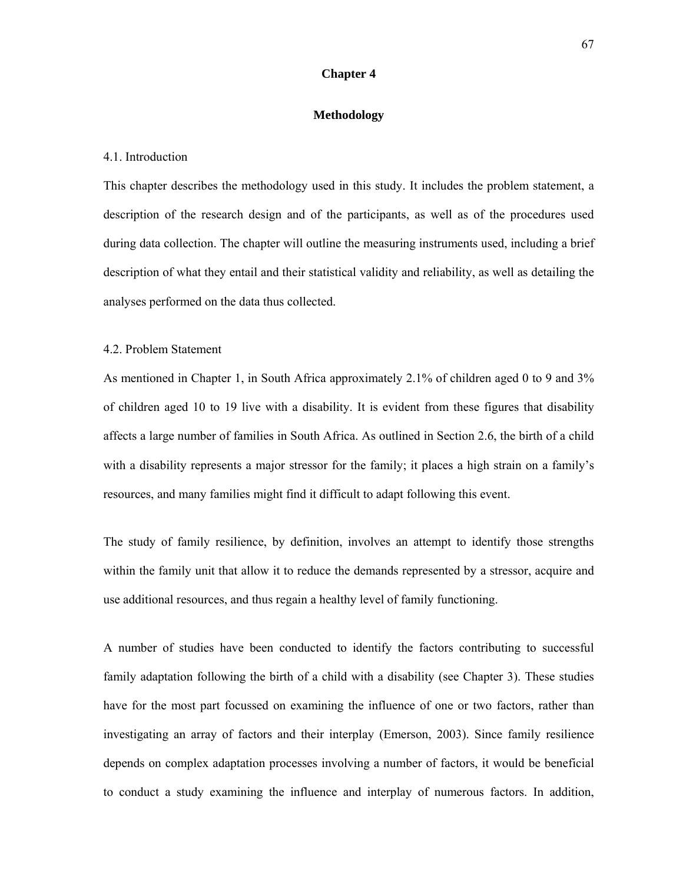# **Chapter 4**

### **Methodology**

#### 4.1. Introduction

This chapter describes the methodology used in this study. It includes the problem statement, a description of the research design and of the participants, as well as of the procedures used during data collection. The chapter will outline the measuring instruments used, including a brief description of what they entail and their statistical validity and reliability, as well as detailing the analyses performed on the data thus collected.

# 4.2. Problem Statement

As mentioned in Chapter 1, in South Africa approximately 2.1% of children aged 0 to 9 and 3% of children aged 10 to 19 live with a disability. It is evident from these figures that disability affects a large number of families in South Africa. As outlined in Section 2.6, the birth of a child with a disability represents a major stressor for the family; it places a high strain on a family's resources, and many families might find it difficult to adapt following this event.

The study of family resilience, by definition, involves an attempt to identify those strengths within the family unit that allow it to reduce the demands represented by a stressor, acquire and use additional resources, and thus regain a healthy level of family functioning.

A number of studies have been conducted to identify the factors contributing to successful family adaptation following the birth of a child with a disability (see Chapter 3). These studies have for the most part focussed on examining the influence of one or two factors, rather than investigating an array of factors and their interplay (Emerson, 2003). Since family resilience depends on complex adaptation processes involving a number of factors, it would be beneficial to conduct a study examining the influence and interplay of numerous factors. In addition,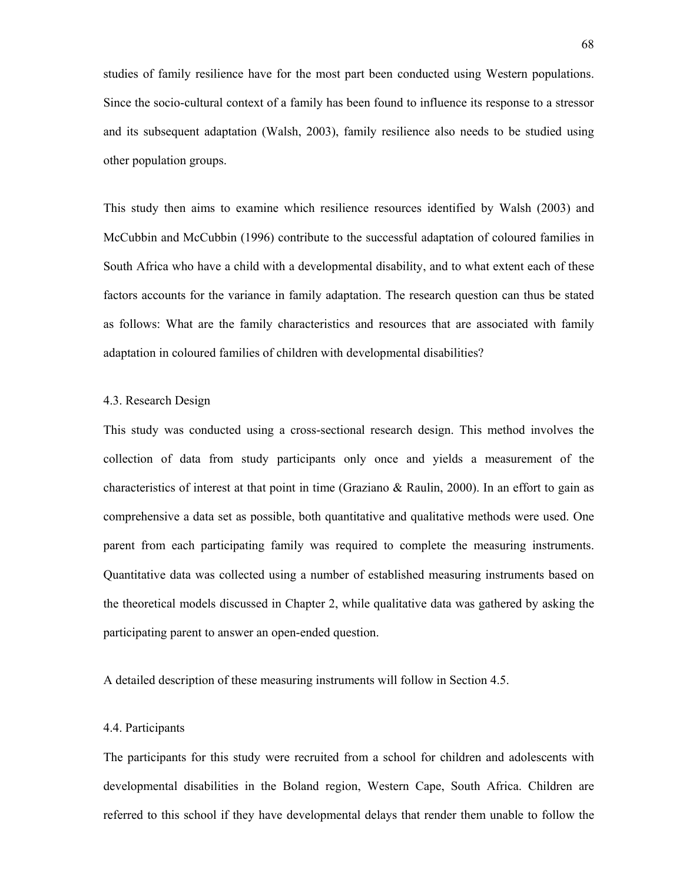studies of family resilience have for the most part been conducted using Western populations. Since the socio-cultural context of a family has been found to influence its response to a stressor and its subsequent adaptation (Walsh, 2003), family resilience also needs to be studied using other population groups.

This study then aims to examine which resilience resources identified by Walsh (2003) and McCubbin and McCubbin (1996) contribute to the successful adaptation of coloured families in South Africa who have a child with a developmental disability, and to what extent each of these factors accounts for the variance in family adaptation. The research question can thus be stated as follows: What are the family characteristics and resources that are associated with family adaptation in coloured families of children with developmental disabilities?

### 4.3. Research Design

This study was conducted using a cross-sectional research design. This method involves the collection of data from study participants only once and yields a measurement of the characteristics of interest at that point in time (Graziano & Raulin, 2000). In an effort to gain as comprehensive a data set as possible, both quantitative and qualitative methods were used. One parent from each participating family was required to complete the measuring instruments. Quantitative data was collected using a number of established measuring instruments based on the theoretical models discussed in Chapter 2, while qualitative data was gathered by asking the participating parent to answer an open-ended question.

A detailed description of these measuring instruments will follow in Section 4.5.

### 4.4. Participants

The participants for this study were recruited from a school for children and adolescents with developmental disabilities in the Boland region, Western Cape, South Africa. Children are referred to this school if they have developmental delays that render them unable to follow the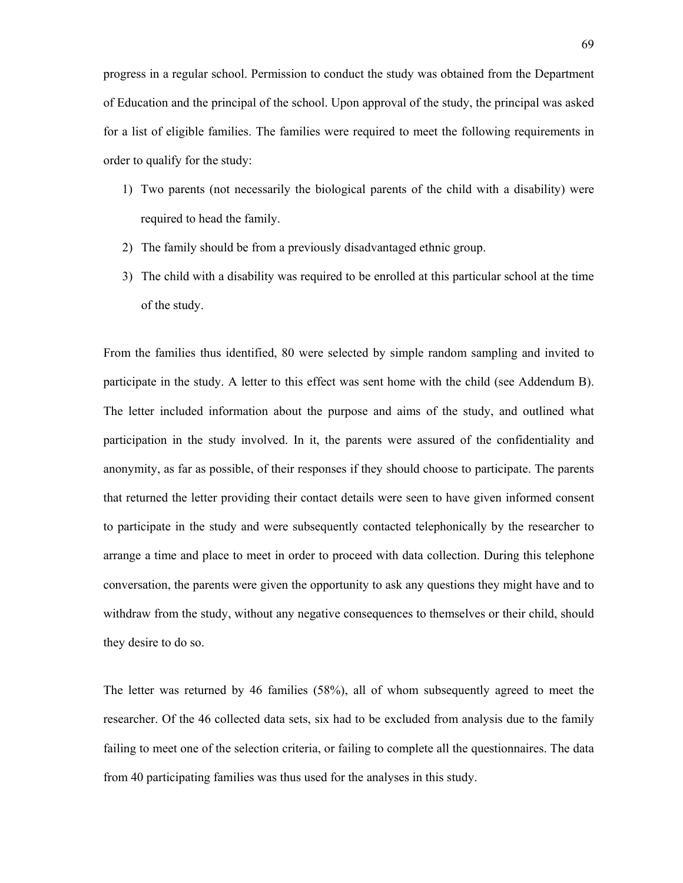progress in a regular school. Permission to conduct the study was obtained from the Department of Education and the principal of the school. Upon approval of the study, the principal was asked for a list of eligible families. The families were required to meet the following requirements in order to qualify for the study:

- 1) Two parents (not necessarily the biological parents of the child with a disability) were required to head the family.
- 2) The family should be from a previously disadvantaged ethnic group.
- 3) The child with a disability was required to be enrolled at this particular school at the time of the study.

From the families thus identified, 80 were selected by simple random sampling and invited to participate in the study. A letter to this effect was sent home with the child (see Addendum B). The letter included information about the purpose and aims of the study, and outlined what participation in the study involved. In it, the parents were assured of the confidentiality and anonymity, as far as possible, of their responses if they should choose to participate. The parents that returned the letter providing their contact details were seen to have given informed consent to participate in the study and were subsequently contacted telephonically by the researcher to arrange a time and place to meet in order to proceed with data collection. During this telephone conversation, the parents were given the opportunity to ask any questions they might have and to withdraw from the study, without any negative consequences to themselves or their child, should they desire to do so.

The letter was returned by 46 families (58%), all of whom subsequently agreed to meet the researcher. Of the 46 collected data sets, six had to be excluded from analysis due to the family failing to meet one of the selection criteria, or failing to complete all the questionnaires. The data from 40 participating families was thus used for the analyses in this study.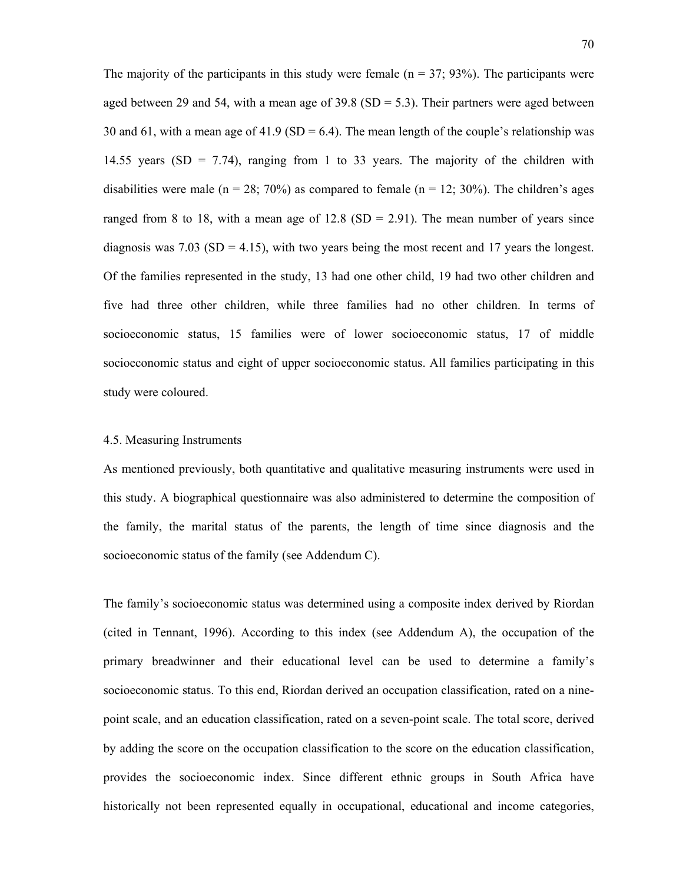The majority of the participants in this study were female ( $n = 37$ ; 93%). The participants were aged between 29 and 54, with a mean age of  $39.8$  (SD = 5.3). Their partners were aged between 30 and 61, with a mean age of 41.9 (SD = 6.4). The mean length of the couple's relationship was 14.55 years (SD = 7.74), ranging from 1 to 33 years. The majority of the children with disabilities were male ( $n = 28$ ; 70%) as compared to female ( $n = 12$ ; 30%). The children's ages ranged from 8 to 18, with a mean age of  $12.8$  (SD = 2.91). The mean number of years since diagnosis was  $7.03$  (SD = 4.15), with two years being the most recent and 17 years the longest. Of the families represented in the study, 13 had one other child, 19 had two other children and five had three other children, while three families had no other children. In terms of socioeconomic status, 15 families were of lower socioeconomic status, 17 of middle socioeconomic status and eight of upper socioeconomic status. All families participating in this study were coloured.

#### 4.5. Measuring Instruments

As mentioned previously, both quantitative and qualitative measuring instruments were used in this study. A biographical questionnaire was also administered to determine the composition of the family, the marital status of the parents, the length of time since diagnosis and the socioeconomic status of the family (see Addendum C).

The family's socioeconomic status was determined using a composite index derived by Riordan (cited in Tennant, 1996). According to this index (see Addendum A), the occupation of the primary breadwinner and their educational level can be used to determine a family's socioeconomic status. To this end, Riordan derived an occupation classification, rated on a ninepoint scale, and an education classification, rated on a seven-point scale. The total score, derived by adding the score on the occupation classification to the score on the education classification, provides the socioeconomic index. Since different ethnic groups in South Africa have historically not been represented equally in occupational, educational and income categories,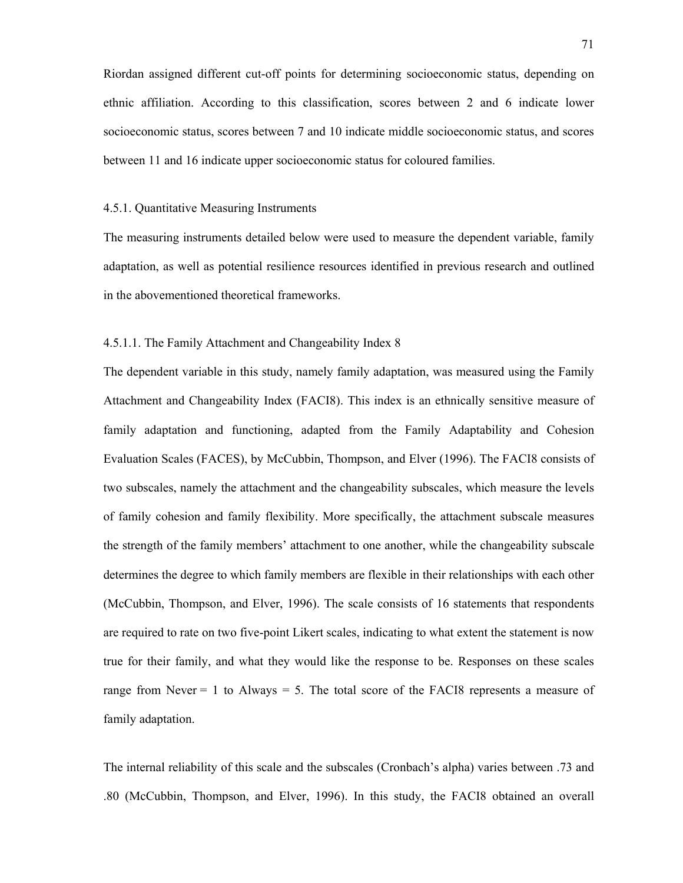Riordan assigned different cut-off points for determining socioeconomic status, depending on ethnic affiliation. According to this classification, scores between 2 and 6 indicate lower socioeconomic status, scores between 7 and 10 indicate middle socioeconomic status, and scores between 11 and 16 indicate upper socioeconomic status for coloured families.

### 4.5.1. Quantitative Measuring Instruments

The measuring instruments detailed below were used to measure the dependent variable, family adaptation, as well as potential resilience resources identified in previous research and outlined in the abovementioned theoretical frameworks.

# 4.5.1.1. The Family Attachment and Changeability Index 8

The dependent variable in this study, namely family adaptation, was measured using the Family Attachment and Changeability Index (FACI8). This index is an ethnically sensitive measure of family adaptation and functioning, adapted from the Family Adaptability and Cohesion Evaluation Scales (FACES), by McCubbin, Thompson, and Elver (1996). The FACI8 consists of two subscales, namely the attachment and the changeability subscales, which measure the levels of family cohesion and family flexibility. More specifically, the attachment subscale measures the strength of the family members' attachment to one another, while the changeability subscale determines the degree to which family members are flexible in their relationships with each other (McCubbin, Thompson, and Elver, 1996). The scale consists of 16 statements that respondents are required to rate on two five-point Likert scales, indicating to what extent the statement is now true for their family, and what they would like the response to be. Responses on these scales range from Never  $= 1$  to Always  $= 5$ . The total score of the FACI8 represents a measure of family adaptation.

The internal reliability of this scale and the subscales (Cronbach's alpha) varies between .73 and .80 (McCubbin, Thompson, and Elver, 1996). In this study, the FACI8 obtained an overall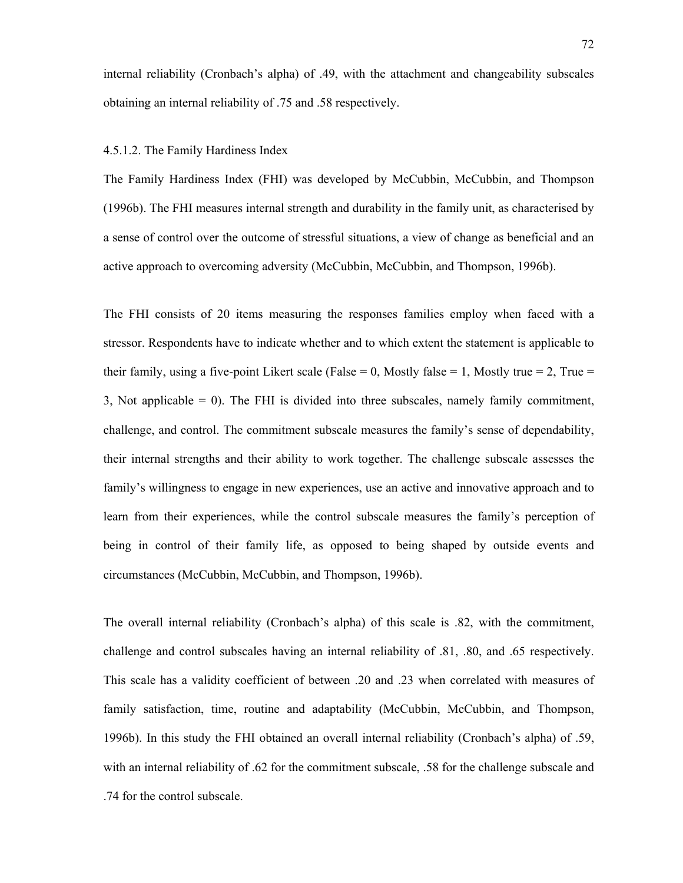internal reliability (Cronbach's alpha) of .49, with the attachment and changeability subscales obtaining an internal reliability of .75 and .58 respectively.

#### 4.5.1.2. The Family Hardiness Index

The Family Hardiness Index (FHI) was developed by McCubbin, McCubbin, and Thompson (1996b). The FHI measures internal strength and durability in the family unit, as characterised by a sense of control over the outcome of stressful situations, a view of change as beneficial and an active approach to overcoming adversity (McCubbin, McCubbin, and Thompson, 1996b).

The FHI consists of 20 items measuring the responses families employ when faced with a stressor. Respondents have to indicate whether and to which extent the statement is applicable to their family, using a five-point Likert scale (False  $= 0$ , Mostly false  $= 1$ , Mostly true  $= 2$ , True  $=$ 3, Not applicable = 0). The FHI is divided into three subscales, namely family commitment, challenge, and control. The commitment subscale measures the family's sense of dependability, their internal strengths and their ability to work together. The challenge subscale assesses the family's willingness to engage in new experiences, use an active and innovative approach and to learn from their experiences, while the control subscale measures the family's perception of being in control of their family life, as opposed to being shaped by outside events and circumstances (McCubbin, McCubbin, and Thompson, 1996b).

The overall internal reliability (Cronbach's alpha) of this scale is .82, with the commitment, challenge and control subscales having an internal reliability of .81, .80, and .65 respectively. This scale has a validity coefficient of between .20 and .23 when correlated with measures of family satisfaction, time, routine and adaptability (McCubbin, McCubbin, and Thompson, 1996b). In this study the FHI obtained an overall internal reliability (Cronbach's alpha) of .59, with an internal reliability of .62 for the commitment subscale, .58 for the challenge subscale and .74 for the control subscale.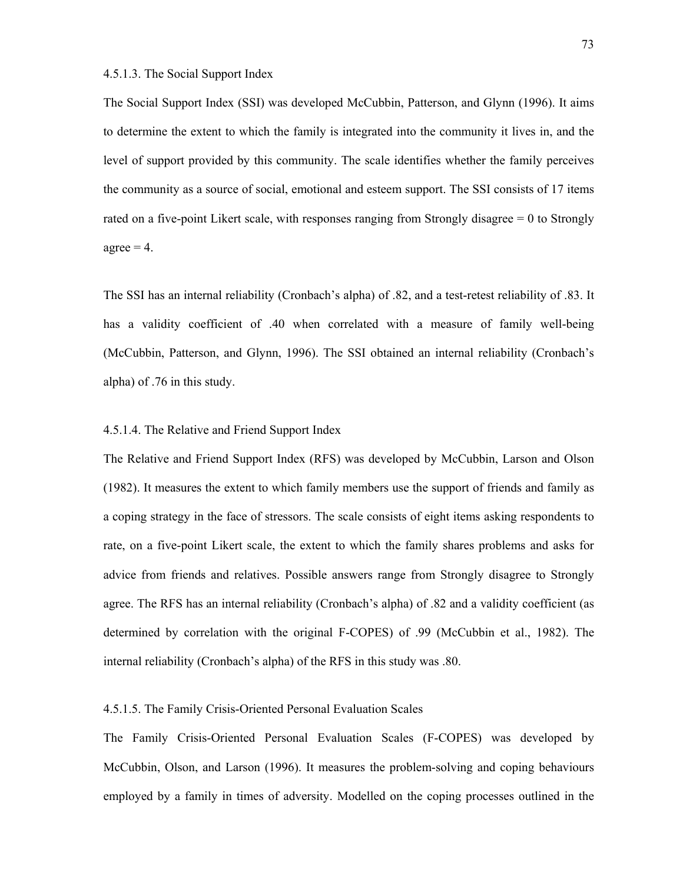# 4.5.1.3. The Social Support Index

The Social Support Index (SSI) was developed McCubbin, Patterson, and Glynn (1996). It aims to determine the extent to which the family is integrated into the community it lives in, and the level of support provided by this community. The scale identifies whether the family perceives the community as a source of social, emotional and esteem support. The SSI consists of 17 items rated on a five-point Likert scale, with responses ranging from Strongly disagree = 0 to Strongly  $agree = 4$ .

The SSI has an internal reliability (Cronbach's alpha) of .82, and a test-retest reliability of .83. It has a validity coefficient of .40 when correlated with a measure of family well-being (McCubbin, Patterson, and Glynn, 1996). The SSI obtained an internal reliability (Cronbach's alpha) of .76 in this study.

# 4.5.1.4. The Relative and Friend Support Index

The Relative and Friend Support Index (RFS) was developed by McCubbin, Larson and Olson (1982). It measures the extent to which family members use the support of friends and family as a coping strategy in the face of stressors. The scale consists of eight items asking respondents to rate, on a five-point Likert scale, the extent to which the family shares problems and asks for advice from friends and relatives. Possible answers range from Strongly disagree to Strongly agree. The RFS has an internal reliability (Cronbach's alpha) of .82 and a validity coefficient (as determined by correlation with the original F-COPES) of .99 (McCubbin et al., 1982). The internal reliability (Cronbach's alpha) of the RFS in this study was .80.

### 4.5.1.5. The Family Crisis-Oriented Personal Evaluation Scales

The Family Crisis-Oriented Personal Evaluation Scales (F-COPES) was developed by McCubbin, Olson, and Larson (1996). It measures the problem-solving and coping behaviours employed by a family in times of adversity. Modelled on the coping processes outlined in the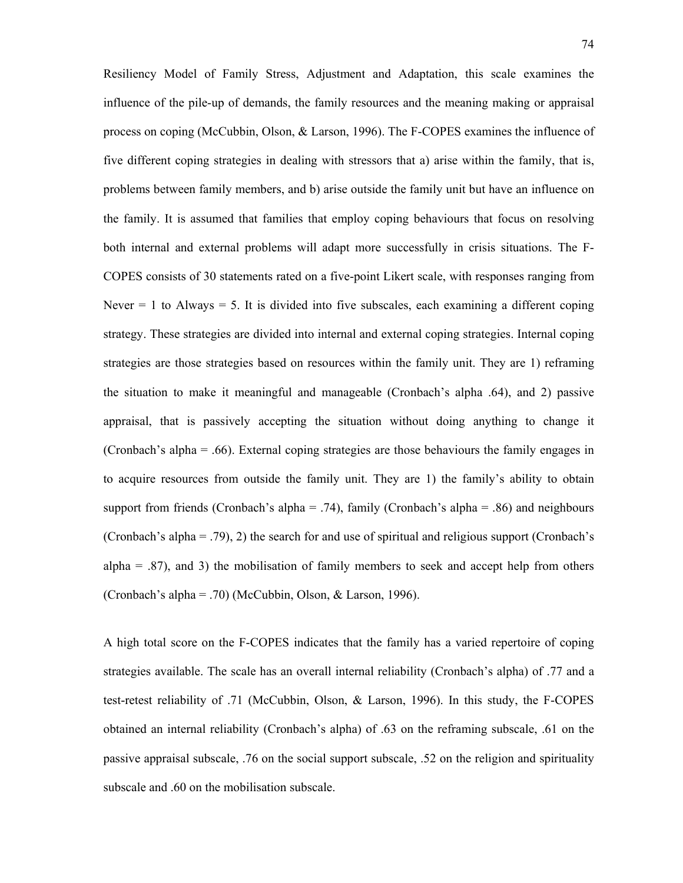Resiliency Model of Family Stress, Adjustment and Adaptation, this scale examines the influence of the pile-up of demands, the family resources and the meaning making or appraisal process on coping (McCubbin, Olson, & Larson, 1996). The F-COPES examines the influence of five different coping strategies in dealing with stressors that a) arise within the family, that is, problems between family members, and b) arise outside the family unit but have an influence on the family. It is assumed that families that employ coping behaviours that focus on resolving both internal and external problems will adapt more successfully in crisis situations. The F-COPES consists of 30 statements rated on a five-point Likert scale, with responses ranging from Never  $= 1$  to Always  $= 5$ . It is divided into five subscales, each examining a different coping strategy. These strategies are divided into internal and external coping strategies. Internal coping strategies are those strategies based on resources within the family unit. They are 1) reframing the situation to make it meaningful and manageable (Cronbach's alpha .64), and 2) passive appraisal, that is passively accepting the situation without doing anything to change it (Cronbach's alpha = .66). External coping strategies are those behaviours the family engages in to acquire resources from outside the family unit. They are 1) the family's ability to obtain support from friends (Cronbach's alpha = .74), family (Cronbach's alpha = .86) and neighbours (Cronbach's alpha = .79), 2) the search for and use of spiritual and religious support (Cronbach's alpha  $=$  .87), and 3) the mobilisation of family members to seek and accept help from others (Cronbach's alpha = .70) (McCubbin, Olson, & Larson, 1996).

A high total score on the F-COPES indicates that the family has a varied repertoire of coping strategies available. The scale has an overall internal reliability (Cronbach's alpha) of .77 and a test-retest reliability of .71 (McCubbin, Olson, & Larson, 1996). In this study, the F-COPES obtained an internal reliability (Cronbach's alpha) of .63 on the reframing subscale, .61 on the passive appraisal subscale, .76 on the social support subscale, .52 on the religion and spirituality subscale and .60 on the mobilisation subscale.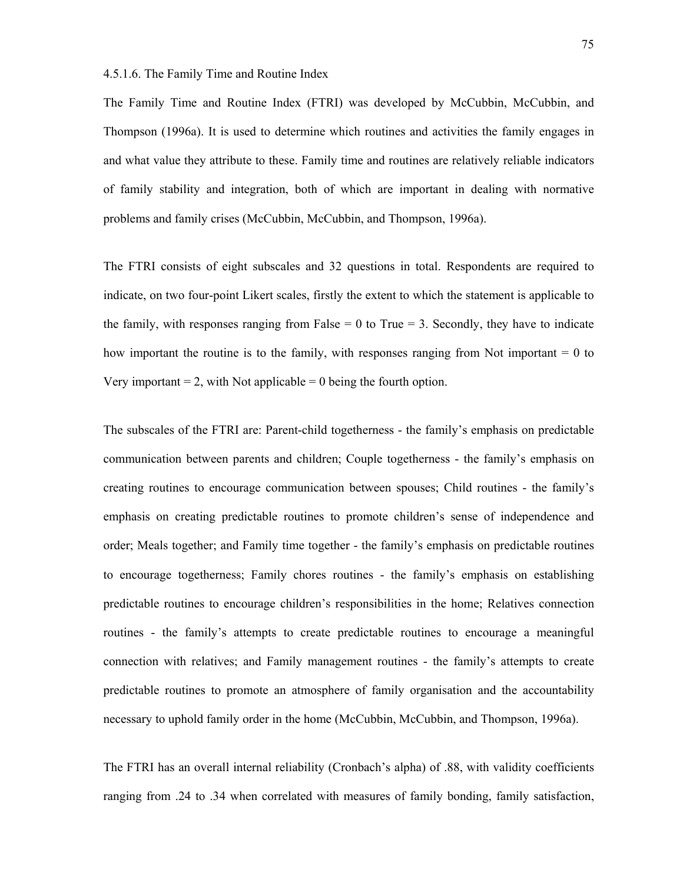4.5.1.6. The Family Time and Routine Index

The Family Time and Routine Index (FTRI) was developed by McCubbin, McCubbin, and Thompson (1996a). It is used to determine which routines and activities the family engages in and what value they attribute to these. Family time and routines are relatively reliable indicators of family stability and integration, both of which are important in dealing with normative problems and family crises (McCubbin, McCubbin, and Thompson, 1996a).

The FTRI consists of eight subscales and 32 questions in total. Respondents are required to indicate, on two four-point Likert scales, firstly the extent to which the statement is applicable to the family, with responses ranging from False  $= 0$  to True  $= 3$ . Secondly, they have to indicate how important the routine is to the family, with responses ranging from Not important  $= 0$  to Very important  $= 2$ , with Not applicable  $= 0$  being the fourth option.

The subscales of the FTRI are: Parent-child togetherness - the family's emphasis on predictable communication between parents and children; Couple togetherness - the family's emphasis on creating routines to encourage communication between spouses; Child routines - the family's emphasis on creating predictable routines to promote children's sense of independence and order; Meals together; and Family time together - the family's emphasis on predictable routines to encourage togetherness; Family chores routines - the family's emphasis on establishing predictable routines to encourage children's responsibilities in the home; Relatives connection routines - the family's attempts to create predictable routines to encourage a meaningful connection with relatives; and Family management routines - the family's attempts to create predictable routines to promote an atmosphere of family organisation and the accountability necessary to uphold family order in the home (McCubbin, McCubbin, and Thompson, 1996a).

The FTRI has an overall internal reliability (Cronbach's alpha) of .88, with validity coefficients ranging from .24 to .34 when correlated with measures of family bonding, family satisfaction,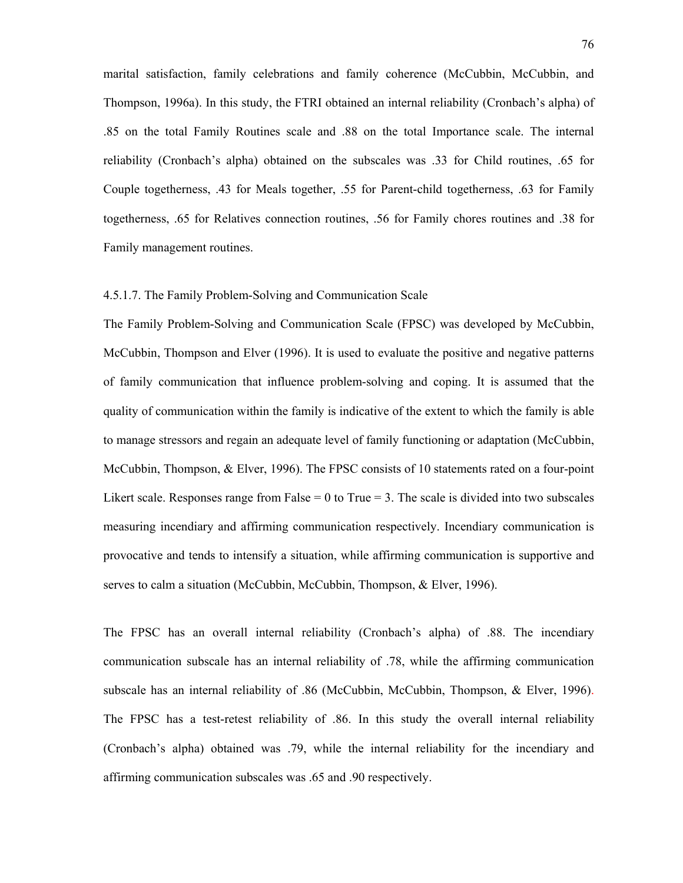marital satisfaction, family celebrations and family coherence (McCubbin, McCubbin, and Thompson, 1996a). In this study, the FTRI obtained an internal reliability (Cronbach's alpha) of .85 on the total Family Routines scale and .88 on the total Importance scale. The internal reliability (Cronbach's alpha) obtained on the subscales was .33 for Child routines, .65 for Couple togetherness, .43 for Meals together, .55 for Parent-child togetherness, .63 for Family togetherness, .65 for Relatives connection routines, .56 for Family chores routines and .38 for Family management routines.

## 4.5.1.7. The Family Problem-Solving and Communication Scale

The Family Problem-Solving and Communication Scale (FPSC) was developed by McCubbin, McCubbin, Thompson and Elver (1996). It is used to evaluate the positive and negative patterns of family communication that influence problem-solving and coping. It is assumed that the quality of communication within the family is indicative of the extent to which the family is able to manage stressors and regain an adequate level of family functioning or adaptation (McCubbin, McCubbin, Thompson, & Elver, 1996). The FPSC consists of 10 statements rated on a four-point Likert scale. Responses range from False  $= 0$  to True  $= 3$ . The scale is divided into two subscales measuring incendiary and affirming communication respectively. Incendiary communication is provocative and tends to intensify a situation, while affirming communication is supportive and serves to calm a situation (McCubbin, McCubbin, Thompson, & Elver, 1996).

The FPSC has an overall internal reliability (Cronbach's alpha) of .88. The incendiary communication subscale has an internal reliability of .78, while the affirming communication subscale has an internal reliability of .86 (McCubbin, McCubbin, Thompson, & Elver, 1996). The FPSC has a test-retest reliability of .86. In this study the overall internal reliability (Cronbach's alpha) obtained was .79, while the internal reliability for the incendiary and affirming communication subscales was .65 and .90 respectively.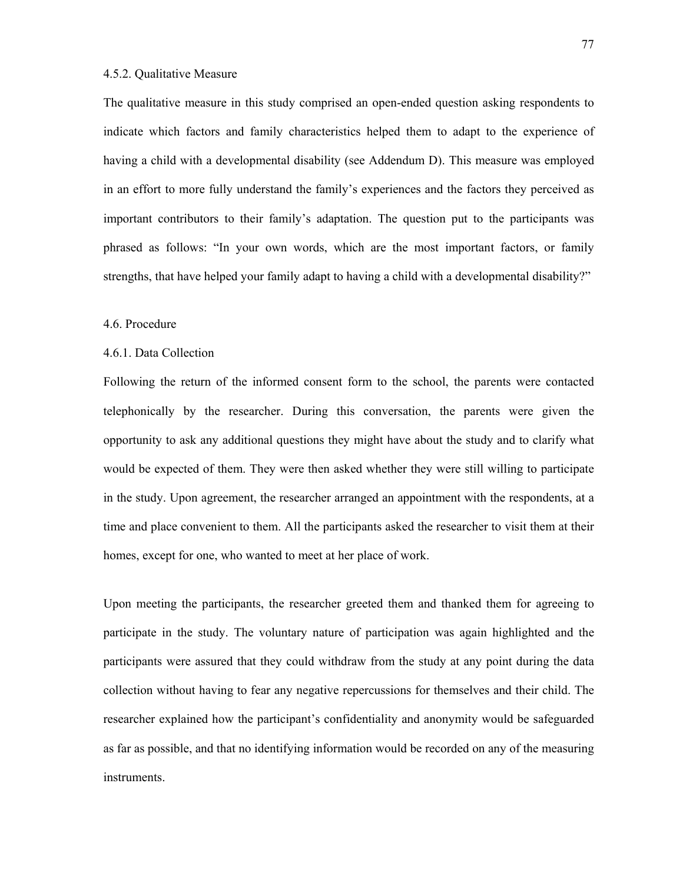## 4.5.2. Qualitative Measure

The qualitative measure in this study comprised an open-ended question asking respondents to indicate which factors and family characteristics helped them to adapt to the experience of having a child with a developmental disability (see Addendum D). This measure was employed in an effort to more fully understand the family's experiences and the factors they perceived as important contributors to their family's adaptation. The question put to the participants was phrased as follows: "In your own words, which are the most important factors, or family strengths, that have helped your family adapt to having a child with a developmental disability?"

#### 4.6. Procedure

#### 4.6.1. Data Collection

Following the return of the informed consent form to the school, the parents were contacted telephonically by the researcher. During this conversation, the parents were given the opportunity to ask any additional questions they might have about the study and to clarify what would be expected of them. They were then asked whether they were still willing to participate in the study. Upon agreement, the researcher arranged an appointment with the respondents, at a time and place convenient to them. All the participants asked the researcher to visit them at their homes, except for one, who wanted to meet at her place of work.

Upon meeting the participants, the researcher greeted them and thanked them for agreeing to participate in the study. The voluntary nature of participation was again highlighted and the participants were assured that they could withdraw from the study at any point during the data collection without having to fear any negative repercussions for themselves and their child. The researcher explained how the participant's confidentiality and anonymity would be safeguarded as far as possible, and that no identifying information would be recorded on any of the measuring instruments.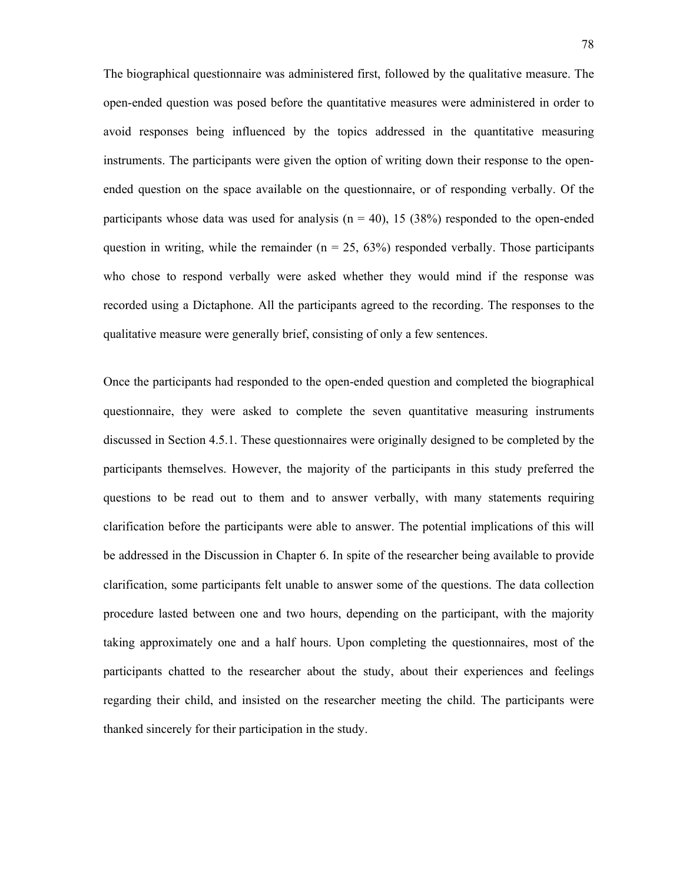The biographical questionnaire was administered first, followed by the qualitative measure. The open-ended question was posed before the quantitative measures were administered in order to avoid responses being influenced by the topics addressed in the quantitative measuring instruments. The participants were given the option of writing down their response to the openended question on the space available on the questionnaire, or of responding verbally. Of the participants whose data was used for analysis ( $n = 40$ ), 15 (38%) responded to the open-ended question in writing, while the remainder ( $n = 25, 63\%$ ) responded verbally. Those participants who chose to respond verbally were asked whether they would mind if the response was recorded using a Dictaphone. All the participants agreed to the recording. The responses to the qualitative measure were generally brief, consisting of only a few sentences.

Once the participants had responded to the open-ended question and completed the biographical questionnaire, they were asked to complete the seven quantitative measuring instruments discussed in Section 4.5.1. These questionnaires were originally designed to be completed by the participants themselves. However, the majority of the participants in this study preferred the questions to be read out to them and to answer verbally, with many statements requiring clarification before the participants were able to answer. The potential implications of this will be addressed in the Discussion in Chapter 6. In spite of the researcher being available to provide clarification, some participants felt unable to answer some of the questions. The data collection procedure lasted between one and two hours, depending on the participant, with the majority taking approximately one and a half hours. Upon completing the questionnaires, most of the participants chatted to the researcher about the study, about their experiences and feelings regarding their child, and insisted on the researcher meeting the child. The participants were thanked sincerely for their participation in the study.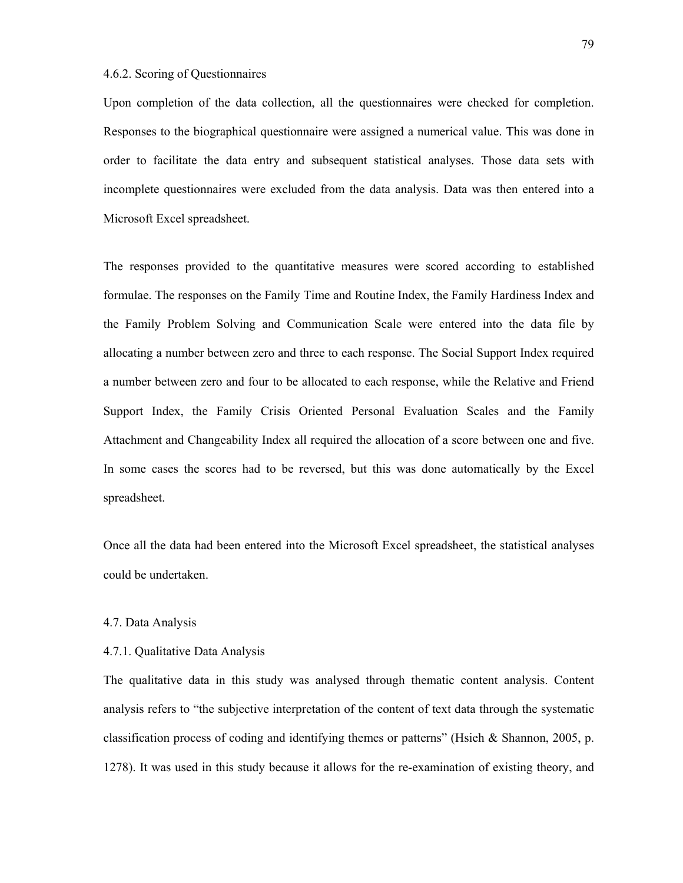### 4.6.2. Scoring of Questionnaires

Upon completion of the data collection, all the questionnaires were checked for completion. Responses to the biographical questionnaire were assigned a numerical value. This was done in order to facilitate the data entry and subsequent statistical analyses. Those data sets with incomplete questionnaires were excluded from the data analysis. Data was then entered into a Microsoft Excel spreadsheet.

The responses provided to the quantitative measures were scored according to established formulae. The responses on the Family Time and Routine Index, the Family Hardiness Index and the Family Problem Solving and Communication Scale were entered into the data file by allocating a number between zero and three to each response. The Social Support Index required a number between zero and four to be allocated to each response, while the Relative and Friend Support Index, the Family Crisis Oriented Personal Evaluation Scales and the Family Attachment and Changeability Index all required the allocation of a score between one and five. In some cases the scores had to be reversed, but this was done automatically by the Excel spreadsheet.

Once all the data had been entered into the Microsoft Excel spreadsheet, the statistical analyses could be undertaken.

#### 4.7. Data Analysis

# 4.7.1. Qualitative Data Analysis

The qualitative data in this study was analysed through thematic content analysis. Content analysis refers to "the subjective interpretation of the content of text data through the systematic classification process of coding and identifying themes or patterns" (Hsieh & Shannon, 2005, p. 1278). It was used in this study because it allows for the re-examination of existing theory, and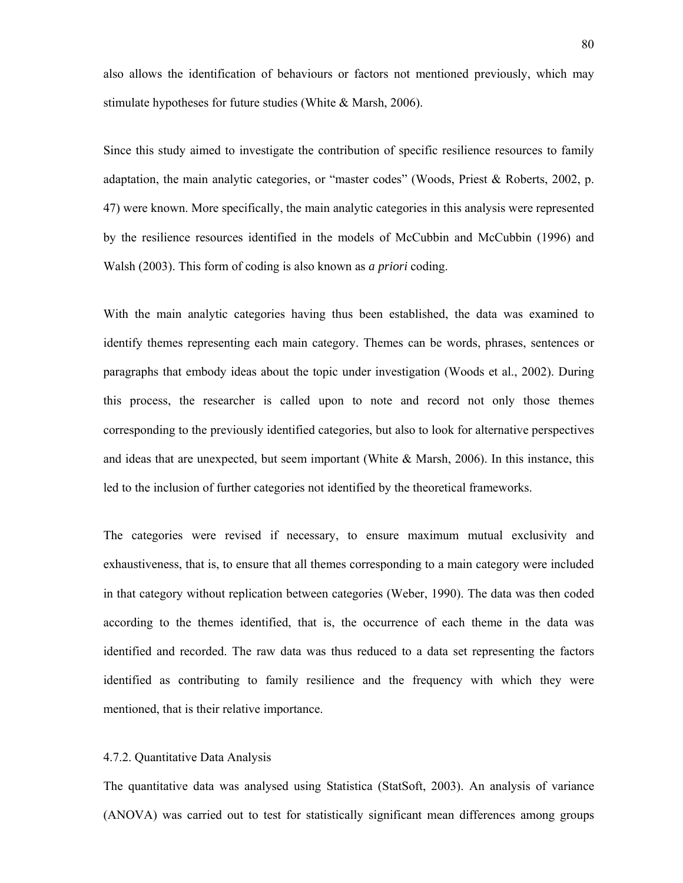also allows the identification of behaviours or factors not mentioned previously, which may stimulate hypotheses for future studies (White & Marsh, 2006).

Since this study aimed to investigate the contribution of specific resilience resources to family adaptation, the main analytic categories, or "master codes" (Woods, Priest & Roberts, 2002, p. 47) were known. More specifically, the main analytic categories in this analysis were represented by the resilience resources identified in the models of McCubbin and McCubbin (1996) and Walsh (2003). This form of coding is also known as *a priori* coding.

With the main analytic categories having thus been established, the data was examined to identify themes representing each main category. Themes can be words, phrases, sentences or paragraphs that embody ideas about the topic under investigation (Woods et al., 2002). During this process, the researcher is called upon to note and record not only those themes corresponding to the previously identified categories, but also to look for alternative perspectives and ideas that are unexpected, but seem important (White  $\&$  Marsh, 2006). In this instance, this led to the inclusion of further categories not identified by the theoretical frameworks.

The categories were revised if necessary, to ensure maximum mutual exclusivity and exhaustiveness, that is, to ensure that all themes corresponding to a main category were included in that category without replication between categories (Weber, 1990). The data was then coded according to the themes identified, that is, the occurrence of each theme in the data was identified and recorded. The raw data was thus reduced to a data set representing the factors identified as contributing to family resilience and the frequency with which they were mentioned, that is their relative importance.

### 4.7.2. Quantitative Data Analysis

The quantitative data was analysed using Statistica (StatSoft, 2003). An analysis of variance (ANOVA) was carried out to test for statistically significant mean differences among groups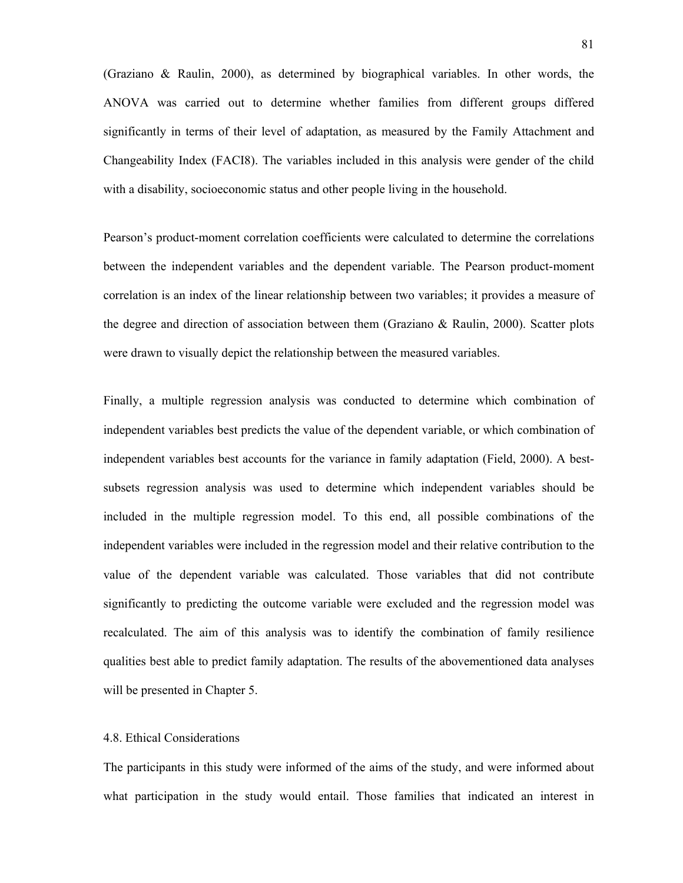(Graziano & Raulin, 2000), as determined by biographical variables. In other words, the ANOVA was carried out to determine whether families from different groups differed significantly in terms of their level of adaptation, as measured by the Family Attachment and Changeability Index (FACI8). The variables included in this analysis were gender of the child with a disability, socioeconomic status and other people living in the household.

Pearson's product-moment correlation coefficients were calculated to determine the correlations between the independent variables and the dependent variable. The Pearson product-moment correlation is an index of the linear relationship between two variables; it provides a measure of the degree and direction of association between them (Graziano & Raulin, 2000). Scatter plots were drawn to visually depict the relationship between the measured variables.

Finally, a multiple regression analysis was conducted to determine which combination of independent variables best predicts the value of the dependent variable, or which combination of independent variables best accounts for the variance in family adaptation (Field, 2000). A bestsubsets regression analysis was used to determine which independent variables should be included in the multiple regression model. To this end, all possible combinations of the independent variables were included in the regression model and their relative contribution to the value of the dependent variable was calculated. Those variables that did not contribute significantly to predicting the outcome variable were excluded and the regression model was recalculated. The aim of this analysis was to identify the combination of family resilience qualities best able to predict family adaptation. The results of the abovementioned data analyses will be presented in Chapter 5.

# 4.8. Ethical Considerations

The participants in this study were informed of the aims of the study, and were informed about what participation in the study would entail. Those families that indicated an interest in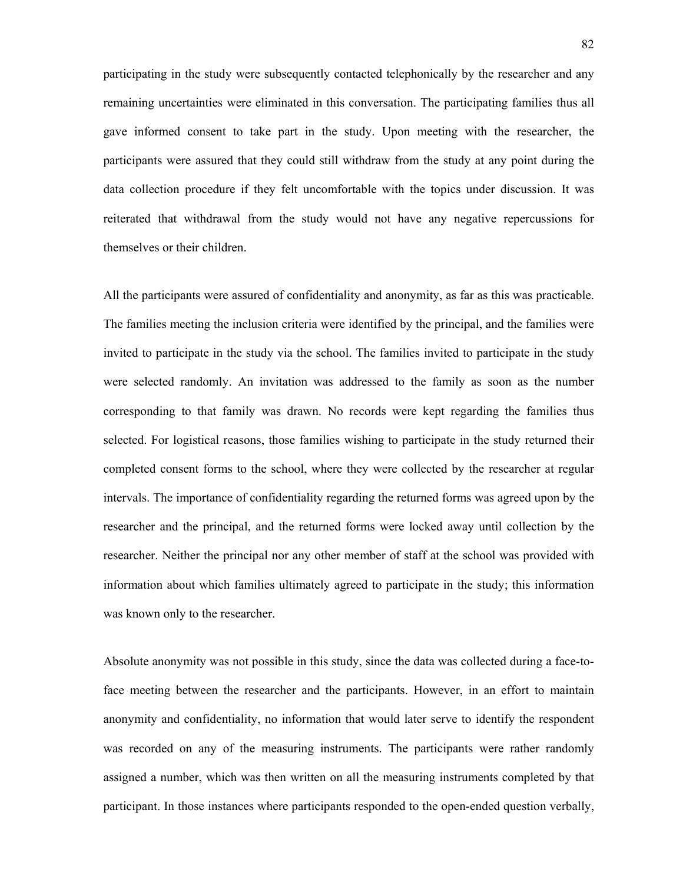participating in the study were subsequently contacted telephonically by the researcher and any remaining uncertainties were eliminated in this conversation. The participating families thus all gave informed consent to take part in the study. Upon meeting with the researcher, the participants were assured that they could still withdraw from the study at any point during the data collection procedure if they felt uncomfortable with the topics under discussion. It was reiterated that withdrawal from the study would not have any negative repercussions for themselves or their children.

All the participants were assured of confidentiality and anonymity, as far as this was practicable. The families meeting the inclusion criteria were identified by the principal, and the families were invited to participate in the study via the school. The families invited to participate in the study were selected randomly. An invitation was addressed to the family as soon as the number corresponding to that family was drawn. No records were kept regarding the families thus selected. For logistical reasons, those families wishing to participate in the study returned their completed consent forms to the school, where they were collected by the researcher at regular intervals. The importance of confidentiality regarding the returned forms was agreed upon by the researcher and the principal, and the returned forms were locked away until collection by the researcher. Neither the principal nor any other member of staff at the school was provided with information about which families ultimately agreed to participate in the study; this information was known only to the researcher.

Absolute anonymity was not possible in this study, since the data was collected during a face-toface meeting between the researcher and the participants. However, in an effort to maintain anonymity and confidentiality, no information that would later serve to identify the respondent was recorded on any of the measuring instruments. The participants were rather randomly assigned a number, which was then written on all the measuring instruments completed by that participant. In those instances where participants responded to the open-ended question verbally,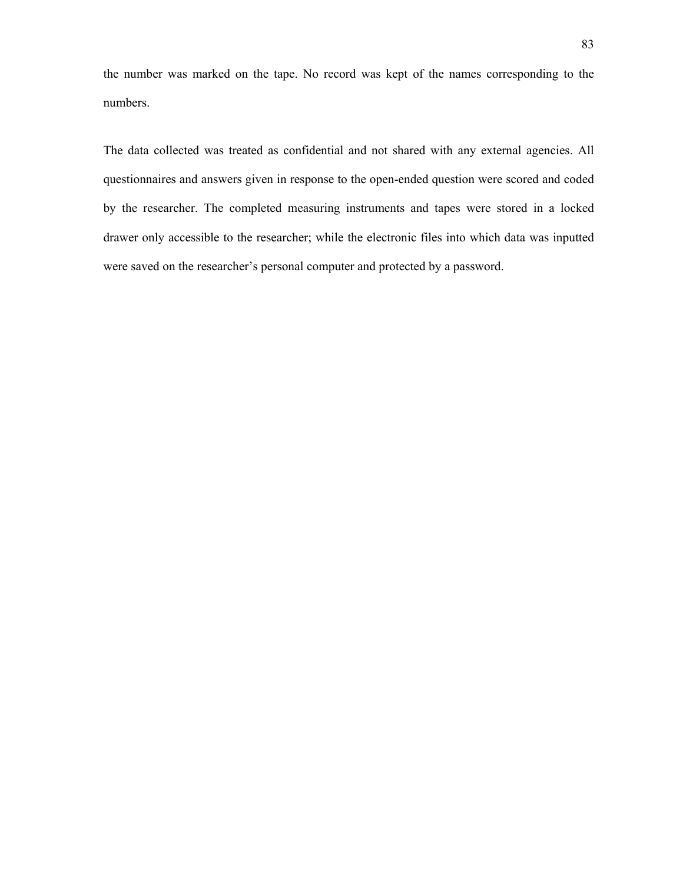the number was marked on the tape. No record was kept of the names corresponding to the numbers.

The data collected was treated as confidential and not shared with any external agencies. All questionnaires and answers given in response to the open-ended question were scored and coded by the researcher. The completed measuring instruments and tapes were stored in a locked drawer only accessible to the researcher; while the electronic files into which data was inputted were saved on the researcher's personal computer and protected by a password.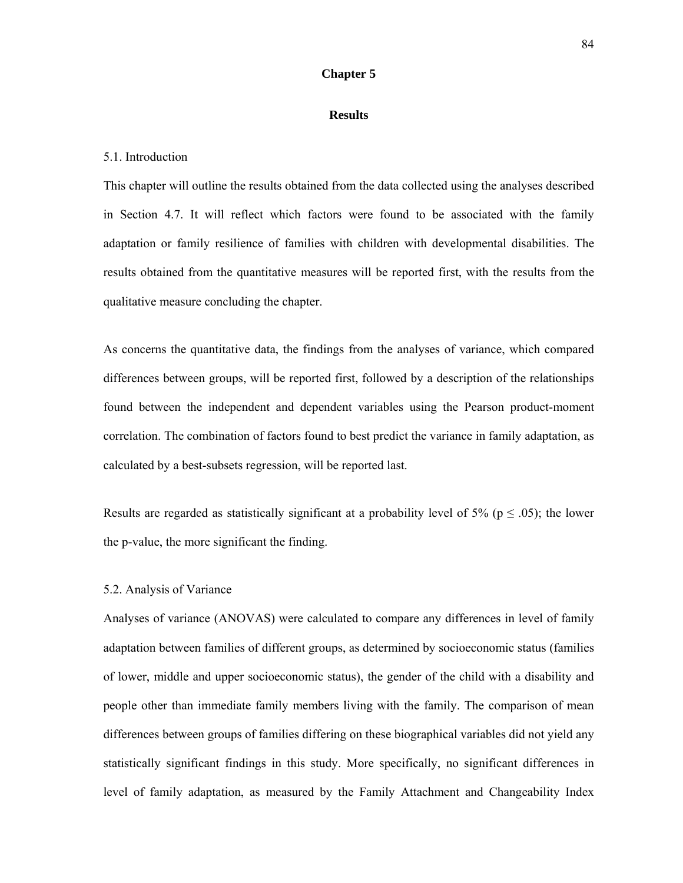# **Chapter 5**

#### **Results**

#### 5.1. Introduction

This chapter will outline the results obtained from the data collected using the analyses described in Section 4.7. It will reflect which factors were found to be associated with the family adaptation or family resilience of families with children with developmental disabilities. The results obtained from the quantitative measures will be reported first, with the results from the qualitative measure concluding the chapter.

As concerns the quantitative data, the findings from the analyses of variance, which compared differences between groups, will be reported first, followed by a description of the relationships found between the independent and dependent variables using the Pearson product-moment correlation. The combination of factors found to best predict the variance in family adaptation, as calculated by a best-subsets regression, will be reported last.

Results are regarded as statistically significant at a probability level of 5% ( $p \le 0.05$ ); the lower the p-value, the more significant the finding.

### 5.2. Analysis of Variance

Analyses of variance (ANOVAS) were calculated to compare any differences in level of family adaptation between families of different groups, as determined by socioeconomic status (families of lower, middle and upper socioeconomic status), the gender of the child with a disability and people other than immediate family members living with the family. The comparison of mean differences between groups of families differing on these biographical variables did not yield any statistically significant findings in this study. More specifically, no significant differences in level of family adaptation, as measured by the Family Attachment and Changeability Index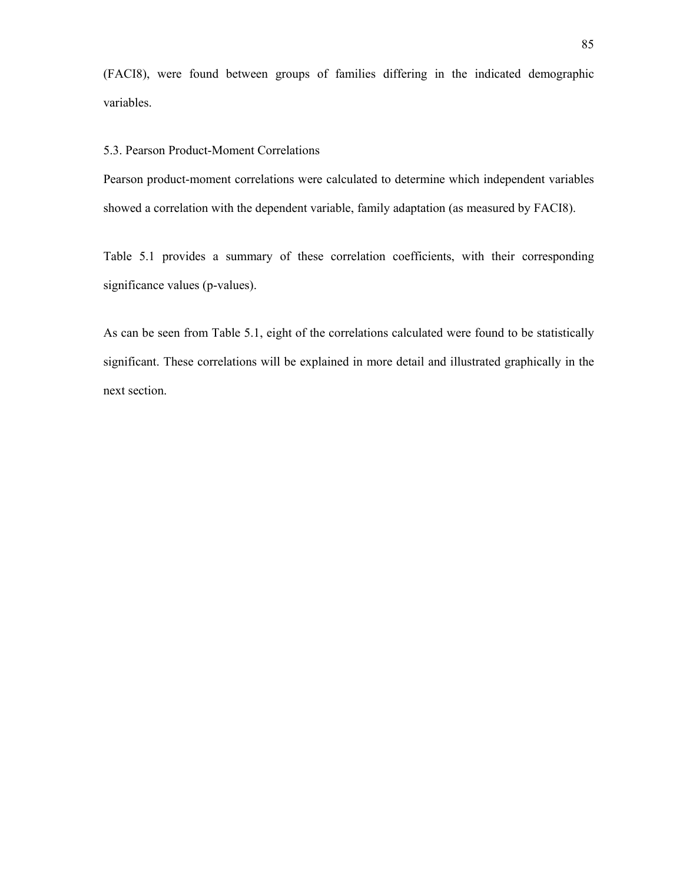(FACI8), were found between groups of families differing in the indicated demographic variables.

### 5.3. Pearson Product-Moment Correlations

Pearson product-moment correlations were calculated to determine which independent variables showed a correlation with the dependent variable, family adaptation (as measured by FACI8).

Table 5.1 provides a summary of these correlation coefficients, with their corresponding significance values (p-values).

As can be seen from Table 5.1, eight of the correlations calculated were found to be statistically significant. These correlations will be explained in more detail and illustrated graphically in the next section.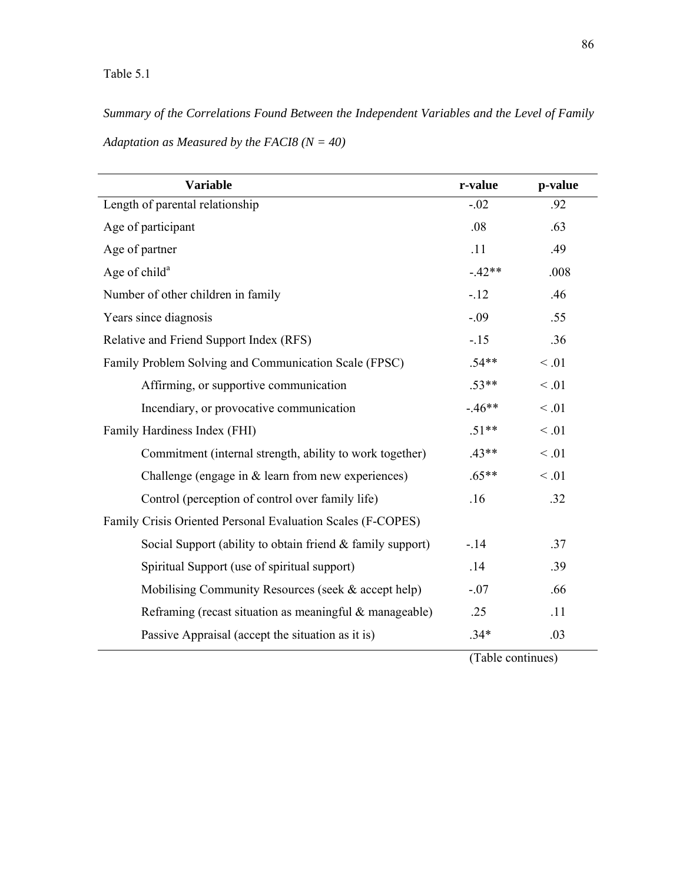*Summary of the Correlations Found Between the Independent Variables and the Level of Family* 

*Adaptation as Measured by the FACI8 (N = 40)* 

| <b>Variable</b>                                             | r-value  | p-value |
|-------------------------------------------------------------|----------|---------|
| Length of parental relationship                             | $-.02$   | .92     |
| Age of participant                                          | .08      | .63     |
| Age of partner                                              | .11      | .49     |
| Age of child <sup>a</sup>                                   | $-.42**$ | .008    |
| Number of other children in family                          | $-12$    | .46     |
| Years since diagnosis                                       | $-.09$   | .55     |
| Relative and Friend Support Index (RFS)                     | $-15$    | .36     |
| Family Problem Solving and Communication Scale (FPSC)       | $.54**$  | < 0.01  |
| Affirming, or supportive communication                      | $.53**$  | < 0.01  |
| Incendiary, or provocative communication                    | $-46**$  | < 0.01  |
| Family Hardiness Index (FHI)                                | $.51**$  | < 0.01  |
| Commitment (internal strength, ability to work together)    | $.43**$  | < 0.01  |
| Challenge (engage in $&$ learn from new experiences)        | $.65**$  | < 0.01  |
| Control (perception of control over family life)            | .16      | .32     |
| Family Crisis Oriented Personal Evaluation Scales (F-COPES) |          |         |
| Social Support (ability to obtain friend & family support)  | $-14$    | .37     |
| Spiritual Support (use of spiritual support)                | .14      | .39     |
| Mobilising Community Resources (seek & accept help)         | $-.07$   | .66     |
| Reframing (recast situation as meaningful & manageable)     | .25      | .11     |
| Passive Appraisal (accept the situation as it is)           | $.34*$   | .03     |

(Table continues)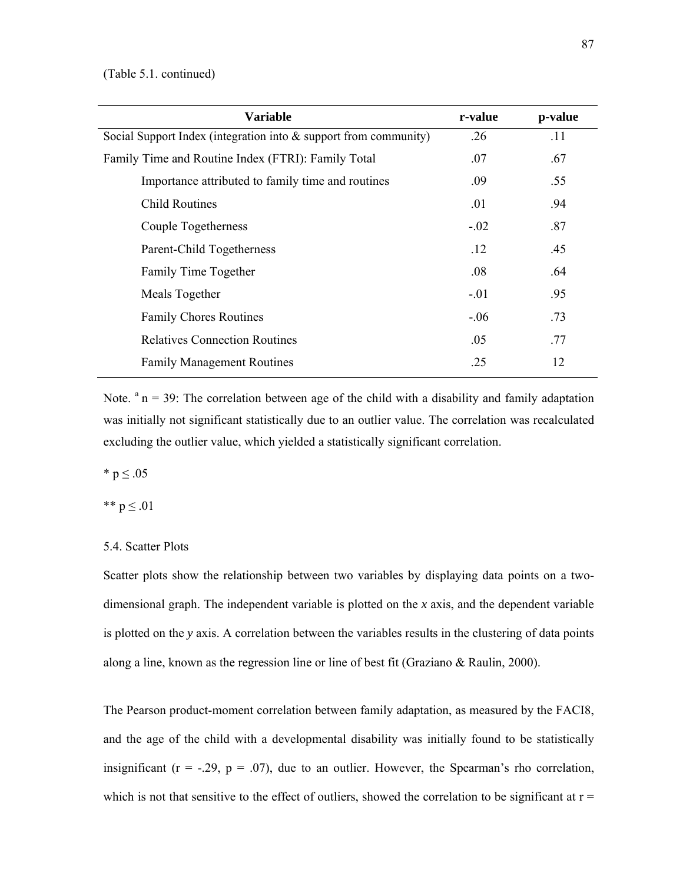| <b>Variable</b>                                                     | r-value | p-value |
|---------------------------------------------------------------------|---------|---------|
| Social Support Index (integration into $\&$ support from community) | .26     | .11     |
| Family Time and Routine Index (FTRI): Family Total                  | .07     | .67     |
| Importance attributed to family time and routines                   | .09     | .55     |
| <b>Child Routines</b>                                               | .01     | .94     |
| Couple Togetherness                                                 | $-.02$  | .87     |
| Parent-Child Togetherness                                           | .12     | .45     |
| Family Time Together                                                | .08     | .64     |
| Meals Together                                                      | $-.01$  | .95     |
| <b>Family Chores Routines</b>                                       | $-.06$  | .73     |
| <b>Relatives Connection Routines</b>                                | .05     | .77     |
| <b>Family Management Routines</b>                                   | .25     | 12      |

Note.  $a_n = 39$ : The correlation between age of the child with a disability and family adaptation was initially not significant statistically due to an outlier value. The correlation was recalculated excluding the outlier value, which yielded a statistically significant correlation.

\*  $p \le 0.05$ 

\*\*  $p \le .01$ 

# 5.4. Scatter Plots

Scatter plots show the relationship between two variables by displaying data points on a twodimensional graph. The independent variable is plotted on the *x* axis, and the dependent variable is plotted on the *y* axis. A correlation between the variables results in the clustering of data points along a line, known as the regression line or line of best fit (Graziano & Raulin, 2000).

The Pearson product-moment correlation between family adaptation, as measured by the FACI8, and the age of the child with a developmental disability was initially found to be statistically insignificant ( $r = -.29$ ,  $p = .07$ ), due to an outlier. However, the Spearman's rho correlation, which is not that sensitive to the effect of outliers, showed the correlation to be significant at  $r =$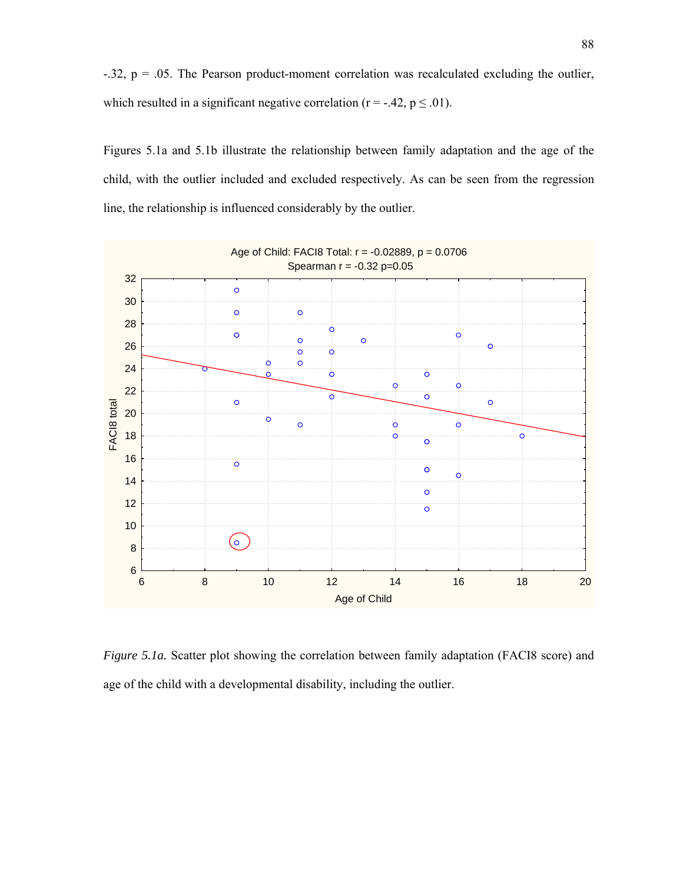$-.32$ ,  $p = .05$ . The Pearson product-moment correlation was recalculated excluding the outlier, which resulted in a significant negative correlation ( $r = -.42$ ,  $p \le 0.01$ ).

Figures 5.1a and 5.1b illustrate the relationship between family adaptation and the age of the child, with the outlier included and excluded respectively. As can be seen from the regression line, the relationship is influenced considerably by the outlier.



*Figure 5.1a.* Scatter plot showing the correlation between family adaptation (FACI8 score) and age of the child with a developmental disability, including the outlier.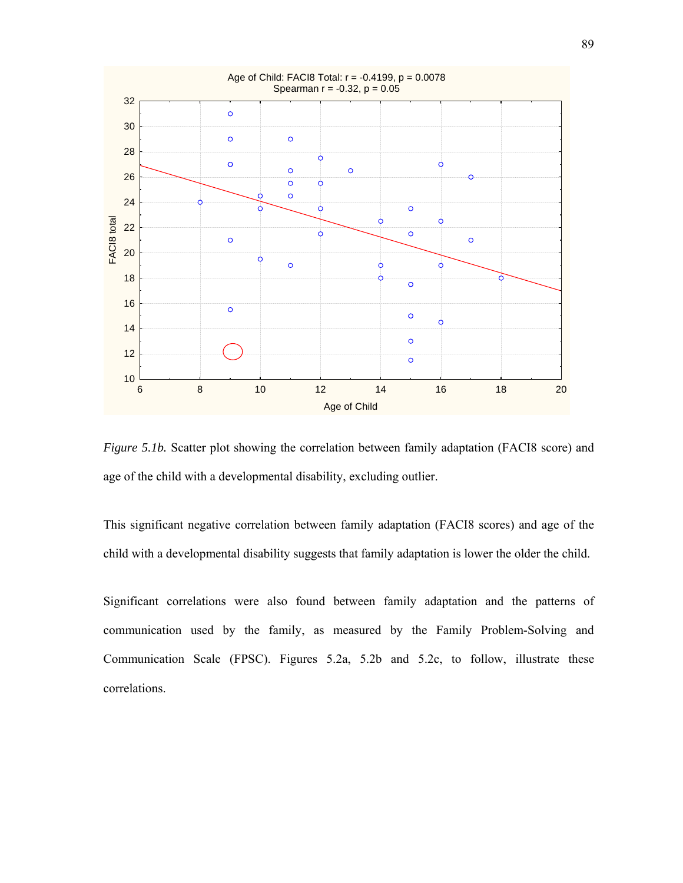

*Figure 5.1b.* Scatter plot showing the correlation between family adaptation (FACI8 score) and age of the child with a developmental disability, excluding outlier.

This significant negative correlation between family adaptation (FACI8 scores) and age of the child with a developmental disability suggests that family adaptation is lower the older the child.

Significant correlations were also found between family adaptation and the patterns of communication used by the family, as measured by the Family Problem-Solving and Communication Scale (FPSC). Figures 5.2a, 5.2b and 5.2c, to follow, illustrate these correlations.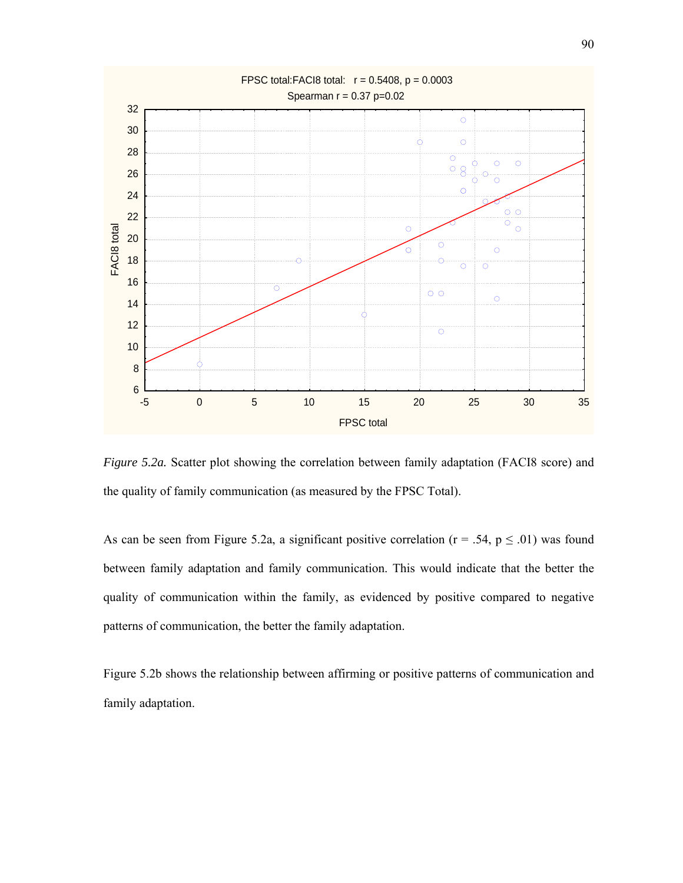

*Figure 5.2a.* Scatter plot showing the correlation between family adaptation (FACI8 score) and the quality of family communication (as measured by the FPSC Total).

As can be seen from Figure 5.2a, a significant positive correlation ( $r = .54$ ,  $p \le .01$ ) was found between family adaptation and family communication. This would indicate that the better the quality of communication within the family, as evidenced by positive compared to negative patterns of communication, the better the family adaptation.

Figure 5.2b shows the relationship between affirming or positive patterns of communication and family adaptation.